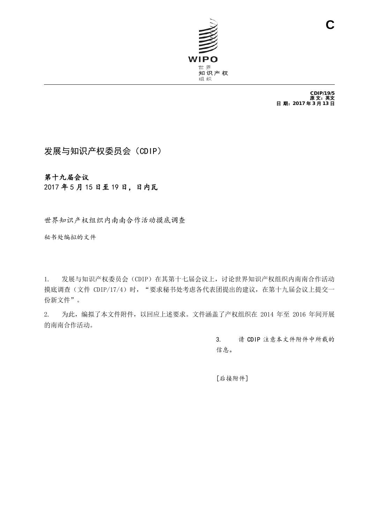

CDIP/19/5<br>原 文:英文 日 期:2017 年 3 月 13 日

# 发展与知识产权委员会(CDIP)

### 第十九届会议

#### 2017 年 5 月 15 日至 19 日,日内瓦

世界知识产权组织内南南合作活动摸底调查

秘书处编拟的文件

1. 发展与知识产权委员会(CDIP)在其第十七届会议上,讨论世界知识产权组织内南南合作活动 摸底调查(文件 CDIP/17/4)时, "要求秘书处考虑各代表团提出的建议, 在第十九届会议上提交一 份新文件"。

<span id="page-0-0"></span>2. 为此,编拟了本文件附件,以回应上述要求。文件涵盖了产权组织在 2014 年至 2016 年间开展 的南南合作活动。

> 3. 请 CDIP 注意本文件附件中所载的 信息。

[后接附件]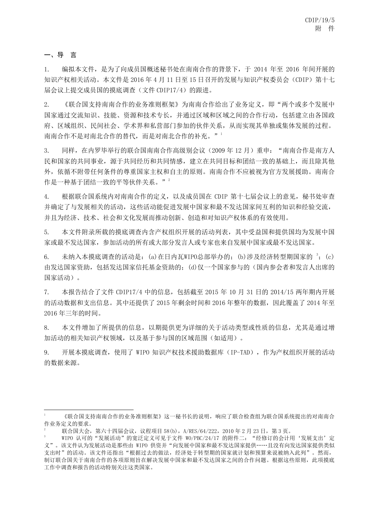#### 一、导 言

-

2

1. 编拟本文件,是为了向成员国概述秘书处在南南合作的背景下,于 2014 年至 2016 年间开展的 知识产权相关活动。本文件是 2016 年 4 月 11 日至 15 日召开的发展与知识产权委员会(CDIP)第十七 届会议上提交成员国的摸底调查(文件 CDIP17/4)的跟进。

2. 《联合国支持南南合作的业务准则框架》为南南合作给出了业务定义,即"两个或多个发展中 国家通过交流知识、技能、资源和技术专长,并通过区域和区域之间的合作行动,包括建立由各国政 府、区域组织、民间社会、学术界和私营部门参加的伙伴关系,从而实现其单独或集体发展的过程。 南南合作不是对南北合作的替代,而是对南北合作的补充。"

3. 同样,在内罗毕举行的联合国南南合作高级别会议(2009 年 12 月)重申:"南南合作是南方人 民和国家的共同事业,源于共同经历和共同情感,建立在共同目标和团结一致的基础上,而且除其他 外,依循不附带任何条件的尊重国家主权和自主的原则。南南合作不应被视为官方发展援助。南南合 作是一种基于团结一致的平等伙伴关系。"<sup>[2](#page-1-0)</sup>

4. 根据联合国系统内对南南合作的定义,以及成员国在 CDIP 第十七届会议上的意见, 秘书处审查 并确定了与发展相关的活动,这些活动能促进发展中国家和最不发达国家间互利的知识和经验交流, 并且为经济、技术、社会和文化发展而推动创新、创造和对知识产权体系的有效使用。

5. 本文件附录所载的摸底调查内含产权组织开展的活动列表,其中受益国和提供国均为发展中国 家或最不发达国家,参加活动的所有或大部分发言人或专家也来自发展中国家或最不发达国家。

6. 未纳入本摸底调查的活动是: (a)在日内瓦WIPO总部举办的; (b)涉及经济转型期国家的 [3](#page-1-1); (c) 由发达国家资助,包括发达国家信托基金资助的;(d)仅一个国家参与的(国内参会者和发言人出席的 国家活动)。

7. 本报告结合了文件 CDIP17/4 中的信息,包括截至 2015 年 10 月 31 日的 2014/15 两年期内开展 的活动数据和支出信息。其中还提供了 2015 年剩余时间和 2016 年整年的数据,因此覆盖了 2014 年至 2016 年三年的时间。

8. 本文件增加了所提供的信息,以期提供更为详细的关于活动类型或性质的信息,尤其是通过增 加活动的相关知识产权领域,以及基于参与国的区域范围(如适用)。

9. 开展本摸底调查, 使用了 WIPO 知识产权技术援助数据库 (IP-TAD), 作为产权组织开展的活动 的数据来源。

<sup>1</sup> 《联合国支持南南合作的业务准则框架》这一秘书长的说明,响应了联合检查组为联合国系统提出的对南南合 作业务定义的要求。

联合国大会, 第六十四届会议, 议程项目 58(b), A/RES/64/222, 2010 年 2 月 23 日, 第 3 页。

<span id="page-1-1"></span><span id="page-1-0"></span>WIPO 认可的"发展活动"的宽泛定义可见于文件 WO/PBC/24/17 的附件二: "经修订的会计用'发展支出'定 义"。该文件认为发展活动是那些由 WIPO 供资并"向发展中国家和最不发达国家提供……且没有向发达国家提供类似 支出时"的活动。该文件还指出"根据过去的做法,经济处于转型期的国家就计划和预算来说被纳入此列"。然而, 制订联合国关于南南合作的各项原则旨在解决发展中国家和最不发达国家之间的合作问题。根据这些原则,此项摸底 工作中调查和报告的活动特别关注这类国家。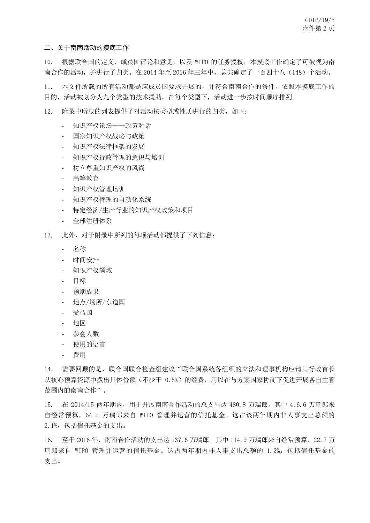#### 二、关于南南活动的摸底工作

10. 根据联合国的定义、成员国评论和意见,以及 WIPO 的任务授权,本摸底工作确定了可被视为南 南合作的活动,并进行了归类。在 2014 年至 2016 年三年中,总共确定了一百四十八(148)个活动。

11. 本文件所载的所有活动都是应成员国要求开展的,并符合南南合作的条件。依照本摸底工作的 目的,活动被划分为九个类型的技术援助。在每个类型下,活动进一步按时间顺序排列。

12. 附录中所载的列表提供了对活动按类型或性质进行的归类,如下:

- 知识产权论坛——政策对话
- 国家知识产权战略与政策
- 知识产权法律框架的发展
- 知识产权行政管理的意识与培训
- 树立尊重知识产权的风尚
- 高等教育
- 知识产权管理培训
- 知识产权管理的自动化系统
- 特定经济/生产行业的知识产权政策和项目
- 全球注册体系
- 13. 此外,对于附录中所列的每项活动都提供了下列信息:
	- 名称
	- 时间安排
	- 知识产权领域
	- 目标
	- 预期成果
	- 地点/场所/东道国
	- 受益国
	- 地区
	- 参会人数
	- 使用的语言
	- 费用

14. 需要回顾的是,联合国联合检查组建议"联合国系统各组织的立法和理事机构应请其行政首长 从核心预算资源中拨出具体份额(不少于 0.5%)的经费,用以在与方案国家协商下促进开展各自主管 范围内的南南合作"。

15. 在 2014/15 两年期内,用于开展南南合作活动的总支出达 480.8 万瑞郎。其中 416.6 万瑞郎来 自经常预算,64.2 万瑞郎来自 WIPO 管理并运营的信托基金。这占该两年期内非人事支出总额的 2.1%,包括信托基金的支出。

16. 至于 2016 年,南南合作活动的支出达 137.6 万瑞郎。其中 114.9 万瑞郎来自经常预算,22.7 万 瑞郎来自 WIPO 管理并运营的信托基金。这占两年期内非人事支出总额的 1.2%,包括信托基金的 支出。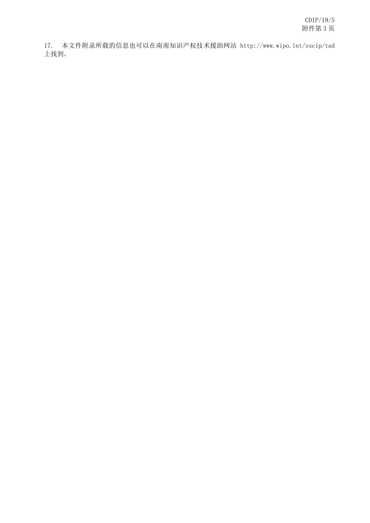17. 本文件附录所载的信息也可以在南南知识产权技术援助网站 http://www.wipo.int/sscip/tad 上找到。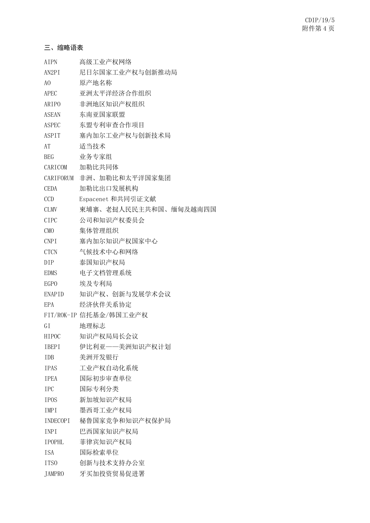#### 三、缩略语表

| <b>AIPN</b>      | 高级工业产权网络               |
|------------------|------------------------|
| AN2PI            | 尼日尔国家工业产权与创新推动局        |
| A <sub>0</sub>   | 原产地名称                  |
| APEC             | 亚洲太平洋经济合作组织            |
| ARIPO            | 非洲地区知识产权组织             |
| ASEAN            | 东南亚国家联盟                |
| ASPEC            | 东盟专利审查合作项目             |
| <b>ASPIT</b>     | 塞内加尔工业产权与创新技术局         |
| AT               | 适当技术                   |
| <b>BEG</b>       | 业务专家组                  |
| CARICOM          | 加勒比共同体                 |
| CARIFORUM        | 非洲、加勒比和太平洋国家集团         |
| <b>CEDA</b>      | 加勒比出口发展机构              |
| CCD              | Espacenet 和共同引证文献      |
| <b>CLMV</b>      | 柬埔寨、老挝人民民主共和国、缅甸及越南四国  |
| <b>CIPC</b>      | 公司和知识产权委员会             |
| CM <sub>O</sub>  | 集体管理组织                 |
| <b>CNPI</b>      | 塞内加尔知识产权国家中心           |
| <b>CTCN</b>      | 气候技术中心和网络              |
| DIP              | 泰国知识产权局                |
| EDMS             | 电子文档管理系统               |
| EGP <sub>0</sub> | 埃及专利局                  |
| ENAPID           | 知识产权、创新与发展学术会议         |
| EPA              | 经济伙伴关系协定               |
|                  | FIT/ROK-IP 信托基金/韩国工业产权 |
| GI               | 地理标志                   |
| HIPOC            | 知识产权局局长会议              |
| <b>IBEPI</b>     | 伊比利亚——美洲知识产权计划         |
| <b>IDB</b>       | 美洲开发银行                 |
| <b>IPAS</b>      | 工业产权自动化系统              |
| <b>IPEA</b>      | 国际初步审查单位               |
| <b>IPC</b>       | 国际专利分类                 |
| <b>IPOS</b>      | 新加坡知识产权局               |
| IMPI             | 墨西哥工业产权局               |
| <b>INDECOPI</b>  | 秘鲁国家竞争和知识产权保护局         |
| <b>INPI</b>      | 巴西国家知识产权局              |
| <b>IPOPHL</b>    | 菲律宾知识产权局               |
| <b>ISA</b>       | 国际检索单位                 |
| ITS <sub>0</sub> | 创新与技术支持办公室             |
| <b>JAMPRO</b>    | 牙买加投资贸易促进署             |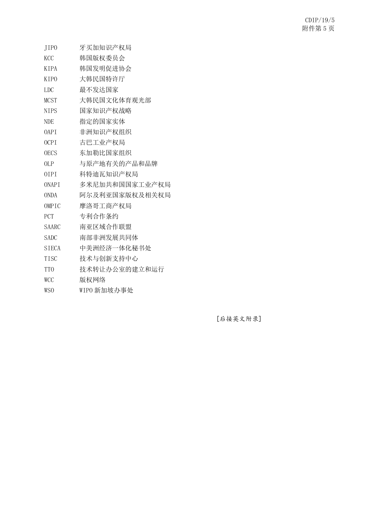| JIP <sub>0</sub>              | 牙买加知识产权局       |
|-------------------------------|----------------|
| <b>KCC</b>                    | 韩国版权委员会        |
| <b>KIPA</b>                   | 韩国发明促进协会       |
| <b>KIPO</b>                   | 大韩民国特许厅        |
| <b>LDC</b>                    | 最不发达国家         |
| <b>MCST</b>                   | 大韩民国文化体育观光部    |
| <b>NIPS</b>                   | 国家知识产权战略       |
| <b>NDE</b>                    | 指定的国家实体        |
| <b>OAPT</b>                   | 非洲知识产权组织       |
| OCPI                          | 古巴工业产权局        |
| <b>OECS</b>                   | 东加勒比国家组织       |
| OLP                           | 与原产地有关的产品和品牌   |
| 0 <sub>T</sub> P <sub>L</sub> | 科特迪瓦知识产权局      |
| <b>ONAPT</b>                  | 多米尼加共和国国家工业产权局 |
| <b>ONDA</b>                   | 阿尔及利亚国家版权及相关权局 |
| OMPIC                         | 摩洛哥工商产权局       |
| PCT                           | 专利合作条约         |
| <b>SAARC</b>                  | 南亚区域合作联盟       |
| <b>SADC</b>                   | 南部非洲发展共同体      |
| <b>SIECA</b>                  | 中美洲经济一体化秘书处    |
| <b>TISC</b>                   | 技术与创新支持中心      |
| T <sub>T</sub> O              | 技术转让办公室的建立和运行  |
| <b>WCC</b>                    | 版权网络           |
| WSO                           | WIPO 新加坡办事处    |
|                               |                |

[后接英文附录]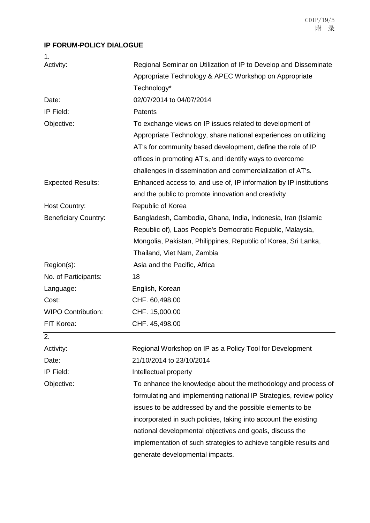### **IP FORUM-POLICY DIALOGUE**

| 1.                          |                                                                    |
|-----------------------------|--------------------------------------------------------------------|
| Activity:                   | Regional Seminar on Utilization of IP to Develop and Disseminate   |
|                             | Appropriate Technology & APEC Workshop on Appropriate              |
|                             | Technology*                                                        |
| Date:                       | 02/07/2014 to 04/07/2014                                           |
| IP Field:                   | Patents                                                            |
| Objective:                  | To exchange views on IP issues related to development of           |
|                             | Appropriate Technology, share national experiences on utilizing    |
|                             | AT's for community based development, define the role of IP        |
|                             | offices in promoting AT's, and identify ways to overcome           |
|                             | challenges in dissemination and commercialization of AT's.         |
| <b>Expected Results:</b>    | Enhanced access to, and use of, IP information by IP institutions  |
|                             | and the public to promote innovation and creativity                |
| <b>Host Country:</b>        | Republic of Korea                                                  |
| <b>Beneficiary Country:</b> | Bangladesh, Cambodia, Ghana, India, Indonesia, Iran (Islamic       |
|                             | Republic of), Laos People's Democratic Republic, Malaysia,         |
|                             | Mongolia, Pakistan, Philippines, Republic of Korea, Sri Lanka,     |
|                             | Thailand, Viet Nam, Zambia                                         |
| Region(s):                  | Asia and the Pacific, Africa                                       |
| No. of Participants:        | 18                                                                 |
| Language:                   | English, Korean                                                    |
| Cost:                       | CHF. 60,498.00                                                     |
| <b>WIPO Contribution:</b>   | CHF. 15,000.00                                                     |
| FIT Korea:                  | CHF. 45,498.00                                                     |
| 2.                          |                                                                    |
| Activity:                   | Regional Workshop on IP as a Policy Tool for Development           |
| Date:                       | 21/10/2014 to 23/10/2014                                           |
| IP Field:                   | Intellectual property                                              |
| Objective:                  | To enhance the knowledge about the methodology and process of      |
|                             | formulating and implementing national IP Strategies, review policy |
|                             | issues to be addressed by and the possible elements to be          |
|                             | incorporated in such policies, taking into account the existing    |
|                             | national developmental objectives and goals, discuss the           |
|                             | implementation of such strategies to achieve tangible results and  |
|                             | generate developmental impacts.                                    |
|                             |                                                                    |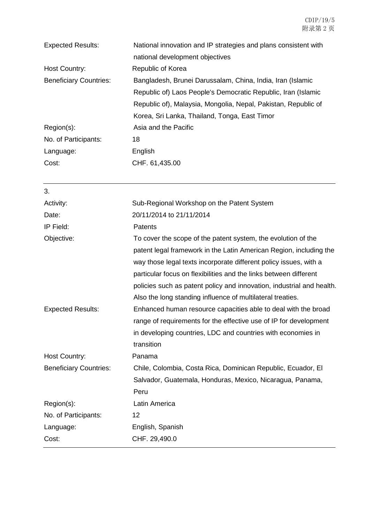| <b>Expected Results:</b>      | National innovation and IP strategies and plans consistent with<br>national development objectives                                                                                                                                                                                                                                                                                                                   |  |  |
|-------------------------------|----------------------------------------------------------------------------------------------------------------------------------------------------------------------------------------------------------------------------------------------------------------------------------------------------------------------------------------------------------------------------------------------------------------------|--|--|
| <b>Host Country:</b>          | Republic of Korea                                                                                                                                                                                                                                                                                                                                                                                                    |  |  |
| <b>Beneficiary Countries:</b> | Bangladesh, Brunei Darussalam, China, India, Iran (Islamic<br>Republic of) Laos People's Democratic Republic, Iran (Islamic<br>Republic of), Malaysia, Mongolia, Nepal, Pakistan, Republic of<br>Korea, Sri Lanka, Thailand, Tonga, East Timor                                                                                                                                                                       |  |  |
| Region(s):                    | Asia and the Pacific                                                                                                                                                                                                                                                                                                                                                                                                 |  |  |
| No. of Participants:          | 18                                                                                                                                                                                                                                                                                                                                                                                                                   |  |  |
| Language:                     | English                                                                                                                                                                                                                                                                                                                                                                                                              |  |  |
| Cost:                         | CHF. 61,435.00                                                                                                                                                                                                                                                                                                                                                                                                       |  |  |
| 3.                            |                                                                                                                                                                                                                                                                                                                                                                                                                      |  |  |
| Activity:                     | Sub-Regional Workshop on the Patent System                                                                                                                                                                                                                                                                                                                                                                           |  |  |
| Date:                         | 20/11/2014 to 21/11/2014                                                                                                                                                                                                                                                                                                                                                                                             |  |  |
| IP Field:                     | <b>Patents</b>                                                                                                                                                                                                                                                                                                                                                                                                       |  |  |
| Objective:                    | To cover the scope of the patent system, the evolution of the<br>patent legal framework in the Latin American Region, including the<br>way those legal texts incorporate different policy issues, with a<br>particular focus on flexibilities and the links between different<br>policies such as patent policy and innovation, industrial and health.<br>Also the long standing influence of multilateral treaties. |  |  |
| <b>Expected Results:</b>      | Enhanced human resource capacities able to deal with the broad<br>range of requirements for the effective use of IP for development<br>in developing countries, LDC and countries with economies in<br>transition                                                                                                                                                                                                    |  |  |
| <b>Host Country:</b>          | Panama                                                                                                                                                                                                                                                                                                                                                                                                               |  |  |
| <b>Beneficiary Countries:</b> | Chile, Colombia, Costa Rica, Dominican Republic, Ecuador, El<br>Salvador, Guatemala, Honduras, Mexico, Nicaragua, Panama,<br>Peru                                                                                                                                                                                                                                                                                    |  |  |
| Region(s):                    | Latin America                                                                                                                                                                                                                                                                                                                                                                                                        |  |  |
| No. of Participants:          | 12                                                                                                                                                                                                                                                                                                                                                                                                                   |  |  |
| Language:                     | English, Spanish                                                                                                                                                                                                                                                                                                                                                                                                     |  |  |
| Cost:                         | CHF. 29,490.0                                                                                                                                                                                                                                                                                                                                                                                                        |  |  |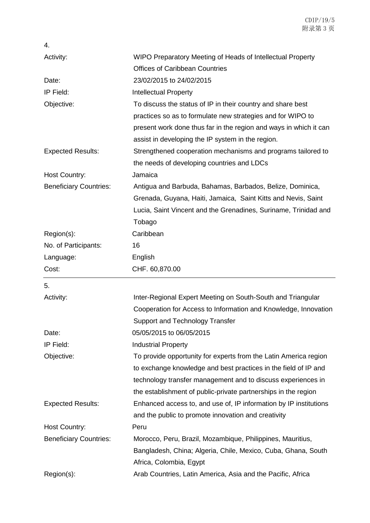| 4.                            |                                                                    |
|-------------------------------|--------------------------------------------------------------------|
| Activity:                     | WIPO Preparatory Meeting of Heads of Intellectual Property         |
|                               | <b>Offices of Caribbean Countries</b>                              |
| Date:                         | 23/02/2015 to 24/02/2015                                           |
| IP Field:                     | <b>Intellectual Property</b>                                       |
| Objective:                    | To discuss the status of IP in their country and share best        |
|                               | practices so as to formulate new strategies and for WIPO to        |
|                               | present work done thus far in the region and ways in which it can  |
|                               | assist in developing the IP system in the region.                  |
| <b>Expected Results:</b>      | Strengthened cooperation mechanisms and programs tailored to       |
|                               | the needs of developing countries and LDCs                         |
| <b>Host Country:</b>          | Jamaica                                                            |
| <b>Beneficiary Countries:</b> | Antigua and Barbuda, Bahamas, Barbados, Belize, Dominica,          |
|                               | Grenada, Guyana, Haiti, Jamaica, Saint Kitts and Nevis, Saint      |
|                               | Lucia, Saint Vincent and the Grenadines, Suriname, Trinidad and    |
|                               | Tobago                                                             |
| Region(s):                    | Caribbean                                                          |
| No. of Participants:          | 16                                                                 |
| Language:                     | English                                                            |
| Cost:                         | CHF. 60,870.00                                                     |
| 5.                            |                                                                    |
|                               |                                                                    |
| Activity:                     | Inter-Regional Expert Meeting on South-South and Triangular        |
|                               | Cooperation for Access to Information and Knowledge, Innovation    |
|                               |                                                                    |
| Date:                         | <b>Support and Technology Transfer</b><br>05/05/2015 to 06/05/2015 |
| IP Field:                     | <b>Industrial Property</b>                                         |
| Objective:                    | To provide opportunity for experts from the Latin America region   |
|                               | to exchange knowledge and best practices in the field of IP and    |
|                               | technology transfer management and to discuss experiences in       |
|                               | the establishment of public-private partnerships in the region     |
| <b>Expected Results:</b>      | Enhanced access to, and use of, IP information by IP institutions  |
|                               | and the public to promote innovation and creativity                |
| Host Country:                 | Peru                                                               |
| <b>Beneficiary Countries:</b> | Morocco, Peru, Brazil, Mozambique, Philippines, Mauritius,         |
|                               | Bangladesh, China; Algeria, Chile, Mexico, Cuba, Ghana, South      |
|                               | Africa, Colombia, Egypt                                            |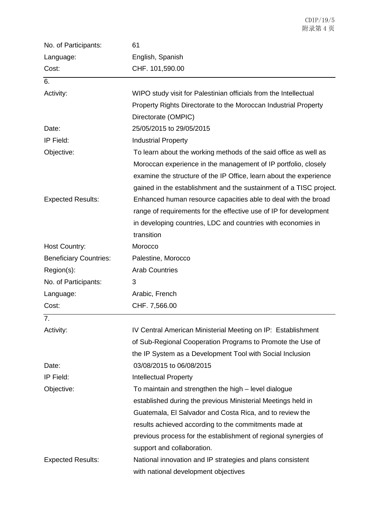| No. of Participants:          | 61                                                                 |
|-------------------------------|--------------------------------------------------------------------|
| Language:                     | English, Spanish                                                   |
| Cost:                         | CHF. 101,590.00                                                    |
| 6.                            |                                                                    |
| Activity:                     | WIPO study visit for Palestinian officials from the Intellectual   |
|                               | Property Rights Directorate to the Moroccan Industrial Property    |
|                               | Directorate (OMPIC)                                                |
| Date:                         | 25/05/2015 to 29/05/2015                                           |
| IP Field:                     | <b>Industrial Property</b>                                         |
| Objective:                    | To learn about the working methods of the said office as well as   |
|                               | Moroccan experience in the management of IP portfolio, closely     |
|                               | examine the structure of the IP Office, learn about the experience |
|                               | gained in the establishment and the sustainment of a TISC project. |
| <b>Expected Results:</b>      | Enhanced human resource capacities able to deal with the broad     |
|                               | range of requirements for the effective use of IP for development  |
|                               | in developing countries, LDC and countries with economies in       |
|                               | transition                                                         |
| Host Country:                 | Morocco                                                            |
| <b>Beneficiary Countries:</b> | Palestine, Morocco                                                 |
| Region(s):                    | <b>Arab Countries</b>                                              |
| No. of Participants:          | 3                                                                  |
| Language:                     | Arabic, French                                                     |
| Cost:                         | CHF. 7,566.00                                                      |
| 7.                            |                                                                    |
| Activity:                     | IV Central American Ministerial Meeting on IP: Establishment       |
|                               | of Sub-Regional Cooperation Programs to Promote the Use of         |
|                               | the IP System as a Development Tool with Social Inclusion          |
| Date:                         | 03/08/2015 to 06/08/2015                                           |
| IP Field:                     | <b>Intellectual Property</b>                                       |
| Objective:                    | To maintain and strengthen the high - level dialogue               |
|                               | established during the previous Ministerial Meetings held in       |
|                               | Guatemala, El Salvador and Costa Rica, and to review the           |
|                               | results achieved according to the commitments made at              |
|                               | previous process for the establishment of regional synergies of    |
|                               | support and collaboration.                                         |
| <b>Expected Results:</b>      | National innovation and IP strategies and plans consistent         |
|                               | with national development objectives                               |

CDIP/19/5 附录第 4 页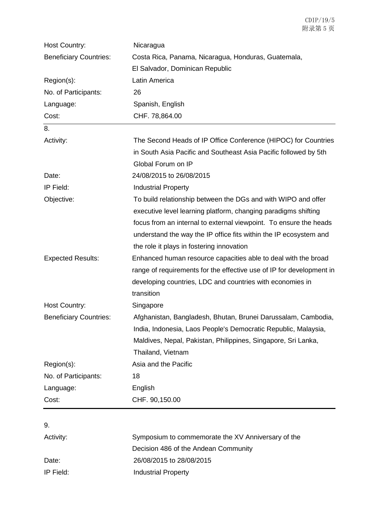| Host Country:                 | Nicaragua                                                            |
|-------------------------------|----------------------------------------------------------------------|
| <b>Beneficiary Countries:</b> | Costa Rica, Panama, Nicaragua, Honduras, Guatemala,                  |
|                               | El Salvador, Dominican Republic                                      |
| Region(s):                    | Latin America                                                        |
| No. of Participants:          | 26                                                                   |
| Language:                     | Spanish, English                                                     |
| Cost:                         | CHF. 78,864.00                                                       |
| 8.                            |                                                                      |
| Activity:                     | The Second Heads of IP Office Conference (HIPOC) for Countries       |
|                               | in South Asia Pacific and Southeast Asia Pacific followed by 5th     |
|                               | Global Forum on IP                                                   |
| Date:                         | 24/08/2015 to 26/08/2015                                             |
| IP Field:                     | <b>Industrial Property</b>                                           |
| Objective:                    | To build relationship between the DGs and with WIPO and offer        |
|                               | executive level learning platform, changing paradigms shifting       |
|                               | focus from an internal to external viewpoint. To ensure the heads    |
|                               | understand the way the IP office fits within the IP ecosystem and    |
|                               | the role it plays in fostering innovation                            |
| <b>Expected Results:</b>      | Enhanced human resource capacities able to deal with the broad       |
|                               | range of requirements for the effective use of IP for development in |
|                               | developing countries, LDC and countries with economies in            |
|                               | transition                                                           |
| Host Country:                 | Singapore                                                            |
| <b>Beneficiary Countries:</b> | Afghanistan, Bangladesh, Bhutan, Brunei Darussalam, Cambodia,        |
|                               | India, Indonesia, Laos People's Democratic Republic, Malaysia,       |
|                               | Maldives, Nepal, Pakistan, Philippines, Singapore, Sri Lanka,        |
|                               | Thailand, Vietnam                                                    |
| Region(s):                    | Asia and the Pacific                                                 |
| No. of Participants:          | 18                                                                   |
| Language:                     | English                                                              |
| Cost:                         | CHF. 90,150.00                                                       |
|                               |                                                                      |
| 9.                            |                                                                      |

| Activity: | Symposium to commemorate the XV Anniversary of the |
|-----------|----------------------------------------------------|
|           | Decision 486 of the Andean Community               |
| Date:     | 26/08/2015 to 28/08/2015                           |
| IP Field: | <b>Industrial Property</b>                         |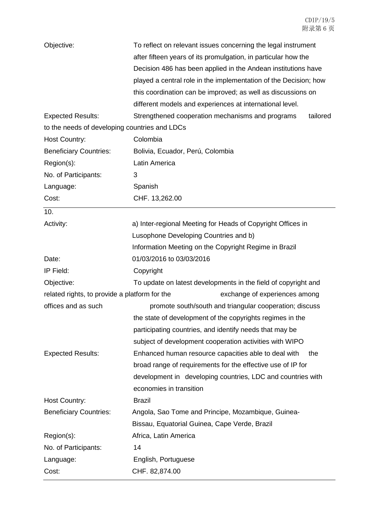| Objective:                                                                     | To reflect on relevant issues concerning the legal instrument    |
|--------------------------------------------------------------------------------|------------------------------------------------------------------|
|                                                                                | after fifteen years of its promulgation, in particular how the   |
|                                                                                | Decision 486 has been applied in the Andean institutions have    |
|                                                                                | played a central role in the implementation of the Decision; how |
|                                                                                | this coordination can be improved; as well as discussions on     |
|                                                                                | different models and experiences at international level.         |
| <b>Expected Results:</b>                                                       | Strengthened cooperation mechanisms and programs<br>tailored     |
| to the needs of developing countries and LDCs                                  |                                                                  |
| <b>Host Country:</b>                                                           | Colombia                                                         |
| <b>Beneficiary Countries:</b>                                                  | Bolivia, Ecuador, Perú, Colombia                                 |
| Region(s):                                                                     | Latin America                                                    |
| No. of Participants:                                                           | 3                                                                |
| Language:                                                                      | Spanish                                                          |
| Cost:                                                                          | CHF. 13,262.00                                                   |
| 10.                                                                            |                                                                  |
| Activity:                                                                      | a) Inter-regional Meeting for Heads of Copyright Offices in      |
|                                                                                | Lusophone Developing Countries and b)                            |
|                                                                                | Information Meeting on the Copyright Regime in Brazil            |
| Date:                                                                          | 01/03/2016 to 03/03/2016                                         |
| IP Field:                                                                      | Copyright                                                        |
| Objective:                                                                     | To update on latest developments in the field of copyright and   |
| exchange of experiences among<br>related rights, to provide a platform for the |                                                                  |
| offices and as such                                                            | promote south/south and triangular cooperation; discuss          |
|                                                                                | the state of development of the copyrights regimes in the        |
|                                                                                | participating countries, and identify needs that may be          |
|                                                                                | subject of development cooperation activities with WIPO          |
| <b>Expected Results:</b>                                                       | Enhanced human resource capacities able to deal with<br>the      |
|                                                                                | broad range of requirements for the effective use of IP for      |
|                                                                                | development in developing countries, LDC and countries with      |
|                                                                                | economies in transition                                          |
| Host Country:                                                                  | <b>Brazil</b>                                                    |
| <b>Beneficiary Countries:</b>                                                  | Angola, Sao Tome and Principe, Mozambique, Guinea-               |
|                                                                                | Bissau, Equatorial Guinea, Cape Verde, Brazil                    |
| Region(s):                                                                     | Africa, Latin America                                            |
| No. of Participants:                                                           | 14                                                               |
| Language:                                                                      | English, Portuguese                                              |
| Cost:                                                                          | CHF. 82,874.00                                                   |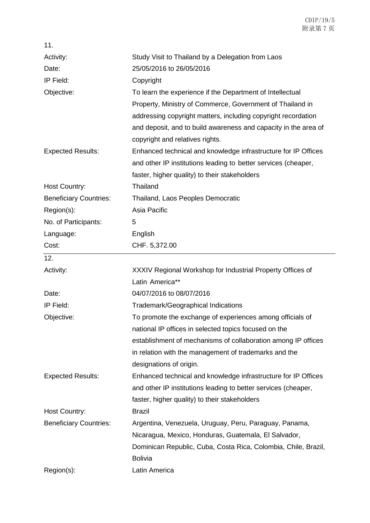| 11.                           |                                                                 |
|-------------------------------|-----------------------------------------------------------------|
| Activity:                     | Study Visit to Thailand by a Delegation from Laos               |
| Date:                         | 25/05/2016 to 26/05/2016                                        |
| IP Field:                     | Copyright                                                       |
| Objective:                    | To learn the experience if the Department of Intellectual       |
|                               | Property, Ministry of Commerce, Government of Thailand in       |
|                               | addressing copyright matters, including copyright recordation   |
|                               | and deposit, and to build awareness and capacity in the area of |
|                               | copyright and relatives rights.                                 |
| <b>Expected Results:</b>      | Enhanced technical and knowledge infrastructure for IP Offices  |
|                               | and other IP institutions leading to better services (cheaper,  |
|                               | faster, higher quality) to their stakeholders                   |
| <b>Host Country:</b>          | Thailand                                                        |
| <b>Beneficiary Countries:</b> | Thailand, Laos Peoples Democratic                               |
| Region(s):                    | Asia Pacific                                                    |
| No. of Participants:          | 5                                                               |
| Language:                     | English                                                         |
| Cost:                         | CHF. 5,372.00                                                   |
| 12.                           |                                                                 |
| Activity:                     | XXXIV Regional Workshop for Industrial Property Offices of      |
|                               | Latin America**                                                 |
| Date:                         | 04/07/2016 to 08/07/2016                                        |
| IP Field:                     | Trademark/Geographical Indications                              |
| Objective:                    | To promote the exchange of experiences among officials of       |
|                               | national IP offices in selected topics focused on the           |
|                               | establishment of mechanisms of collaboration among IP offices   |
|                               | in relation with the management of trademarks and the           |
|                               | designations of origin.                                         |
| <b>Expected Results:</b>      | Enhanced technical and knowledge infrastructure for IP Offices  |
|                               | and other IP institutions leading to better services (cheaper,  |
|                               | faster, higher quality) to their stakeholders                   |
| Host Country:                 | <b>Brazil</b>                                                   |
| <b>Beneficiary Countries:</b> | Argentina, Venezuela, Uruguay, Peru, Paraguay, Panama,          |
|                               | Nicaragua, Mexico, Honduras, Guatemala, El Salvador,            |
|                               | Dominican Republic, Cuba, Costa Rica, Colombia, Chile, Brazil,  |
|                               | <b>Bolivia</b>                                                  |
| Region(s):                    | Latin America                                                   |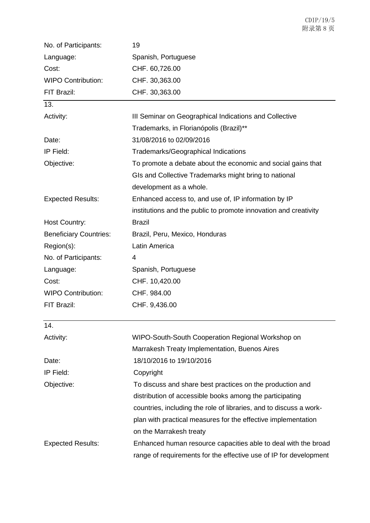| No. of Participants:          | 19                                                                 |
|-------------------------------|--------------------------------------------------------------------|
| Language:                     | Spanish, Portuguese                                                |
| Cost:                         | CHF. 60,726.00                                                     |
| <b>WIPO Contribution:</b>     | CHF. 30,363.00                                                     |
| FIT Brazil:                   | CHF. 30,363.00                                                     |
| 13.                           |                                                                    |
| Activity:                     | III Seminar on Geographical Indications and Collective             |
|                               | Trademarks, in Florianópolis (Brazil)**                            |
| Date:                         | 31/08/2016 to 02/09/2016                                           |
| IP Field:                     | Trademarks/Geographical Indications                                |
| Objective:                    | To promote a debate about the economic and social gains that       |
|                               | GIs and Collective Trademarks might bring to national              |
|                               | development as a whole.                                            |
| <b>Expected Results:</b>      | Enhanced access to, and use of, IP information by IP               |
|                               | institutions and the public to promote innovation and creativity   |
| Host Country:                 | <b>Brazil</b>                                                      |
| <b>Beneficiary Countries:</b> | Brazil, Peru, Mexico, Honduras                                     |
| Region(s):                    | Latin America                                                      |
| No. of Participants:          | 4                                                                  |
| Language:                     | Spanish, Portuguese                                                |
| Cost:                         | CHF. 10,420.00                                                     |
| <b>WIPO Contribution:</b>     | CHF. 984.00                                                        |
| FIT Brazil:                   | CHF. 9,436.00                                                      |
| 14.                           |                                                                    |
| Activity:                     | WIPO-South-South Cooperation Regional Workshop on                  |
|                               | Marrakesh Treaty Implementation, Buenos Aires                      |
| Date:                         | 18/10/2016 to 19/10/2016                                           |
| IP Field:                     | Copyright                                                          |
| Objective:                    | To discuss and share best practices on the production and          |
|                               | distribution of accessible books among the participating           |
|                               | countries, including the role of libraries, and to discuss a work- |
|                               | plan with practical measures for the effective implementation      |
|                               | on the Marrakesh treaty                                            |
| <b>Expected Results:</b>      | Enhanced human resource capacities able to deal with the broad     |
|                               | range of requirements for the effective use of IP for development  |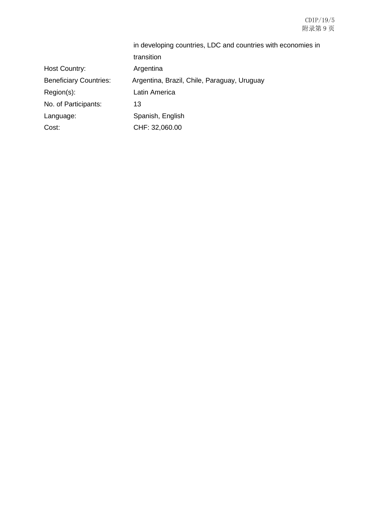#### CDIP/19/5 附录第 9 页

|                               | in developing countries, LDC and countries with economies in |
|-------------------------------|--------------------------------------------------------------|
|                               | transition                                                   |
| <b>Host Country:</b>          | Argentina                                                    |
| <b>Beneficiary Countries:</b> | Argentina, Brazil, Chile, Paraguay, Uruguay                  |
| Region(s):                    | Latin America                                                |
| No. of Participants:          | 13                                                           |
| Language:                     | Spanish, English                                             |
| Cost:                         | CHF: 32,060.00                                               |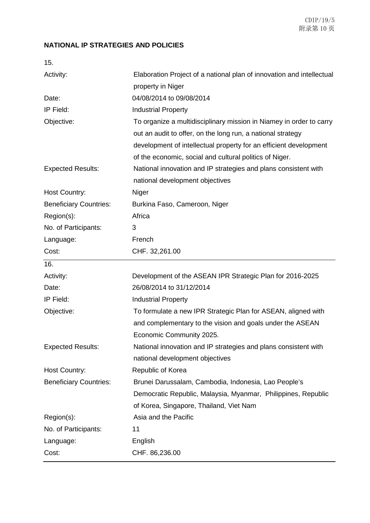### **NATIONAL IP STRATEGIES AND POLICIES**

| 15.                           |                                                                       |
|-------------------------------|-----------------------------------------------------------------------|
| Activity:                     | Elaboration Project of a national plan of innovation and intellectual |
|                               | property in Niger                                                     |
| Date:                         | 04/08/2014 to 09/08/2014                                              |
| IP Field:                     | <b>Industrial Property</b>                                            |
| Objective:                    | To organize a multidisciplinary mission in Niamey in order to carry   |
|                               | out an audit to offer, on the long run, a national strategy           |
|                               | development of intellectual property for an efficient development     |
|                               | of the economic, social and cultural politics of Niger.               |
| <b>Expected Results:</b>      | National innovation and IP strategies and plans consistent with       |
|                               | national development objectives                                       |
| <b>Host Country:</b>          | Niger                                                                 |
| <b>Beneficiary Countries:</b> | Burkina Faso, Cameroon, Niger                                         |
| Region(s):                    | Africa                                                                |
| No. of Participants:          | 3                                                                     |
| Language:                     | French                                                                |
| Cost:                         | CHF. 32,261.00                                                        |
|                               |                                                                       |
| 16.                           |                                                                       |
| Activity:                     | Development of the ASEAN IPR Strategic Plan for 2016-2025             |
| Date:                         | 26/08/2014 to 31/12/2014                                              |
| IP Field:                     | <b>Industrial Property</b>                                            |
| Objective:                    | To formulate a new IPR Strategic Plan for ASEAN, aligned with         |
|                               | and complementary to the vision and goals under the ASEAN             |
|                               | Economic Community 2025.                                              |
| <b>Expected Results:</b>      | National innovation and IP strategies and plans consistent with       |
|                               | national development objectives                                       |
| Host Country:                 | Republic of Korea                                                     |
| <b>Beneficiary Countries:</b> | Brunei Darussalam, Cambodia, Indonesia, Lao People's                  |
|                               | Democratic Republic, Malaysia, Myanmar, Philippines, Republic         |
|                               | of Korea, Singapore, Thailand, Viet Nam                               |
| Region(s):                    | Asia and the Pacific                                                  |
| No. of Participants:          | 11                                                                    |
| Language:                     | English                                                               |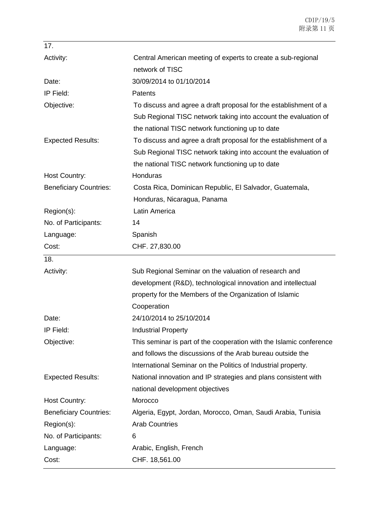| 17.                           |                                                                     |
|-------------------------------|---------------------------------------------------------------------|
| Activity:                     | Central American meeting of experts to create a sub-regional        |
|                               | network of TISC                                                     |
| Date:                         | 30/09/2014 to 01/10/2014                                            |
| IP Field:                     | <b>Patents</b>                                                      |
| Objective:                    | To discuss and agree a draft proposal for the establishment of a    |
|                               | Sub Regional TISC network taking into account the evaluation of     |
|                               | the national TISC network functioning up to date                    |
| <b>Expected Results:</b>      | To discuss and agree a draft proposal for the establishment of a    |
|                               | Sub Regional TISC network taking into account the evaluation of     |
|                               | the national TISC network functioning up to date                    |
| <b>Host Country:</b>          | Honduras                                                            |
| <b>Beneficiary Countries:</b> | Costa Rica, Dominican Republic, El Salvador, Guatemala,             |
|                               | Honduras, Nicaragua, Panama                                         |
| Region(s):                    | Latin America                                                       |
| No. of Participants:          | 14                                                                  |
| Language:                     | Spanish                                                             |
| Cost:                         | CHF. 27,830.00                                                      |
|                               |                                                                     |
| 18.                           |                                                                     |
| Activity:                     | Sub Regional Seminar on the valuation of research and               |
|                               | development (R&D), technological innovation and intellectual        |
|                               | property for the Members of the Organization of Islamic             |
|                               | Cooperation                                                         |
| Date:                         | 24/10/2014 to 25/10/2014                                            |
| IP Field:                     | <b>Industrial Property</b>                                          |
| Objective:                    | This seminar is part of the cooperation with the Islamic conference |
|                               | and follows the discussions of the Arab bureau outside the          |
|                               | International Seminar on the Politics of Industrial property.       |
| <b>Expected Results:</b>      | National innovation and IP strategies and plans consistent with     |
|                               | national development objectives                                     |
| <b>Host Country:</b>          | Morocco                                                             |
| <b>Beneficiary Countries:</b> | Algeria, Egypt, Jordan, Morocco, Oman, Saudi Arabia, Tunisia        |
| Region(s):                    | <b>Arab Countries</b>                                               |
| No. of Participants:          | 6                                                                   |
| Language:                     | Arabic, English, French                                             |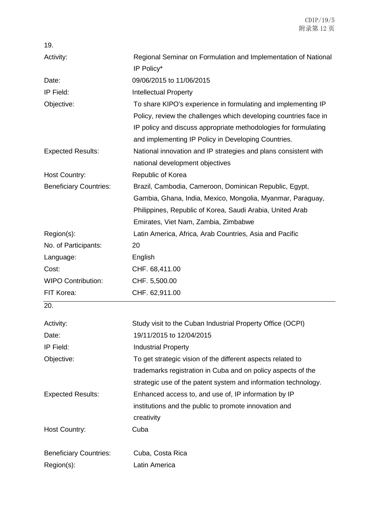| 19.                           |                                                                                                                                                                                                                                                             |
|-------------------------------|-------------------------------------------------------------------------------------------------------------------------------------------------------------------------------------------------------------------------------------------------------------|
| Activity:                     | Regional Seminar on Formulation and Implementation of National<br>IP Policy*                                                                                                                                                                                |
| Date:                         | 09/06/2015 to 11/06/2015                                                                                                                                                                                                                                    |
| IP Field:                     | <b>Intellectual Property</b>                                                                                                                                                                                                                                |
| Objective:                    | To share KIPO's experience in formulating and implementing IP<br>Policy, review the challenges which developing countries face in<br>IP policy and discuss appropriate methodologies for formulating<br>and implementing IP Policy in Developing Countries. |
| <b>Expected Results:</b>      | National innovation and IP strategies and plans consistent with<br>national development objectives                                                                                                                                                          |
| Host Country:                 | Republic of Korea                                                                                                                                                                                                                                           |
| <b>Beneficiary Countries:</b> | Brazil, Cambodia, Cameroon, Dominican Republic, Egypt,<br>Gambia, Ghana, India, Mexico, Mongolia, Myanmar, Paraguay,<br>Philippines, Republic of Korea, Saudi Arabia, United Arab<br>Emirates, Viet Nam, Zambia, Zimbabwe                                   |
| Region(s):                    | Latin America, Africa, Arab Countries, Asia and Pacific                                                                                                                                                                                                     |
| No. of Participants:          | 20                                                                                                                                                                                                                                                          |
| Language:                     | English                                                                                                                                                                                                                                                     |
| Cost:                         | CHF. 68,411.00                                                                                                                                                                                                                                              |
| <b>WIPO Contribution:</b>     | CHF. 5,500.00                                                                                                                                                                                                                                               |
| FIT Korea:                    | CHF. 62,911.00                                                                                                                                                                                                                                              |
| 20.                           |                                                                                                                                                                                                                                                             |
| Activity:                     | Study visit to the Cuban Industrial Property Office (OCPI)                                                                                                                                                                                                  |
| Date:                         | 19/11/2015 to 12/04/2015                                                                                                                                                                                                                                    |
| IP Field:                     | <b>Industrial Property</b>                                                                                                                                                                                                                                  |
| Objective:                    | To get strategic vision of the different aspects related to<br>trademarks registration in Cuba and on policy aspects of the<br>strategic use of the patent system and information technology.                                                               |
| <b>Expected Results:</b>      | Enhanced access to, and use of, IP information by IP<br>institutions and the public to promote innovation and<br>creativity                                                                                                                                 |
| Host Country:                 | Cuba                                                                                                                                                                                                                                                        |
| <b>Beneficiary Countries:</b> | Cuba, Costa Rica                                                                                                                                                                                                                                            |
| Region(s):                    | Latin America                                                                                                                                                                                                                                               |
|                               |                                                                                                                                                                                                                                                             |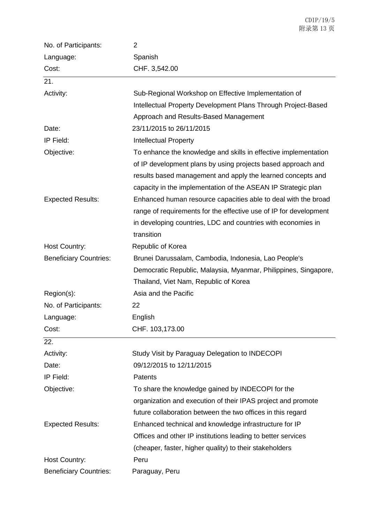| No. of Participants:          | 2                                                                 |
|-------------------------------|-------------------------------------------------------------------|
| Language:                     | Spanish                                                           |
| Cost:                         | CHF. 3,542.00                                                     |
| 21.                           |                                                                   |
| Activity:                     | Sub-Regional Workshop on Effective Implementation of              |
|                               | Intellectual Property Development Plans Through Project-Based     |
|                               | Approach and Results-Based Management                             |
| Date:                         | 23/11/2015 to 26/11/2015                                          |
| IP Field:                     | <b>Intellectual Property</b>                                      |
| Objective:                    | To enhance the knowledge and skills in effective implementation   |
|                               | of IP development plans by using projects based approach and      |
|                               | results based management and apply the learned concepts and       |
|                               | capacity in the implementation of the ASEAN IP Strategic plan     |
| <b>Expected Results:</b>      | Enhanced human resource capacities able to deal with the broad    |
|                               | range of requirements for the effective use of IP for development |
|                               | in developing countries, LDC and countries with economies in      |
|                               | transition                                                        |
| Host Country:                 | Republic of Korea                                                 |
| <b>Beneficiary Countries:</b> | Brunei Darussalam, Cambodia, Indonesia, Lao People's              |
|                               | Democratic Republic, Malaysia, Myanmar, Philippines, Singapore,   |
|                               | Thailand, Viet Nam, Republic of Korea                             |
| Region(s):                    | Asia and the Pacific                                              |
| No. of Participants:          | 22                                                                |
| Language:                     | English                                                           |
| Cost:                         | CHF. 103,173.00                                                   |
| 22.                           |                                                                   |
| Activity:                     | Study Visit by Paraguay Delegation to INDECOPI                    |
| Date:                         | 09/12/2015 to 12/11/2015                                          |
| IP Field:                     | Patents                                                           |
| Objective:                    | To share the knowledge gained by INDECOPI for the                 |
|                               | organization and execution of their IPAS project and promote      |
|                               | future collaboration between the two offices in this regard       |
| <b>Expected Results:</b>      | Enhanced technical and knowledge infrastructure for IP            |
|                               | Offices and other IP institutions leading to better services      |
|                               | (cheaper, faster, higher quality) to their stakeholders           |
| Host Country:                 | Peru                                                              |
| <b>Beneficiary Countries:</b> | Paraguay, Peru                                                    |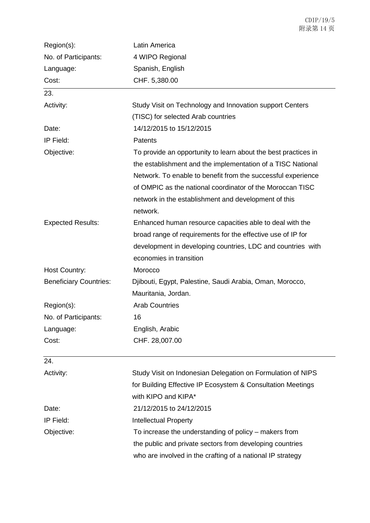| Region(s):                    | Latin America                                                  |
|-------------------------------|----------------------------------------------------------------|
| No. of Participants:          | 4 WIPO Regional                                                |
| Language:                     | Spanish, English                                               |
| Cost:                         | CHF. 5,380.00                                                  |
| 23.                           |                                                                |
| Activity:                     | Study Visit on Technology and Innovation support Centers       |
|                               | (TISC) for selected Arab countries                             |
| Date:                         | 14/12/2015 to 15/12/2015                                       |
| IP Field:                     | Patents                                                        |
| Objective:                    | To provide an opportunity to learn about the best practices in |
|                               | the establishment and the implementation of a TISC National    |
|                               | Network. To enable to benefit from the successful experience   |
|                               | of OMPIC as the national coordinator of the Moroccan TISC      |
|                               | network in the establishment and development of this           |
|                               | network.                                                       |
| <b>Expected Results:</b>      | Enhanced human resource capacities able to deal with the       |
|                               | broad range of requirements for the effective use of IP for    |
|                               | development in developing countries, LDC and countries with    |
|                               | economies in transition                                        |
| <b>Host Country:</b>          | Morocco                                                        |
| <b>Beneficiary Countries:</b> | Djibouti, Egypt, Palestine, Saudi Arabia, Oman, Morocco,       |
|                               | Mauritania, Jordan.                                            |
| Region(s):                    | <b>Arab Countries</b>                                          |
| No. of Participants:          | 16                                                             |
| Language:                     | English, Arabic                                                |
| Cost:                         | CHF. 28,007.00                                                 |
| 24.                           |                                                                |
| Activity:                     | Study Visit on Indonesian Delegation on Formulation of NIPS    |
|                               | for Building Effective IP Ecosystem & Consultation Meetings    |
|                               | with KIPO and KIPA*                                            |
| Date:                         | 21/12/2015 to 24/12/2015                                       |
| IP Field:                     | <b>Intellectual Property</b>                                   |
| Objective:                    | To increase the understanding of policy – makers from          |
|                               | the public and private sectors from developing countries       |
|                               | who are involved in the crafting of a national IP strategy     |

CDIP/19/5 附录第 14 页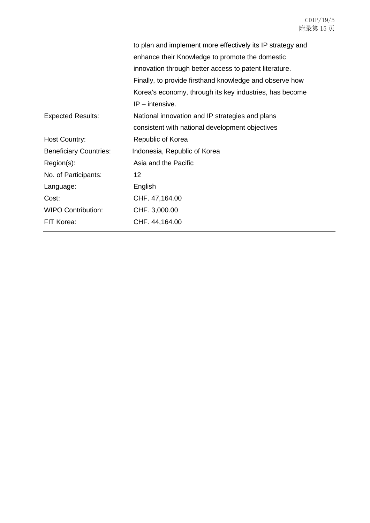|                               | to plan and implement more effectively its IP strategy and |
|-------------------------------|------------------------------------------------------------|
|                               | enhance their Knowledge to promote the domestic            |
|                               | innovation through better access to patent literature.     |
|                               | Finally, to provide firsthand knowledge and observe how    |
|                               | Korea's economy, through its key industries, has become    |
|                               | $IP$ – intensive.                                          |
| <b>Expected Results:</b>      | National innovation and IP strategies and plans            |
|                               | consistent with national development objectives            |
| Host Country:                 | Republic of Korea                                          |
| <b>Beneficiary Countries:</b> | Indonesia, Republic of Korea                               |
| Region(s):                    | Asia and the Pacific                                       |
| No. of Participants:          | 12                                                         |
| Language:                     | English                                                    |
| Cost:                         | CHF. 47,164.00                                             |
| <b>WIPO Contribution:</b>     | CHF. 3,000.00                                              |
| FIT Korea:                    | CHF. 44, 164.00                                            |
|                               |                                                            |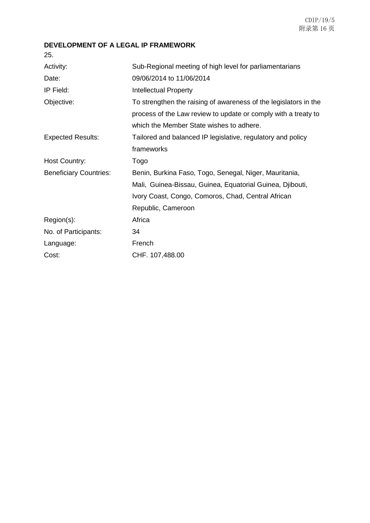### **DEVELOPMENT OF A LEGAL IP FRAMEWORK**

25.

| Activity:                     | Sub-Regional meeting of high level for parliamentarians          |
|-------------------------------|------------------------------------------------------------------|
| Date:                         | 09/06/2014 to 11/06/2014                                         |
| IP Field:                     | <b>Intellectual Property</b>                                     |
| Objective:                    | To strengthen the raising of awareness of the legislators in the |
|                               | process of the Law review to update or comply with a treaty to   |
|                               | which the Member State wishes to adhere.                         |
| <b>Expected Results:</b>      | Tailored and balanced IP legislative, regulatory and policy      |
|                               | frameworks                                                       |
| <b>Host Country:</b>          | Togo                                                             |
| <b>Beneficiary Countries:</b> | Benin, Burkina Faso, Togo, Senegal, Niger, Mauritania,           |
|                               | Mali, Guinea-Bissau, Guinea, Equatorial Guinea, Djibouti,        |
|                               | Ivory Coast, Congo, Comoros, Chad, Central African               |
|                               | Republic, Cameroon                                               |
| Region(s):                    | Africa                                                           |
| No. of Participants:          | 34                                                               |
| Language:                     | French                                                           |
| Cost:                         | CHF. 107,488.00                                                  |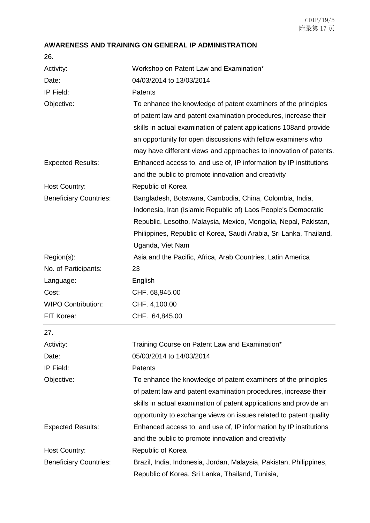## **AWARENESS AND TRAINING ON GENERAL IP ADMINISTRATION**

26.

| Activity:                     | Workshop on Patent Law and Examination*                                                                                                                                                                                                                                                                                                        |
|-------------------------------|------------------------------------------------------------------------------------------------------------------------------------------------------------------------------------------------------------------------------------------------------------------------------------------------------------------------------------------------|
| Date:                         | 04/03/2014 to 13/03/2014                                                                                                                                                                                                                                                                                                                       |
| IP Field:                     | <b>Patents</b>                                                                                                                                                                                                                                                                                                                                 |
| Objective:                    | To enhance the knowledge of patent examiners of the principles<br>of patent law and patent examination procedures, increase their<br>skills in actual examination of patent applications 108 and provide<br>an opportunity for open discussions with fellow examiners who<br>may have different views and approaches to innovation of patents. |
| <b>Expected Results:</b>      | Enhanced access to, and use of, IP information by IP institutions<br>and the public to promote innovation and creativity                                                                                                                                                                                                                       |
| <b>Host Country:</b>          | Republic of Korea                                                                                                                                                                                                                                                                                                                              |
| <b>Beneficiary Countries:</b> | Bangladesh, Botswana, Cambodia, China, Colombia, India,<br>Indonesia, Iran (Islamic Republic of) Laos People's Democratic<br>Republic, Lesotho, Malaysia, Mexico, Mongolia, Nepal, Pakistan,<br>Philippines, Republic of Korea, Saudi Arabia, Sri Lanka, Thailand,<br>Uganda, Viet Nam                                                         |
| Region(s):                    | Asia and the Pacific, Africa, Arab Countries, Latin America                                                                                                                                                                                                                                                                                    |
| No. of Participants:          | 23                                                                                                                                                                                                                                                                                                                                             |
| Language:                     | English                                                                                                                                                                                                                                                                                                                                        |
| Cost:                         | CHF. 68,945.00                                                                                                                                                                                                                                                                                                                                 |
| <b>WIPO Contribution:</b>     | CHF. 4,100.00                                                                                                                                                                                                                                                                                                                                  |
| FIT Korea:                    | CHF. 64,845.00                                                                                                                                                                                                                                                                                                                                 |
| 27.                           |                                                                                                                                                                                                                                                                                                                                                |
| Activity:                     | Training Course on Patent Law and Examination*                                                                                                                                                                                                                                                                                                 |
| Date:                         | 05/03/2014 to 14/03/2014                                                                                                                                                                                                                                                                                                                       |
| IP Field:                     | <b>Patents</b>                                                                                                                                                                                                                                                                                                                                 |
| Objective:                    | To enhance the knowledge of patent examiners of the principles<br>of patent law and patent examination procedures, increase their<br>skills in actual examination of patent applications and provide an<br>opportunity to exchange views on issues related to patent quality                                                                   |
| <b>Expected Results:</b>      | Enhanced access to, and use of, IP information by IP institutions<br>and the public to promote innovation and creativity                                                                                                                                                                                                                       |
| <b>Host Country:</b>          | Republic of Korea                                                                                                                                                                                                                                                                                                                              |
| <b>Beneficiary Countries:</b> | Brazil, India, Indonesia, Jordan, Malaysia, Pakistan, Philippines,<br>Republic of Korea, Sri Lanka, Thailand, Tunisia,                                                                                                                                                                                                                         |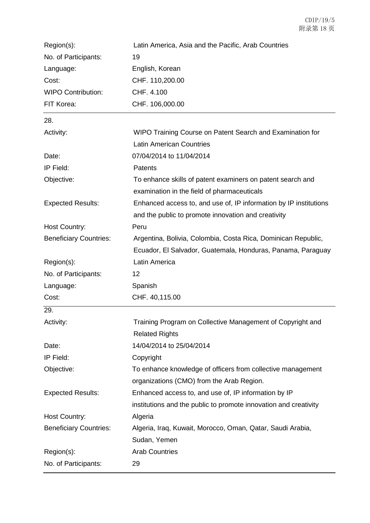| Region(s):                    | Latin America, Asia and the Pacific, Arab Countries                                                                          |
|-------------------------------|------------------------------------------------------------------------------------------------------------------------------|
| No. of Participants:          | 19                                                                                                                           |
| Language:                     | English, Korean                                                                                                              |
| Cost:                         | CHF. 110,200.00                                                                                                              |
| <b>WIPO Contribution:</b>     | CHF. 4.100                                                                                                                   |
| FIT Korea:                    | CHF. 106,000.00                                                                                                              |
| 28.                           |                                                                                                                              |
| Activity:                     | WIPO Training Course on Patent Search and Examination for                                                                    |
|                               | <b>Latin American Countries</b>                                                                                              |
| Date:                         | 07/04/2014 to 11/04/2014                                                                                                     |
| IP Field:                     | Patents                                                                                                                      |
| Objective:                    | To enhance skills of patent examiners on patent search and<br>examination in the field of pharmaceuticals                    |
| <b>Expected Results:</b>      | Enhanced access to, and use of, IP information by IP institutions<br>and the public to promote innovation and creativity     |
| <b>Host Country:</b>          | Peru                                                                                                                         |
| <b>Beneficiary Countries:</b> | Argentina, Bolivia, Colombia, Costa Rica, Dominican Republic,<br>Ecuador, El Salvador, Guatemala, Honduras, Panama, Paraguay |
| Region(s):                    | Latin America                                                                                                                |
| No. of Participants:          | 12                                                                                                                           |
| Language:                     | Spanish                                                                                                                      |
| Cost:                         | CHF. 40,115.00                                                                                                               |
| 29.                           |                                                                                                                              |
| Activity:                     | Training Program on Collective Management of Copyright and<br><b>Related Rights</b>                                          |
| Date:                         | 14/04/2014 to 25/04/2014                                                                                                     |
| IP Field:                     | Copyright                                                                                                                    |
| Objective:                    | To enhance knowledge of officers from collective management                                                                  |
|                               | organizations (CMO) from the Arab Region.                                                                                    |
| <b>Expected Results:</b>      | Enhanced access to, and use of, IP information by IP                                                                         |
|                               | institutions and the public to promote innovation and creativity                                                             |
| <b>Host Country:</b>          | Algeria                                                                                                                      |
| <b>Beneficiary Countries:</b> | Algeria, Iraq, Kuwait, Morocco, Oman, Qatar, Saudi Arabia,                                                                   |
|                               | Sudan, Yemen                                                                                                                 |
| Region(s):                    | <b>Arab Countries</b>                                                                                                        |
| No. of Participants:          | 29                                                                                                                           |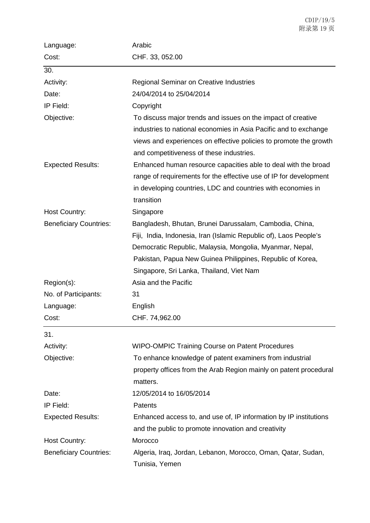| Language:                     | Arabic                                                                         |
|-------------------------------|--------------------------------------------------------------------------------|
| Cost:                         | CHF. 33, 052.00                                                                |
| 30.                           |                                                                                |
| Activity:                     | <b>Regional Seminar on Creative Industries</b>                                 |
| Date:                         | 24/04/2014 to 25/04/2014                                                       |
| IP Field:                     | Copyright                                                                      |
| Objective:                    | To discuss major trends and issues on the impact of creative                   |
|                               | industries to national economies in Asia Pacific and to exchange               |
|                               | views and experiences on effective policies to promote the growth              |
|                               | and competitiveness of these industries.                                       |
| <b>Expected Results:</b>      | Enhanced human resource capacities able to deal with the broad                 |
|                               | range of requirements for the effective use of IP for development              |
|                               | in developing countries, LDC and countries with economies in                   |
|                               | transition                                                                     |
| Host Country:                 | Singapore                                                                      |
| <b>Beneficiary Countries:</b> | Bangladesh, Bhutan, Brunei Darussalam, Cambodia, China,                        |
|                               | Fiji, India, Indonesia, Iran (Islamic Republic of), Laos People's              |
|                               | Democratic Republic, Malaysia, Mongolia, Myanmar, Nepal,                       |
|                               | Pakistan, Papua New Guinea Philippines, Republic of Korea,                     |
|                               | Singapore, Sri Lanka, Thailand, Viet Nam                                       |
| Region(s):                    | Asia and the Pacific                                                           |
| No. of Participants:          | 31                                                                             |
| Language:                     | English                                                                        |
| Cost:                         | CHF. 74,962.00                                                                 |
| 31.                           |                                                                                |
| Activity:                     | <b>WIPO-OMPIC Training Course on Patent Procedures</b>                         |
| Objective:                    | To enhance knowledge of patent examiners from industrial                       |
|                               | property offices from the Arab Region mainly on patent procedural              |
|                               | matters.                                                                       |
| Date:                         | 12/05/2014 to 16/05/2014                                                       |
| IP Field:                     | Patents                                                                        |
| <b>Expected Results:</b>      | Enhanced access to, and use of, IP information by IP institutions              |
|                               | and the public to promote innovation and creativity                            |
| Host Country:                 | Morocco                                                                        |
| <b>Beneficiary Countries:</b> | Algeria, Iraq, Jordan, Lebanon, Morocco, Oman, Qatar, Sudan,<br>Tunisia, Yemen |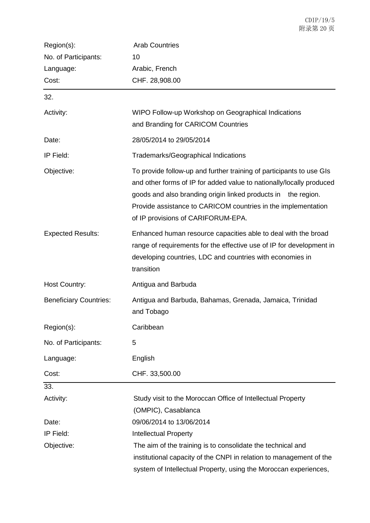| Region(s):                    | <b>Arab Countries</b>                                                                                                                                                                                                                                                                                                |
|-------------------------------|----------------------------------------------------------------------------------------------------------------------------------------------------------------------------------------------------------------------------------------------------------------------------------------------------------------------|
| No. of Participants:          | 10                                                                                                                                                                                                                                                                                                                   |
| Language:                     | Arabic, French                                                                                                                                                                                                                                                                                                       |
| Cost:                         | CHF. 28,908.00                                                                                                                                                                                                                                                                                                       |
| 32.                           |                                                                                                                                                                                                                                                                                                                      |
| Activity:                     | WIPO Follow-up Workshop on Geographical Indications<br>and Branding for CARICOM Countries                                                                                                                                                                                                                            |
| Date:                         | 28/05/2014 to 29/05/2014                                                                                                                                                                                                                                                                                             |
| IP Field:                     | Trademarks/Geographical Indications                                                                                                                                                                                                                                                                                  |
| Objective:                    | To provide follow-up and further training of participants to use GIs<br>and other forms of IP for added value to nationally/locally produced<br>goods and also branding origin linked products in the region.<br>Provide assistance to CARICOM countries in the implementation<br>of IP provisions of CARIFORUM-EPA. |
| <b>Expected Results:</b>      | Enhanced human resource capacities able to deal with the broad<br>range of requirements for the effective use of IP for development in<br>developing countries, LDC and countries with economies in<br>transition                                                                                                    |
| Host Country:                 | Antigua and Barbuda                                                                                                                                                                                                                                                                                                  |
| <b>Beneficiary Countries:</b> | Antigua and Barbuda, Bahamas, Grenada, Jamaica, Trinidad<br>and Tobago                                                                                                                                                                                                                                               |
| Region(s):                    | Caribbean                                                                                                                                                                                                                                                                                                            |
| No. of Participants:          | 5                                                                                                                                                                                                                                                                                                                    |
| Language:                     | English                                                                                                                                                                                                                                                                                                              |
| Cost:                         | CHF. 33,500.00                                                                                                                                                                                                                                                                                                       |
| 33.                           |                                                                                                                                                                                                                                                                                                                      |
| Activity:                     | Study visit to the Moroccan Office of Intellectual Property                                                                                                                                                                                                                                                          |
|                               | (OMPIC), Casablanca                                                                                                                                                                                                                                                                                                  |
| Date:                         | 09/06/2014 to 13/06/2014                                                                                                                                                                                                                                                                                             |
| IP Field:                     | <b>Intellectual Property</b>                                                                                                                                                                                                                                                                                         |
| Objective:                    | The aim of the training is to consolidate the technical and                                                                                                                                                                                                                                                          |
|                               | institutional capacity of the CNPI in relation to management of the                                                                                                                                                                                                                                                  |
|                               | system of Intellectual Property, using the Moroccan experiences,                                                                                                                                                                                                                                                     |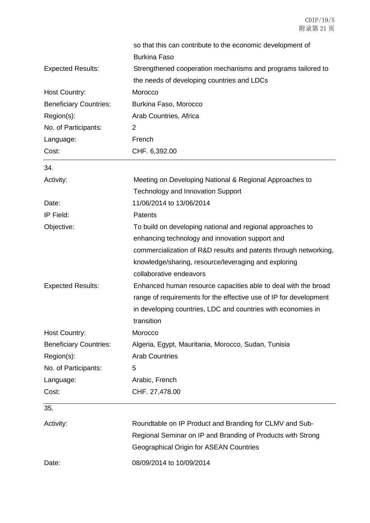|                               | so that this can contribute to the economic development of        |
|-------------------------------|-------------------------------------------------------------------|
|                               | <b>Burkina Faso</b>                                               |
| <b>Expected Results:</b>      | Strengthened cooperation mechanisms and programs tailored to      |
|                               | the needs of developing countries and LDCs                        |
| <b>Host Country:</b>          | Morocco                                                           |
| <b>Beneficiary Countries:</b> | Burkina Faso, Morocco                                             |
| Region(s):                    | Arab Countries, Africa                                            |
| No. of Participants:          | 2                                                                 |
| Language:                     | French                                                            |
| Cost:                         | CHF. 6,392.00                                                     |
| 34.                           |                                                                   |
| Activity:                     | Meeting on Developing National & Regional Approaches to           |
|                               | <b>Technology and Innovation Support</b>                          |
| Date:                         | 11/06/2014 to 13/06/2014                                          |
| IP Field:                     | Patents                                                           |
| Objective:                    | To build on developing national and regional approaches to        |
|                               | enhancing technology and innovation support and                   |
|                               | commercialization of R&D results and patents through networking,  |
|                               | knowledge/sharing, resource/leveraging and exploring              |
|                               | collaborative endeavors                                           |
| <b>Expected Results:</b>      | Enhanced human resource capacities able to deal with the broad    |
|                               | range of requirements for the effective use of IP for development |
|                               | in developing countries, LDC and countries with economies in      |
|                               | transition                                                        |
| Host Country:                 | Morocco                                                           |
| <b>Beneficiary Countries:</b> | Algeria, Egypt, Mauritania, Morocco, Sudan, Tunisia               |
| Region(s):                    | <b>Arab Countries</b>                                             |
| No. of Participants:          | 5                                                                 |
| Language:                     | Arabic, French                                                    |
| Cost:                         | CHF. 27,478.00                                                    |
| 35.                           |                                                                   |
| Activity:                     | Roundtable on IP Product and Branding for CLMV and Sub-           |
|                               | Regional Seminar on IP and Branding of Products with Strong       |
|                               | <b>Geographical Origin for ASEAN Countries</b>                    |
|                               |                                                                   |

Date: 08/09/2014 to 10/09/2014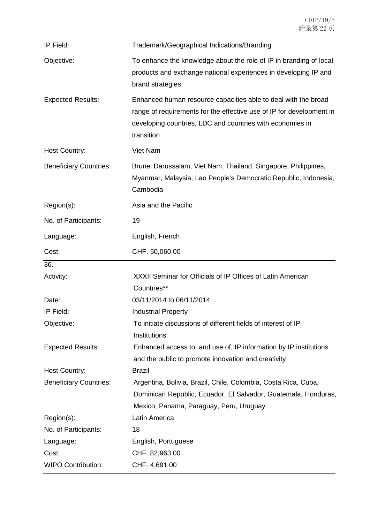| IP Field:                     | Trademark/Geographical Indications/Branding                                                                                                                                                                       |
|-------------------------------|-------------------------------------------------------------------------------------------------------------------------------------------------------------------------------------------------------------------|
| Objective:                    | To enhance the knowledge about the role of IP in branding of local<br>products and exchange national experiences in developing IP and<br>brand strategies.                                                        |
| <b>Expected Results:</b>      | Enhanced human resource capacities able to deal with the broad<br>range of requirements for the effective use of IP for development in<br>developing countries, LDC and countries with economies in<br>transition |
| Host Country:                 | <b>Viet Nam</b>                                                                                                                                                                                                   |
| <b>Beneficiary Countries:</b> | Brunei Darussalam, Viet Nam, Thailand, Singapore, Philippines,<br>Myanmar, Malaysia, Lao People's Democratic Republic, Indonesia,<br>Cambodia                                                                     |
| Region(s):                    | Asia and the Pacific                                                                                                                                                                                              |
| No. of Participants:          | 19                                                                                                                                                                                                                |
| Language:                     | English, French                                                                                                                                                                                                   |
| Cost:                         | CHF. 50,060.00                                                                                                                                                                                                    |
| 36.                           |                                                                                                                                                                                                                   |
| Activity:                     | XXXII Seminar for Officials of IP Offices of Latin American<br>Countries**                                                                                                                                        |
|                               |                                                                                                                                                                                                                   |
| Date:                         | 03/11/2014 to 06/11/2014                                                                                                                                                                                          |
| IP Field:                     | <b>Industrial Property</b>                                                                                                                                                                                        |
| Objective:                    | To initiate discussions of different fields of interest of IP<br>Institutions.                                                                                                                                    |
| <b>Expected Results:</b>      | Enhanced access to, and use of, IP information by IP institutions<br>and the public to promote innovation and creativity                                                                                          |
| <b>Host Country:</b>          | <b>Brazil</b>                                                                                                                                                                                                     |
| <b>Beneficiary Countries:</b> | Argentina, Bolivia, Brazil, Chile, Colombia, Costa Rica, Cuba,<br>Dominican Republic, Ecuador, El Salvador, Guatemala, Honduras,<br>Mexico, Panama, Paraguay, Peru, Uruguay                                       |
| Region(s):                    | Latin America                                                                                                                                                                                                     |
| No. of Participants:          | 18                                                                                                                                                                                                                |
| Language:                     | English, Portuguese                                                                                                                                                                                               |
| Cost:                         | CHF. 82,963.00                                                                                                                                                                                                    |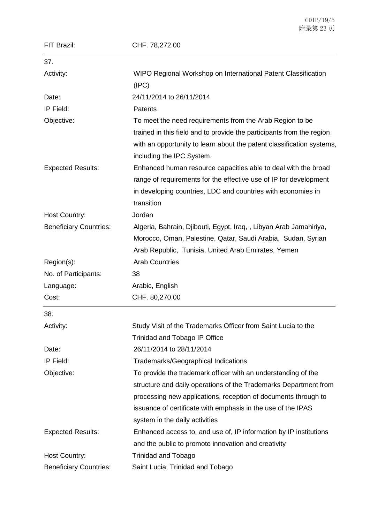| FIT Brazil:                   | CHF. 78,272.00                                                                                     |
|-------------------------------|----------------------------------------------------------------------------------------------------|
| 37.                           |                                                                                                    |
| Activity:                     | WIPO Regional Workshop on International Patent Classification<br>(IPC)                             |
| Date:                         | 24/11/2014 to 26/11/2014                                                                           |
| IP Field:                     | Patents                                                                                            |
| Objective:                    | To meet the need requirements from the Arab Region to be                                           |
|                               | trained in this field and to provide the participants from the region                              |
|                               | with an opportunity to learn about the patent classification systems,<br>including the IPC System. |
| <b>Expected Results:</b>      | Enhanced human resource capacities able to deal with the broad                                     |
|                               | range of requirements for the effective use of IP for development                                  |
|                               | in developing countries, LDC and countries with economies in                                       |
|                               | transition                                                                                         |
| Host Country:                 | Jordan                                                                                             |
| <b>Beneficiary Countries:</b> | Algeria, Bahrain, Djibouti, Egypt, Iraq, , Libyan Arab Jamahiriya,                                 |
|                               | Morocco, Oman, Palestine, Qatar, Saudi Arabia, Sudan, Syrian                                       |
|                               | Arab Republic, Tunisia, United Arab Emirates, Yemen                                                |
| Region(s):                    | <b>Arab Countries</b>                                                                              |
| No. of Participants:          | 38                                                                                                 |
| Language:                     | Arabic, English                                                                                    |
| Cost:                         | CHF. 80,270.00                                                                                     |
| 38.                           |                                                                                                    |
| Activity:                     | Study Visit of the Trademarks Officer from Saint Lucia to the                                      |
|                               | <b>Trinidad and Tobago IP Office</b>                                                               |
| Date:                         | 26/11/2014 to 28/11/2014                                                                           |
| IP Field:                     | <b>Trademarks/Geographical Indications</b>                                                         |
| Objective:                    | To provide the trademark officer with an understanding of the                                      |
|                               | structure and daily operations of the Trademarks Department from                                   |
|                               | processing new applications, reception of documents through to                                     |
|                               | issuance of certificate with emphasis in the use of the IPAS                                       |
|                               | system in the daily activities                                                                     |
| <b>Expected Results:</b>      | Enhanced access to, and use of, IP information by IP institutions                                  |
|                               | and the public to promote innovation and creativity                                                |
| Host Country:                 | <b>Trinidad and Tobago</b>                                                                         |
| <b>Beneficiary Countries:</b> | Saint Lucia, Trinidad and Tobago                                                                   |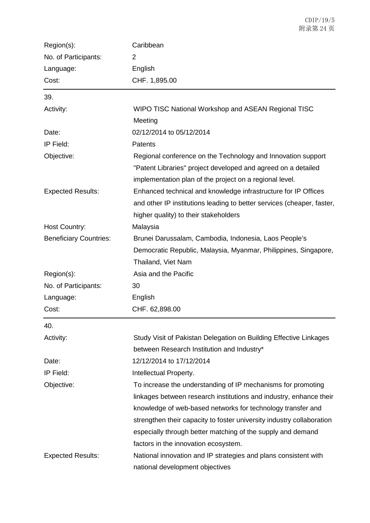| Region(s):                    | Caribbean                                                                                                                                                                                |
|-------------------------------|------------------------------------------------------------------------------------------------------------------------------------------------------------------------------------------|
| No. of Participants:          | $\overline{2}$                                                                                                                                                                           |
| Language:                     | English                                                                                                                                                                                  |
| Cost:                         | CHF. 1,895.00                                                                                                                                                                            |
| 39.                           |                                                                                                                                                                                          |
| Activity:                     | WIPO TISC National Workshop and ASEAN Regional TISC                                                                                                                                      |
|                               | Meeting                                                                                                                                                                                  |
| Date:                         | 02/12/2014 to 05/12/2014                                                                                                                                                                 |
| IP Field:                     | <b>Patents</b>                                                                                                                                                                           |
| Objective:                    | Regional conference on the Technology and Innovation support<br>"Patent Libraries" project developed and agreed on a detailed<br>implementation plan of the project on a regional level. |
| <b>Expected Results:</b>      | Enhanced technical and knowledge infrastructure for IP Offices<br>and other IP institutions leading to better services (cheaper, faster,<br>higher quality) to their stakeholders        |
| <b>Host Country:</b>          | Malaysia                                                                                                                                                                                 |
| <b>Beneficiary Countries:</b> | Brunei Darussalam, Cambodia, Indonesia, Laos People's<br>Democratic Republic, Malaysia, Myanmar, Philippines, Singapore,                                                                 |
|                               | Thailand, Viet Nam                                                                                                                                                                       |
| Region(s):                    | Asia and the Pacific                                                                                                                                                                     |
| No. of Participants:          | 30                                                                                                                                                                                       |
| Language:                     | English                                                                                                                                                                                  |
| Cost:                         | CHF. 62,898.00                                                                                                                                                                           |
| 40.                           |                                                                                                                                                                                          |
| Activity:                     | Study Visit of Pakistan Delegation on Building Effective Linkages                                                                                                                        |
|                               | between Research Institution and Industry*                                                                                                                                               |
| Date:                         | 12/12/2014 to 17/12/2014                                                                                                                                                                 |
| IP Field:                     | Intellectual Property.                                                                                                                                                                   |
| Objective:                    | To increase the understanding of IP mechanisms for promoting                                                                                                                             |
|                               | linkages between research institutions and industry, enhance their                                                                                                                       |
|                               | knowledge of web-based networks for technology transfer and                                                                                                                              |
|                               | strengthen their capacity to foster university industry collaboration                                                                                                                    |
|                               | especially through better matching of the supply and demand                                                                                                                              |
|                               | factors in the innovation ecosystem.                                                                                                                                                     |
| <b>Expected Results:</b>      | National innovation and IP strategies and plans consistent with                                                                                                                          |
|                               | national development objectives                                                                                                                                                          |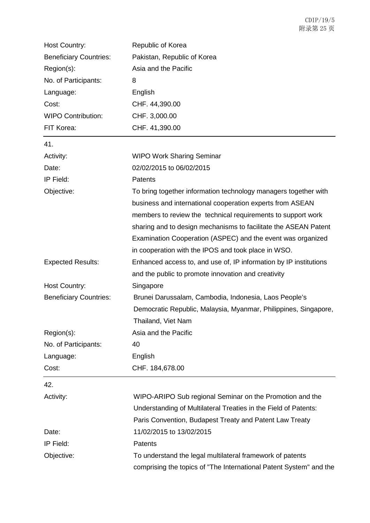| <b>Host Country:</b>          | Republic of Korea                                                                                                                                                                                                                                                                                                                                                                     |
|-------------------------------|---------------------------------------------------------------------------------------------------------------------------------------------------------------------------------------------------------------------------------------------------------------------------------------------------------------------------------------------------------------------------------------|
| <b>Beneficiary Countries:</b> | Pakistan, Republic of Korea                                                                                                                                                                                                                                                                                                                                                           |
| Region(s):                    | Asia and the Pacific                                                                                                                                                                                                                                                                                                                                                                  |
| No. of Participants:          | 8                                                                                                                                                                                                                                                                                                                                                                                     |
| Language:                     | English                                                                                                                                                                                                                                                                                                                                                                               |
| Cost:                         | CHF. 44,390.00                                                                                                                                                                                                                                                                                                                                                                        |
| <b>WIPO Contribution:</b>     | CHF. 3,000.00                                                                                                                                                                                                                                                                                                                                                                         |
| FIT Korea:                    | CHF. 41,390.00                                                                                                                                                                                                                                                                                                                                                                        |
| 41.                           |                                                                                                                                                                                                                                                                                                                                                                                       |
| Activity:                     | <b>WIPO Work Sharing Seminar</b>                                                                                                                                                                                                                                                                                                                                                      |
| Date:                         | 02/02/2015 to 06/02/2015                                                                                                                                                                                                                                                                                                                                                              |
| IP Field:                     | <b>Patents</b>                                                                                                                                                                                                                                                                                                                                                                        |
| Objective:                    | To bring together information technology managers together with<br>business and international cooperation experts from ASEAN<br>members to review the technical requirements to support work<br>sharing and to design mechanisms to facilitate the ASEAN Patent<br>Examination Cooperation (ASPEC) and the event was organized<br>in cooperation with the IPOS and took place in WSO. |
| <b>Expected Results:</b>      | Enhanced access to, and use of, IP information by IP institutions<br>and the public to promote innovation and creativity                                                                                                                                                                                                                                                              |
| <b>Host Country:</b>          | Singapore                                                                                                                                                                                                                                                                                                                                                                             |
| <b>Beneficiary Countries:</b> | Brunei Darussalam, Cambodia, Indonesia, Laos People's<br>Democratic Republic, Malaysia, Myanmar, Philippines, Singapore,<br>Thailand, Viet Nam                                                                                                                                                                                                                                        |
| Region(s):                    | Asia and the Pacific                                                                                                                                                                                                                                                                                                                                                                  |
| No. of Participants:          | 40                                                                                                                                                                                                                                                                                                                                                                                    |
| Language:                     | English                                                                                                                                                                                                                                                                                                                                                                               |
| Cost:                         | CHF. 184,678.00                                                                                                                                                                                                                                                                                                                                                                       |
| 42.                           |                                                                                                                                                                                                                                                                                                                                                                                       |
| Activity:                     | WIPO-ARIPO Sub regional Seminar on the Promotion and the<br>Understanding of Multilateral Treaties in the Field of Patents:<br>Paris Convention, Budapest Treaty and Patent Law Treaty                                                                                                                                                                                                |
| Date:                         | 11/02/2015 to 13/02/2015                                                                                                                                                                                                                                                                                                                                                              |
| IP Field:                     | Patents                                                                                                                                                                                                                                                                                                                                                                               |
| Objective:                    | To understand the legal multilateral framework of patents<br>comprising the topics of "The International Patent System" and the                                                                                                                                                                                                                                                       |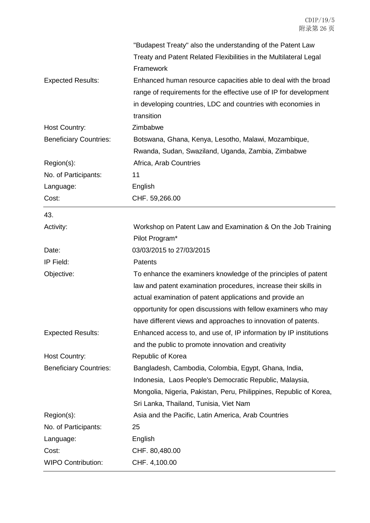|                               | "Budapest Treaty" also the understanding of the Patent Law         |
|-------------------------------|--------------------------------------------------------------------|
|                               | Treaty and Patent Related Flexibilities in the Multilateral Legal  |
|                               | Framework                                                          |
| <b>Expected Results:</b>      | Enhanced human resource capacities able to deal with the broad     |
|                               | range of requirements for the effective use of IP for development  |
|                               | in developing countries, LDC and countries with economies in       |
|                               | transition                                                         |
| Host Country:                 | Zimbabwe                                                           |
| <b>Beneficiary Countries:</b> | Botswana, Ghana, Kenya, Lesotho, Malawi, Mozambique,               |
|                               | Rwanda, Sudan, Swaziland, Uganda, Zambia, Zimbabwe                 |
| Region(s):                    | Africa, Arab Countries                                             |
| No. of Participants:          | 11                                                                 |
| Language:                     | English                                                            |
| Cost:                         | CHF. 59,266.00                                                     |
| 43.                           |                                                                    |
| Activity:                     | Workshop on Patent Law and Examination & On the Job Training       |
|                               | Pilot Program*                                                     |
| Date:                         | 03/03/2015 to 27/03/2015                                           |
| IP Field:                     | Patents                                                            |
| Objective:                    | To enhance the examiners knowledge of the principles of patent     |
|                               | law and patent examination procedures, increase their skills in    |
|                               | actual examination of patent applications and provide an           |
|                               | opportunity for open discussions with fellow examiners who may     |
|                               | have different views and approaches to innovation of patents.      |
| <b>Expected Results:</b>      | Enhanced access to, and use of, IP information by IP institutions  |
|                               | and the public to promote innovation and creativity                |
| Host Country:                 | Republic of Korea                                                  |
| <b>Beneficiary Countries:</b> | Bangladesh, Cambodia, Colombia, Egypt, Ghana, India,               |
|                               | Indonesia, Laos People's Democratic Republic, Malaysia,            |
|                               | Mongolia, Nigeria, Pakistan, Peru, Philippines, Republic of Korea, |
|                               | Sri Lanka, Thailand, Tunisia, Viet Nam                             |
| Region(s):                    | Asia and the Pacific, Latin America, Arab Countries                |
| No. of Participants:          | 25                                                                 |
| Language:                     | English                                                            |
| Cost:                         | CHF. 80,480.00                                                     |
| <b>WIPO Contribution:</b>     | CHF. 4,100.00                                                      |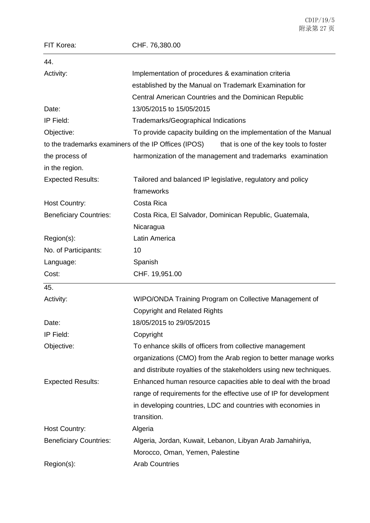| FIT Korea:                                           | CHF. 76,380.00                                                     |
|------------------------------------------------------|--------------------------------------------------------------------|
| 44.                                                  |                                                                    |
| Activity:                                            | Implementation of procedures & examination criteria                |
|                                                      | established by the Manual on Trademark Examination for             |
|                                                      | Central American Countries and the Dominican Republic              |
| Date:                                                | 13/05/2015 to 15/05/2015                                           |
| IP Field:                                            | Trademarks/Geographical Indications                                |
| Objective:                                           | To provide capacity building on the implementation of the Manual   |
| to the trademarks examiners of the IP Offices (IPOS) | that is one of the key tools to foster                             |
| the process of                                       | harmonization of the management and trademarks examination         |
| in the region.                                       |                                                                    |
| <b>Expected Results:</b>                             | Tailored and balanced IP legislative, regulatory and policy        |
|                                                      | frameworks                                                         |
| <b>Host Country:</b>                                 | Costa Rica                                                         |
| <b>Beneficiary Countries:</b>                        | Costa Rica, El Salvador, Dominican Republic, Guatemala,            |
|                                                      | Nicaragua                                                          |
| Region(s):                                           | Latin America                                                      |
| No. of Participants:                                 | 10                                                                 |
| Language:                                            | Spanish                                                            |
| Cost:                                                | CHF. 19,951.00                                                     |
| 45.                                                  |                                                                    |
| Activity:                                            | WIPO/ONDA Training Program on Collective Management of             |
|                                                      | <b>Copyright and Related Rights</b>                                |
| Date:                                                | 18/05/2015 to 29/05/2015                                           |
| IP Field:                                            | Copyright                                                          |
| Objective:                                           | To enhance skills of officers from collective management           |
|                                                      | organizations (CMO) from the Arab region to better manage works    |
|                                                      | and distribute royalties of the stakeholders using new techniques. |
| <b>Expected Results:</b>                             | Enhanced human resource capacities able to deal with the broad     |
|                                                      | range of requirements for the effective use of IP for development  |
|                                                      | in developing countries, LDC and countries with economies in       |
|                                                      | transition.                                                        |
| Host Country:                                        | Algeria                                                            |
| <b>Beneficiary Countries:</b>                        | Algeria, Jordan, Kuwait, Lebanon, Libyan Arab Jamahiriya,          |
|                                                      | Morocco, Oman, Yemen, Palestine                                    |
| Region(s):                                           | <b>Arab Countries</b>                                              |

CDIP/19/5 附录第 27 页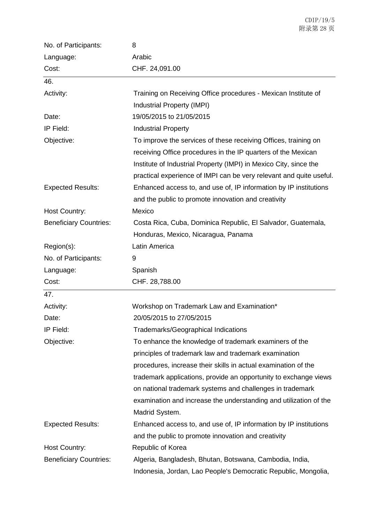| No. of Participants:          | 8                                                                   |
|-------------------------------|---------------------------------------------------------------------|
| Language:                     | Arabic                                                              |
| Cost:                         | CHF. 24,091.00                                                      |
| 46.                           |                                                                     |
| Activity:                     | Training on Receiving Office procedures - Mexican Institute of      |
|                               | Industrial Property (IMPI)                                          |
| Date:                         | 19/05/2015 to 21/05/2015                                            |
| IP Field:                     | <b>Industrial Property</b>                                          |
| Objective:                    | To improve the services of these receiving Offices, training on     |
|                               | receiving Office procedures in the IP quarters of the Mexican       |
|                               | Institute of Industrial Property (IMPI) in Mexico City, since the   |
|                               | practical experience of IMPI can be very relevant and quite useful. |
| <b>Expected Results:</b>      | Enhanced access to, and use of, IP information by IP institutions   |
|                               | and the public to promote innovation and creativity                 |
| <b>Host Country:</b>          | Mexico                                                              |
| <b>Beneficiary Countries:</b> | Costa Rica, Cuba, Dominica Republic, El Salvador, Guatemala,        |
|                               | Honduras, Mexico, Nicaragua, Panama                                 |
| Region(s):                    | Latin America                                                       |
| No. of Participants:          | 9                                                                   |
| Language:                     | Spanish                                                             |
| Cost:                         | CHF. 28,788.00                                                      |
| 47.                           |                                                                     |
| Activity:                     | Workshop on Trademark Law and Examination*                          |
| Date:                         | 20/05/2015 to 27/05/2015                                            |
| IP Field:                     | Trademarks/Geographical Indications                                 |
| Objective:                    | To enhance the knowledge of trademark examiners of the              |
|                               | principles of trademark law and trademark examination               |
|                               | procedures, increase their skills in actual examination of the      |
|                               | trademark applications, provide an opportunity to exchange views    |
|                               | on national trademark systems and challenges in trademark           |
|                               | examination and increase the understanding and utilization of the   |
|                               | Madrid System.                                                      |
| <b>Expected Results:</b>      | Enhanced access to, and use of, IP information by IP institutions   |
|                               | and the public to promote innovation and creativity                 |
| <b>Host Country:</b>          | Republic of Korea                                                   |
| <b>Beneficiary Countries:</b> | Algeria, Bangladesh, Bhutan, Botswana, Cambodia, India,             |
|                               | Indonesia, Jordan, Lao People's Democratic Republic, Mongolia,      |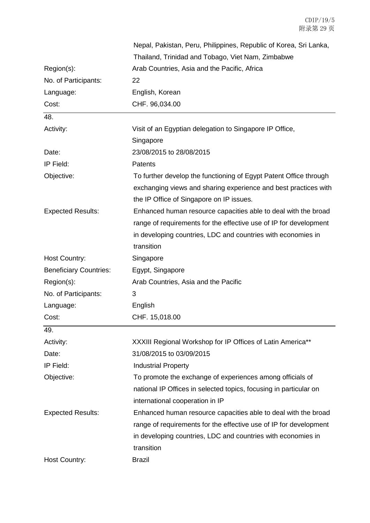|                               | Nepal, Pakistan, Peru, Philippines, Republic of Korea, Sri Lanka, |
|-------------------------------|-------------------------------------------------------------------|
|                               | Thailand, Trinidad and Tobago, Viet Nam, Zimbabwe                 |
| Region(s):                    | Arab Countries, Asia and the Pacific, Africa                      |
| No. of Participants:          | 22                                                                |
| Language:                     | English, Korean                                                   |
| Cost:                         | CHF. 96,034.00                                                    |
| 48.                           |                                                                   |
| Activity:                     | Visit of an Egyptian delegation to Singapore IP Office,           |
|                               | Singapore                                                         |
| Date:                         | 23/08/2015 to 28/08/2015                                          |
| IP Field:                     | Patents                                                           |
| Objective:                    | To further develop the functioning of Egypt Patent Office through |
|                               | exchanging views and sharing experience and best practices with   |
|                               | the IP Office of Singapore on IP issues.                          |
| <b>Expected Results:</b>      | Enhanced human resource capacities able to deal with the broad    |
|                               | range of requirements for the effective use of IP for development |
|                               | in developing countries, LDC and countries with economies in      |
|                               | transition                                                        |
| Host Country:                 | Singapore                                                         |
| <b>Beneficiary Countries:</b> | Egypt, Singapore                                                  |
| Region(s):                    | Arab Countries, Asia and the Pacific                              |
| No. of Participants:          | 3                                                                 |
| Language:                     | English                                                           |
| Cost:                         | CHF. 15,018.00                                                    |
| 49.                           |                                                                   |
| Activity:                     | XXXIII Regional Workshop for IP Offices of Latin America**        |
| Date:                         | 31/08/2015 to 03/09/2015                                          |
| IP Field:                     | <b>Industrial Property</b>                                        |
| Objective:                    | To promote the exchange of experiences among officials of         |
|                               | national IP Offices in selected topics, focusing in particular on |
|                               | international cooperation in IP                                   |
| <b>Expected Results:</b>      | Enhanced human resource capacities able to deal with the broad    |
|                               | range of requirements for the effective use of IP for development |
|                               | in developing countries, LDC and countries with economies in      |
|                               | transition                                                        |
| Host Country:                 | <b>Brazil</b>                                                     |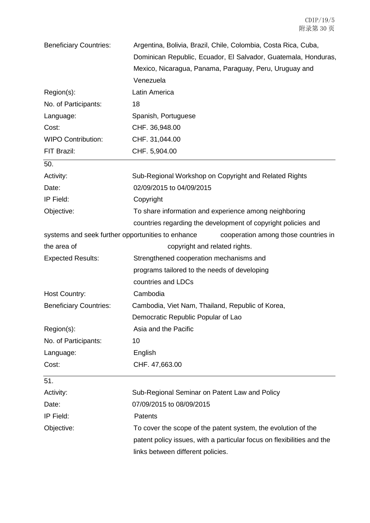| <b>Beneficiary Countries:</b>                     | Argentina, Bolivia, Brazil, Chile, Colombia, Costa Rica, Cuba,         |
|---------------------------------------------------|------------------------------------------------------------------------|
|                                                   | Dominican Republic, Ecuador, El Salvador, Guatemala, Honduras,         |
|                                                   | Mexico, Nicaragua, Panama, Paraguay, Peru, Uruguay and                 |
|                                                   | Venezuela                                                              |
| Region(s):                                        | Latin America                                                          |
| No. of Participants:                              | 18                                                                     |
| Language:                                         | Spanish, Portuguese                                                    |
| Cost:                                             | CHF. 36,948.00                                                         |
| <b>WIPO Contribution:</b>                         | CHF. 31,044.00                                                         |
| FIT Brazil:                                       | CHF. 5,904.00                                                          |
| 50.                                               |                                                                        |
| Activity:                                         | Sub-Regional Workshop on Copyright and Related Rights                  |
| Date:                                             | 02/09/2015 to 04/09/2015                                               |
| IP Field:                                         | Copyright                                                              |
| Objective:                                        | To share information and experience among neighboring                  |
|                                                   | countries regarding the development of copyright policies and          |
| systems and seek further opportunities to enhance | cooperation among those countries in                                   |
| the area of                                       | copyright and related rights.                                          |
| <b>Expected Results:</b>                          | Strengthened cooperation mechanisms and                                |
|                                                   | programs tailored to the needs of developing                           |
|                                                   | countries and LDCs                                                     |
| Host Country:                                     | Cambodia                                                               |
| <b>Beneficiary Countries:</b>                     | Cambodia, Viet Nam, Thailand, Republic of Korea,                       |
|                                                   | Democratic Republic Popular of Lao                                     |
| Region(s):                                        | Asia and the Pacific                                                   |
| No. of Participants:                              | 10                                                                     |
| Language:                                         | English                                                                |
| Cost:                                             | CHF. 47,663.00                                                         |
| 51.                                               |                                                                        |
| Activity:                                         | Sub-Regional Seminar on Patent Law and Policy                          |
| Date:                                             | 07/09/2015 to 08/09/2015                                               |
| IP Field:                                         | Patents                                                                |
| Objective:                                        | To cover the scope of the patent system, the evolution of the          |
|                                                   | patent policy issues, with a particular focus on flexibilities and the |
|                                                   | links between different policies.                                      |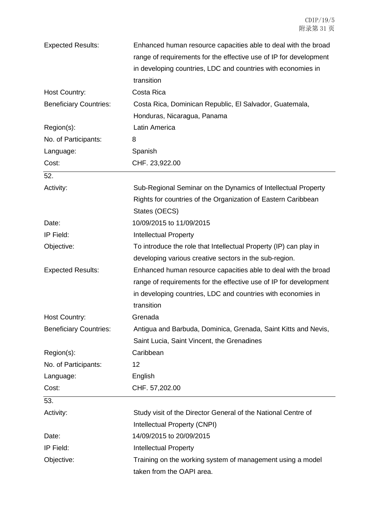| <b>Expected Results:</b>      | Enhanced human resource capacities able to deal with the broad<br>range of requirements for the effective use of IP for development<br>in developing countries, LDC and countries with economies in |
|-------------------------------|-----------------------------------------------------------------------------------------------------------------------------------------------------------------------------------------------------|
|                               | transition                                                                                                                                                                                          |
| Host Country:                 | Costa Rica                                                                                                                                                                                          |
| <b>Beneficiary Countries:</b> | Costa Rica, Dominican Republic, El Salvador, Guatemala,                                                                                                                                             |
|                               | Honduras, Nicaragua, Panama                                                                                                                                                                         |
| Region(s):                    | Latin America                                                                                                                                                                                       |
| No. of Participants:          | 8                                                                                                                                                                                                   |
| Language:                     | Spanish                                                                                                                                                                                             |
| Cost:                         | CHF. 23,922.00                                                                                                                                                                                      |
| 52.                           |                                                                                                                                                                                                     |
| Activity:                     | Sub-Regional Seminar on the Dynamics of Intellectual Property                                                                                                                                       |
|                               | Rights for countries of the Organization of Eastern Caribbean                                                                                                                                       |
|                               | States (OECS)                                                                                                                                                                                       |
| Date:                         | 10/09/2015 to 11/09/2015                                                                                                                                                                            |
| IP Field:                     | <b>Intellectual Property</b>                                                                                                                                                                        |
| Objective:                    | To introduce the role that Intellectual Property (IP) can play in                                                                                                                                   |
|                               | developing various creative sectors in the sub-region.                                                                                                                                              |
| <b>Expected Results:</b>      | Enhanced human resource capacities able to deal with the broad                                                                                                                                      |
|                               | range of requirements for the effective use of IP for development                                                                                                                                   |
|                               | in developing countries, LDC and countries with economies in                                                                                                                                        |
|                               | transition                                                                                                                                                                                          |
| <b>Host Country:</b>          | Grenada                                                                                                                                                                                             |
| <b>Beneficiary Countries:</b> | Antigua and Barbuda, Dominica, Grenada, Saint Kitts and Nevis,                                                                                                                                      |
|                               | Saint Lucia, Saint Vincent, the Grenadines                                                                                                                                                          |
| Region(s):                    | Caribbean                                                                                                                                                                                           |
| No. of Participants:          | 12                                                                                                                                                                                                  |
| Language:                     | English                                                                                                                                                                                             |
| Cost:                         | CHF. 57,202.00                                                                                                                                                                                      |
| 53.                           |                                                                                                                                                                                                     |
| Activity:                     | Study visit of the Director General of the National Centre of                                                                                                                                       |
|                               | Intellectual Property (CNPI)                                                                                                                                                                        |
| Date:                         | 14/09/2015 to 20/09/2015                                                                                                                                                                            |
| IP Field:                     | <b>Intellectual Property</b>                                                                                                                                                                        |
| Objective:                    | Training on the working system of management using a model                                                                                                                                          |
|                               | taken from the OAPI area.                                                                                                                                                                           |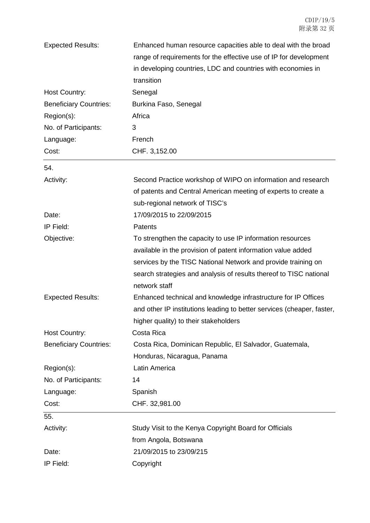| <b>Expected Results:</b>      | Enhanced human resource capacities able to deal with the broad         |
|-------------------------------|------------------------------------------------------------------------|
|                               | range of requirements for the effective use of IP for development      |
|                               | in developing countries, LDC and countries with economies in           |
|                               | transition                                                             |
| Host Country:                 | Senegal                                                                |
| <b>Beneficiary Countries:</b> | Burkina Faso, Senegal                                                  |
| Region(s):                    | Africa                                                                 |
| No. of Participants:          | 3                                                                      |
| Language:                     | French                                                                 |
| Cost:                         | CHF. 3,152.00                                                          |
| 54.                           |                                                                        |
| Activity:                     | Second Practice workshop of WIPO on information and research           |
|                               | of patents and Central American meeting of experts to create a         |
|                               | sub-regional network of TISC's                                         |
| Date:                         | 17/09/2015 to 22/09/2015                                               |
| IP Field:                     | Patents                                                                |
| Objective:                    | To strengthen the capacity to use IP information resources             |
|                               | available in the provision of patent information value added           |
|                               | services by the TISC National Network and provide training on          |
|                               | search strategies and analysis of results thereof to TISC national     |
|                               | network staff                                                          |
| <b>Expected Results:</b>      | Enhanced technical and knowledge infrastructure for IP Offices         |
|                               | and other IP institutions leading to better services (cheaper, faster, |
|                               | higher quality) to their stakeholders                                  |
| Host Country:                 | Costa Rica                                                             |
| <b>Beneficiary Countries:</b> | Costa Rica, Dominican Republic, El Salvador, Guatemala,                |
|                               | Honduras, Nicaragua, Panama                                            |
| Region(s):                    | Latin America                                                          |
| No. of Participants:          | 14                                                                     |
| Language:                     | Spanish                                                                |
| Cost:                         | CHF. 32,981.00                                                         |
| 55.                           |                                                                        |
| Activity:                     | Study Visit to the Kenya Copyright Board for Officials                 |
|                               | from Angola, Botswana                                                  |
| Date:                         | 21/09/2015 to 23/09/215                                                |
| IP Field:                     | Copyright                                                              |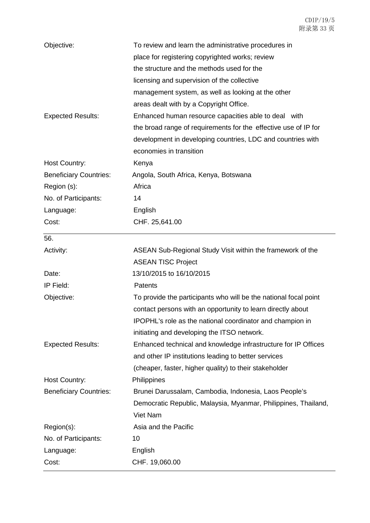| Objective:                    | To review and learn the administrative procedures in<br>place for registering copyrighted works; review<br>the structure and the methods used for the |
|-------------------------------|-------------------------------------------------------------------------------------------------------------------------------------------------------|
|                               | licensing and supervision of the collective                                                                                                           |
|                               | management system, as well as looking at the other                                                                                                    |
|                               | areas dealt with by a Copyright Office.                                                                                                               |
| <b>Expected Results:</b>      | Enhanced human resource capacities able to deal with                                                                                                  |
|                               | the broad range of requirements for the effective use of IP for                                                                                       |
|                               | development in developing countries, LDC and countries with                                                                                           |
|                               | economies in transition                                                                                                                               |
| Host Country:                 | Kenya                                                                                                                                                 |
| <b>Beneficiary Countries:</b> | Angola, South Africa, Kenya, Botswana                                                                                                                 |
| Region (s):                   | Africa                                                                                                                                                |
| No. of Participants:          | 14                                                                                                                                                    |
| Language:                     | English                                                                                                                                               |
| Cost:                         | CHF. 25,641.00                                                                                                                                        |
| 56.                           |                                                                                                                                                       |
| Activity:                     | ASEAN Sub-Regional Study Visit within the framework of the                                                                                            |
|                               | <b>ASEAN TISC Project</b>                                                                                                                             |
| Date:                         | 13/10/2015 to 16/10/2015                                                                                                                              |
| IP Field:                     | Patents                                                                                                                                               |
| Objective:                    | To provide the participants who will be the national focal point                                                                                      |
|                               | contact persons with an opportunity to learn directly about                                                                                           |
|                               | IPOPHL's role as the national coordinator and champion in                                                                                             |
|                               | initiating and developing the ITSO network.                                                                                                           |
| <b>Expected Results:</b>      | Enhanced technical and knowledge infrastructure for IP Offices                                                                                        |
|                               | and other IP institutions leading to better services                                                                                                  |
|                               | (cheaper, faster, higher quality) to their stakeholder                                                                                                |
| Host Country:                 | Philippines                                                                                                                                           |
| <b>Beneficiary Countries:</b> | Brunei Darussalam, Cambodia, Indonesia, Laos People's                                                                                                 |
|                               | Democratic Republic, Malaysia, Myanmar, Philippines, Thailand,                                                                                        |
|                               | Viet Nam                                                                                                                                              |
| Region(s):                    | Asia and the Pacific                                                                                                                                  |
| No. of Participants:          | 10                                                                                                                                                    |
| Language:                     | English                                                                                                                                               |
| Cost:                         | CHF. 19,060.00                                                                                                                                        |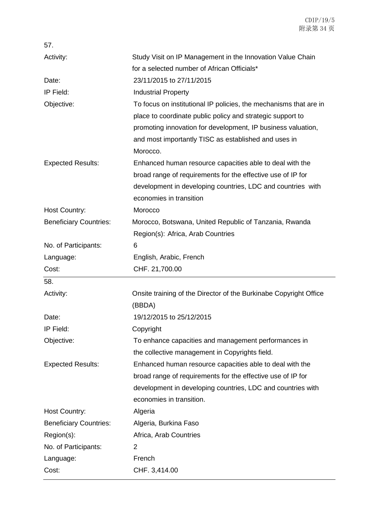| 57.                           |                                                                   |
|-------------------------------|-------------------------------------------------------------------|
| Activity:                     | Study Visit on IP Management in the Innovation Value Chain        |
|                               | for a selected number of African Officials*                       |
| Date:                         | 23/11/2015 to 27/11/2015                                          |
| IP Field:                     | <b>Industrial Property</b>                                        |
| Objective:                    | To focus on institutional IP policies, the mechanisms that are in |
|                               | place to coordinate public policy and strategic support to        |
|                               | promoting innovation for development, IP business valuation,      |
|                               | and most importantly TISC as established and uses in              |
|                               | Morocco.                                                          |
| <b>Expected Results:</b>      | Enhanced human resource capacities able to deal with the          |
|                               | broad range of requirements for the effective use of IP for       |
|                               | development in developing countries, LDC and countries with       |
|                               | economies in transition                                           |
| <b>Host Country:</b>          | Morocco                                                           |
| <b>Beneficiary Countries:</b> | Morocco, Botswana, United Republic of Tanzania, Rwanda            |
|                               | Region(s): Africa, Arab Countries                                 |
| No. of Participants:          | 6                                                                 |
| Language:                     | English, Arabic, French                                           |
| Cost:                         | CHF. 21,700.00                                                    |
| 58.                           |                                                                   |
| Activity:                     | Onsite training of the Director of the Burkinabe Copyright Office |
|                               | (BBDA)                                                            |
| Date:                         | 19/12/2015 to 25/12/2015                                          |
| IP Field:                     | Copyright                                                         |
| Objective:                    | To enhance capacities and management performances in              |
|                               | the collective management in Copyrights field.                    |
| <b>Expected Results:</b>      | Enhanced human resource capacities able to deal with the          |
|                               | broad range of requirements for the effective use of IP for       |
|                               | development in developing countries, LDC and countries with       |
|                               | economies in transition.                                          |
| Host Country:                 | Algeria                                                           |
| <b>Beneficiary Countries:</b> | Algeria, Burkina Faso                                             |
| Region(s):                    | Africa, Arab Countries                                            |
| No. of Participants:          | 2                                                                 |
| Language:                     | French                                                            |
| Cost:                         | CHF. 3,414.00                                                     |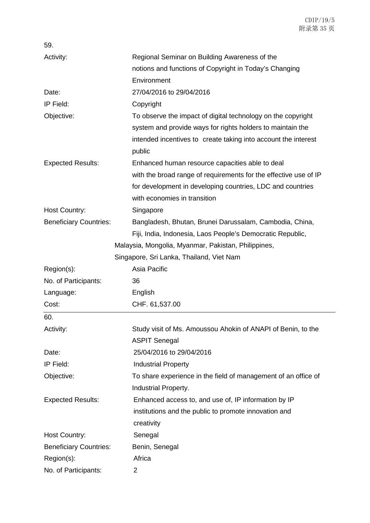| 59.                           |                                                                  |
|-------------------------------|------------------------------------------------------------------|
| Activity:                     | Regional Seminar on Building Awareness of the                    |
|                               | notions and functions of Copyright in Today's Changing           |
|                               | Environment                                                      |
| Date:                         | 27/04/2016 to 29/04/2016                                         |
| IP Field:                     | Copyright                                                        |
| Objective:                    | To observe the impact of digital technology on the copyright     |
|                               | system and provide ways for rights holders to maintain the       |
|                               | intended incentives to create taking into account the interest   |
|                               | public                                                           |
| <b>Expected Results:</b>      | Enhanced human resource capacities able to deal                  |
|                               | with the broad range of requirements for the effective use of IP |
|                               | for development in developing countries, LDC and countries       |
|                               | with economies in transition                                     |
| Host Country:                 | Singapore                                                        |
| <b>Beneficiary Countries:</b> | Bangladesh, Bhutan, Brunei Darussalam, Cambodia, China,          |
|                               | Fiji, India, Indonesia, Laos People's Democratic Republic,       |
|                               | Malaysia, Mongolia, Myanmar, Pakistan, Philippines,              |
|                               | Singapore, Sri Lanka, Thailand, Viet Nam                         |
| Region(s):                    | Asia Pacific                                                     |
| No. of Participants:          | 36                                                               |
| Language:                     | English                                                          |
| Cost:                         | CHF. 61,537.00                                                   |
| 60.                           |                                                                  |
| Activity:                     | Study visit of Ms. Amoussou Ahokin of ANAPI of Benin, to the     |
|                               | <b>ASPIT Senegal</b>                                             |
| Date:                         | 25/04/2016 to 29/04/2016                                         |
| IP Field:                     | <b>Industrial Property</b>                                       |
| Objective:                    | To share experience in the field of management of an office of   |
|                               | Industrial Property.                                             |
| <b>Expected Results:</b>      | Enhanced access to, and use of, IP information by IP             |
|                               | institutions and the public to promote innovation and            |
|                               | creativity                                                       |
| <b>Host Country:</b>          | Senegal                                                          |
| <b>Beneficiary Countries:</b> | Benin, Senegal                                                   |
| Region(s):                    | Africa                                                           |
| No. of Participants:          | $\overline{\mathbf{c}}$                                          |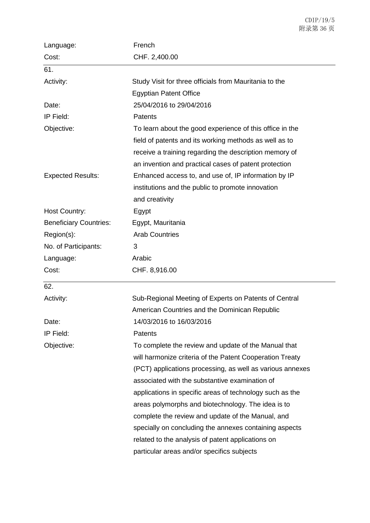| Language:                     | French                                                    |
|-------------------------------|-----------------------------------------------------------|
| Cost:                         | CHF. 2,400.00                                             |
| 61.                           |                                                           |
| Activity:                     | Study Visit for three officials from Mauritania to the    |
|                               | <b>Egyptian Patent Office</b>                             |
| Date:                         | 25/04/2016 to 29/04/2016                                  |
| IP Field:                     | Patents                                                   |
| Objective:                    | To learn about the good experience of this office in the  |
|                               | field of patents and its working methods as well as to    |
|                               | receive a training regarding the description memory of    |
|                               | an invention and practical cases of patent protection     |
| <b>Expected Results:</b>      | Enhanced access to, and use of, IP information by IP      |
|                               | institutions and the public to promote innovation         |
|                               | and creativity                                            |
| Host Country:                 | Egypt                                                     |
| <b>Beneficiary Countries:</b> | Egypt, Mauritania                                         |
| Region(s):                    | <b>Arab Countries</b>                                     |
| No. of Participants:          | 3                                                         |
| Language:                     | Arabic                                                    |
| Cost:                         | CHF. 8,916.00                                             |
| 62.                           |                                                           |
| Activity:                     | Sub-Regional Meeting of Experts on Patents of Central     |
|                               | American Countries and the Dominican Republic             |
| Date:                         | 14/03/2016 to 16/03/2016                                  |
| IP Field:                     | Patents                                                   |
| Objective:                    | To complete the review and update of the Manual that      |
|                               | will harmonize criteria of the Patent Cooperation Treaty  |
|                               | (PCT) applications processing, as well as various annexes |
|                               | associated with the substantive examination of            |
|                               | applications in specific areas of technology such as the  |
|                               | areas polymorphs and biotechnology. The idea is to        |
|                               | complete the review and update of the Manual, and         |
|                               | specially on concluding the annexes containing aspects    |
|                               | related to the analysis of patent applications on         |
|                               | particular areas and/or specifics subjects                |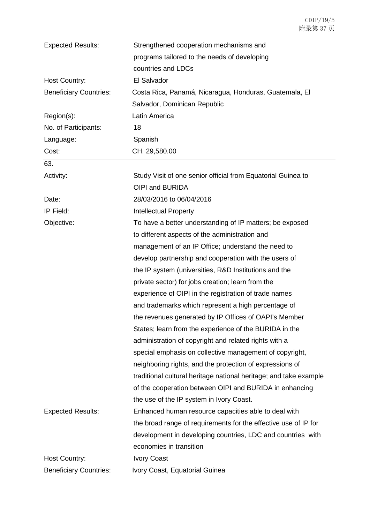| <b>Expected Results:</b>      | Strengthened cooperation mechanisms and                           |
|-------------------------------|-------------------------------------------------------------------|
|                               | programs tailored to the needs of developing                      |
|                               | countries and LDCs                                                |
| Host Country:                 | El Salvador                                                       |
| <b>Beneficiary Countries:</b> | Costa Rica, Panamá, Nicaragua, Honduras, Guatemala, El            |
|                               | Salvador, Dominican Republic                                      |
| Region(s):                    | Latin America                                                     |
| No. of Participants:          | 18                                                                |
| Language:                     | Spanish                                                           |
| Cost:                         | CH. 29,580.00                                                     |
| 63.                           |                                                                   |
| Activity:                     | Study Visit of one senior official from Equatorial Guinea to      |
|                               | OIPI and BURIDA                                                   |
| Date:                         | 28/03/2016 to 06/04/2016                                          |
| IP Field:                     | <b>Intellectual Property</b>                                      |
| Objective:                    | To have a better understanding of IP matters; be exposed          |
|                               | to different aspects of the administration and                    |
|                               | management of an IP Office; understand the need to                |
|                               | develop partnership and cooperation with the users of             |
|                               | the IP system (universities, R&D Institutions and the             |
|                               | private sector) for jobs creation; learn from the                 |
|                               | experience of OIPI in the registration of trade names             |
|                               | and trademarks which represent a high percentage of               |
|                               | the revenues generated by IP Offices of OAPI's Member             |
|                               | States; learn from the experience of the BURIDA in the            |
|                               | administration of copyright and related rights with a             |
|                               | special emphasis on collective management of copyright,           |
|                               | neighboring rights, and the protection of expressions of          |
|                               | traditional cultural heritage national heritage; and take example |
|                               | of the cooperation between OIPI and BURIDA in enhancing           |
|                               | the use of the IP system in Ivory Coast.                          |
| <b>Expected Results:</b>      | Enhanced human resource capacities able to deal with              |
|                               | the broad range of requirements for the effective use of IP for   |
|                               | development in developing countries, LDC and countries with       |
|                               | economies in transition                                           |
| <b>Host Country:</b>          | <b>Ivory Coast</b>                                                |
| <b>Beneficiary Countries:</b> | Ivory Coast, Equatorial Guinea                                    |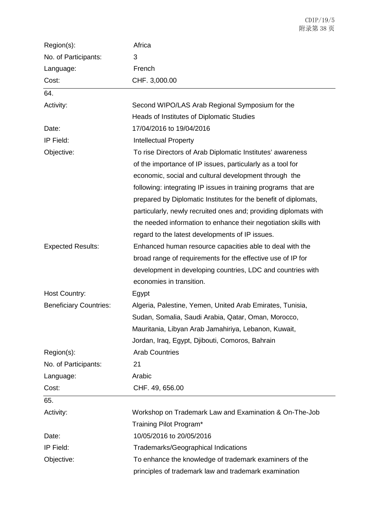| Region(s):                    | Africa                                                           |
|-------------------------------|------------------------------------------------------------------|
| No. of Participants:          | 3                                                                |
| Language:                     | French                                                           |
| Cost:                         | CHF. 3,000.00                                                    |
| 64.                           |                                                                  |
| Activity:                     | Second WIPO/LAS Arab Regional Symposium for the                  |
|                               | Heads of Institutes of Diplomatic Studies                        |
| Date:                         | 17/04/2016 to 19/04/2016                                         |
| IP Field:                     | <b>Intellectual Property</b>                                     |
| Objective:                    | To rise Directors of Arab Diplomatic Institutes' awareness       |
|                               | of the importance of IP issues, particularly as a tool for       |
|                               | economic, social and cultural development through the            |
|                               | following: integrating IP issues in training programs that are   |
|                               | prepared by Diplomatic Institutes for the benefit of diplomats,  |
|                               | particularly, newly recruited ones and; providing diplomats with |
|                               | the needed information to enhance their negotiation skills with  |
|                               | regard to the latest developments of IP issues.                  |
| <b>Expected Results:</b>      | Enhanced human resource capacities able to deal with the         |
|                               | broad range of requirements for the effective use of IP for      |
|                               | development in developing countries, LDC and countries with      |
|                               | economies in transition.                                         |
| <b>Host Country:</b>          | Egypt                                                            |
| <b>Beneficiary Countries:</b> | Algeria, Palestine, Yemen, United Arab Emirates, Tunisia,        |
|                               | Sudan, Somalia, Saudi Arabia, Qatar, Oman, Morocco,              |
|                               | Mauritania, Libyan Arab Jamahiriya, Lebanon, Kuwait,             |
|                               | Jordan, Iraq, Egypt, Djibouti, Comoros, Bahrain                  |
| Region(s):                    | <b>Arab Countries</b>                                            |
| No. of Participants:          | 21                                                               |
| Language:                     | Arabic                                                           |
| Cost:                         | CHF. 49, 656.00                                                  |
| 65.                           |                                                                  |
| Activity:                     | Workshop on Trademark Law and Examination & On-The-Job           |
|                               | Training Pilot Program*                                          |
| Date:                         | 10/05/2016 to 20/05/2016                                         |
| IP Field:                     | <b>Trademarks/Geographical Indications</b>                       |
| Objective:                    | To enhance the knowledge of trademark examiners of the           |
|                               | principles of trademark law and trademark examination            |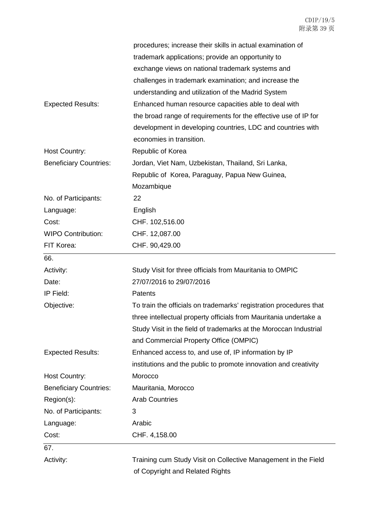|                               | procedures; increase their skills in actual examination of         |
|-------------------------------|--------------------------------------------------------------------|
|                               | trademark applications; provide an opportunity to                  |
|                               | exchange views on national trademark systems and                   |
|                               | challenges in trademark examination; and increase the              |
|                               | understanding and utilization of the Madrid System                 |
| <b>Expected Results:</b>      | Enhanced human resource capacities able to deal with               |
|                               | the broad range of requirements for the effective use of IP for    |
|                               | development in developing countries, LDC and countries with        |
|                               | economies in transition.                                           |
| Host Country:                 | Republic of Korea                                                  |
| <b>Beneficiary Countries:</b> | Jordan, Viet Nam, Uzbekistan, Thailand, Sri Lanka,                 |
|                               | Republic of Korea, Paraguay, Papua New Guinea,                     |
|                               | Mozambique                                                         |
| No. of Participants:          | 22                                                                 |
| Language:                     | English                                                            |
| Cost:                         | CHF. 102,516.00                                                    |
| <b>WIPO Contribution:</b>     | CHF. 12,087.00                                                     |
| FIT Korea:                    | CHF. 90,429.00                                                     |
| 66.                           |                                                                    |
| Activity:                     | Study Visit for three officials from Mauritania to OMPIC           |
| Date:                         | 27/07/2016 to 29/07/2016                                           |
| IP Field:                     | Patents                                                            |
| Objective:                    | To train the officials on trademarks' registration procedures that |
|                               | three intellectual property officials from Mauritania undertake a  |
|                               | Study Visit in the field of trademarks at the Moroccan Industrial  |
|                               | and Commercial Property Office (OMPIC)                             |
| <b>Expected Results:</b>      | Enhanced access to, and use of, IP information by IP               |
|                               | institutions and the public to promote innovation and creativity   |
| Host Country:                 | Morocco                                                            |
| <b>Beneficiary Countries:</b> | Mauritania, Morocco                                                |
| Region(s):                    | <b>Arab Countries</b>                                              |
| No. of Participants:          | 3                                                                  |
| Language:                     | Arabic                                                             |
| Cost:                         | CHF. 4,158.00                                                      |
| 67.                           |                                                                    |
| Activity:                     | Training cum Study Visit on Collective Management in the Field     |
|                               | of Copyright and Related Rights                                    |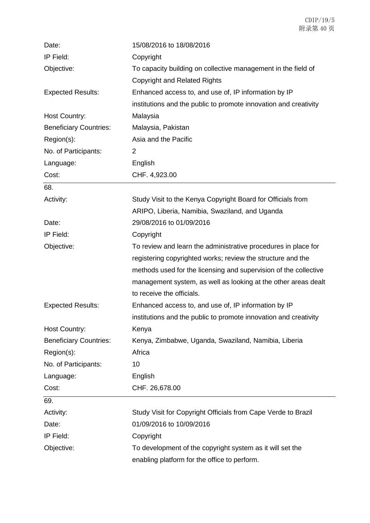| Date:                         | 15/08/2016 to 18/08/2016                                         |
|-------------------------------|------------------------------------------------------------------|
| IP Field:                     | Copyright                                                        |
| Objective:                    | To capacity building on collective management in the field of    |
|                               | <b>Copyright and Related Rights</b>                              |
| <b>Expected Results:</b>      | Enhanced access to, and use of, IP information by IP             |
|                               | institutions and the public to promote innovation and creativity |
| <b>Host Country:</b>          | Malaysia                                                         |
| <b>Beneficiary Countries:</b> | Malaysia, Pakistan                                               |
| Region(s):                    | Asia and the Pacific                                             |
| No. of Participants:          | $\overline{2}$                                                   |
| Language:                     | English                                                          |
| Cost:                         | CHF. 4,923.00                                                    |
| 68.                           |                                                                  |
| Activity:                     | Study Visit to the Kenya Copyright Board for Officials from      |
|                               | ARIPO, Liberia, Namibia, Swaziland, and Uganda                   |
| Date:                         | 29/08/2016 to 01/09/2016                                         |
| IP Field:                     | Copyright                                                        |
| Objective:                    | To review and learn the administrative procedures in place for   |
|                               | registering copyrighted works; review the structure and the      |
|                               | methods used for the licensing and supervision of the collective |
|                               | management system, as well as looking at the other areas dealt   |
|                               | to receive the officials.                                        |
| <b>Expected Results:</b>      | Enhanced access to, and use of, IP information by IP             |
|                               | institutions and the public to promote innovation and creativity |
| <b>Host Country:</b>          | Kenya                                                            |
| <b>Beneficiary Countries:</b> | Kenya, Zimbabwe, Uganda, Swaziland, Namibia, Liberia             |
| Region(s):                    | Africa                                                           |
| No. of Participants:          | 10                                                               |
| Language:                     | English                                                          |
| Cost:                         | CHF. 26,678.00                                                   |
| 69.                           |                                                                  |
| Activity:                     | Study Visit for Copyright Officials from Cape Verde to Brazil    |
| Date:                         | 01/09/2016 to 10/09/2016                                         |
| IP Field:                     | Copyright                                                        |
| Objective:                    | To development of the copyright system as it will set the        |
|                               | enabling platform for the office to perform.                     |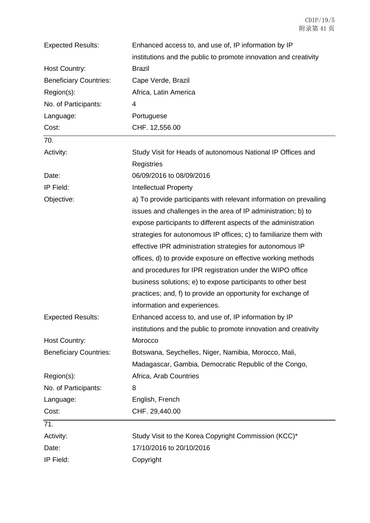| <b>Expected Results:</b>      | Enhanced access to, and use of, IP information by IP               |
|-------------------------------|--------------------------------------------------------------------|
|                               | institutions and the public to promote innovation and creativity   |
| Host Country:                 | <b>Brazil</b>                                                      |
| <b>Beneficiary Countries:</b> | Cape Verde, Brazil                                                 |
| Region(s):                    | Africa, Latin America                                              |
| No. of Participants:          | 4                                                                  |
| Language:                     | Portuguese                                                         |
| Cost:                         | CHF. 12,556.00                                                     |
| 70.                           |                                                                    |
| Activity:                     | Study Visit for Heads of autonomous National IP Offices and        |
|                               | Registries                                                         |
| Date:                         | 06/09/2016 to 08/09/2016                                           |
| IP Field:                     | <b>Intellectual Property</b>                                       |
| Objective:                    | a) To provide participants with relevant information on prevailing |
|                               | issues and challenges in the area of IP administration; b) to      |
|                               | expose participants to different aspects of the administration     |
|                               | strategies for autonomous IP offices; c) to familiarize them with  |
|                               | effective IPR administration strategies for autonomous IP          |
|                               | offices, d) to provide exposure on effective working methods       |
|                               | and procedures for IPR registration under the WIPO office          |
|                               | business solutions; e) to expose participants to other best        |
|                               | practices; and, f) to provide an opportunity for exchange of       |
|                               | information and experiences.                                       |
| <b>Expected Results:</b>      | Enhanced access to, and use of, IP information by IP               |
|                               | institutions and the public to promote innovation and creativity   |
| <b>Host Country:</b>          | Morocco                                                            |
| <b>Beneficiary Countries:</b> | Botswana, Seychelles, Niger, Namibia, Morocco, Mali,               |
|                               | Madagascar, Gambia, Democratic Republic of the Congo,              |
| Region(s):                    | Africa, Arab Countries                                             |
| No. of Participants:          | 8                                                                  |
| Language:                     | English, French                                                    |
| Cost:                         | CHF. 29,440.00                                                     |
| 71.                           |                                                                    |
| Activity:                     | Study Visit to the Korea Copyright Commission (KCC)*               |
| Date:                         | 17/10/2016 to 20/10/2016                                           |
| IP Field:                     | Copyright                                                          |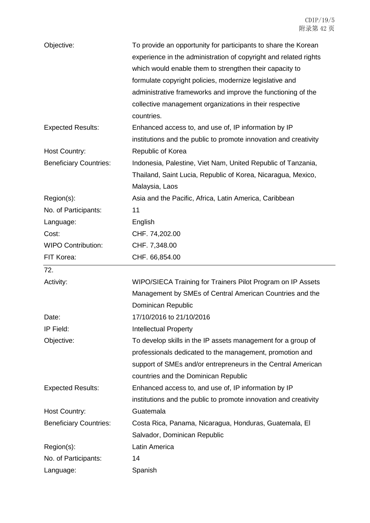| Objective:                    | To provide an opportunity for participants to share the Korean<br>experience in the administration of copyright and related rights<br>which would enable them to strengthen their capacity to<br>formulate copyright policies, modernize legislative and<br>administrative frameworks and improve the functioning of the<br>collective management organizations in their respective<br>countries. |
|-------------------------------|---------------------------------------------------------------------------------------------------------------------------------------------------------------------------------------------------------------------------------------------------------------------------------------------------------------------------------------------------------------------------------------------------|
| <b>Expected Results:</b>      | Enhanced access to, and use of, IP information by IP<br>institutions and the public to promote innovation and creativity                                                                                                                                                                                                                                                                          |
| <b>Host Country:</b>          | Republic of Korea                                                                                                                                                                                                                                                                                                                                                                                 |
| <b>Beneficiary Countries:</b> | Indonesia, Palestine, Viet Nam, United Republic of Tanzania,                                                                                                                                                                                                                                                                                                                                      |
|                               | Thailand, Saint Lucia, Republic of Korea, Nicaragua, Mexico,<br>Malaysia, Laos                                                                                                                                                                                                                                                                                                                    |
| Region(s):                    | Asia and the Pacific, Africa, Latin America, Caribbean                                                                                                                                                                                                                                                                                                                                            |
| No. of Participants:          | 11                                                                                                                                                                                                                                                                                                                                                                                                |
| Language:                     | English                                                                                                                                                                                                                                                                                                                                                                                           |
| Cost:                         | CHF. 74,202.00                                                                                                                                                                                                                                                                                                                                                                                    |
| <b>WIPO Contribution:</b>     | CHF. 7,348.00                                                                                                                                                                                                                                                                                                                                                                                     |
| FIT Korea:                    | CHF. 66,854.00                                                                                                                                                                                                                                                                                                                                                                                    |
| 72.                           |                                                                                                                                                                                                                                                                                                                                                                                                   |
| Activity:                     | WIPO/SIECA Training for Trainers Pilot Program on IP Assets                                                                                                                                                                                                                                                                                                                                       |
|                               | Management by SMEs of Central American Countries and the<br>Dominican Republic                                                                                                                                                                                                                                                                                                                    |
| Date:                         | 17/10/2016 to 21/10/2016                                                                                                                                                                                                                                                                                                                                                                          |
| IP Field:                     | <b>Intellectual Property</b>                                                                                                                                                                                                                                                                                                                                                                      |
| Objective:                    | To develop skills in the IP assets management for a group of                                                                                                                                                                                                                                                                                                                                      |
|                               | professionals dedicated to the management, promotion and                                                                                                                                                                                                                                                                                                                                          |
|                               | support of SMEs and/or entrepreneurs in the Central American                                                                                                                                                                                                                                                                                                                                      |
|                               |                                                                                                                                                                                                                                                                                                                                                                                                   |
|                               | countries and the Dominican Republic                                                                                                                                                                                                                                                                                                                                                              |
| <b>Expected Results:</b>      | Enhanced access to, and use of, IP information by IP                                                                                                                                                                                                                                                                                                                                              |
|                               | institutions and the public to promote innovation and creativity                                                                                                                                                                                                                                                                                                                                  |
| Host Country:                 | Guatemala                                                                                                                                                                                                                                                                                                                                                                                         |
| <b>Beneficiary Countries:</b> | Costa Rica, Panama, Nicaragua, Honduras, Guatemala, El                                                                                                                                                                                                                                                                                                                                            |
|                               | Salvador, Dominican Republic                                                                                                                                                                                                                                                                                                                                                                      |
| Region(s):                    | Latin America                                                                                                                                                                                                                                                                                                                                                                                     |
| No. of Participants:          | 14                                                                                                                                                                                                                                                                                                                                                                                                |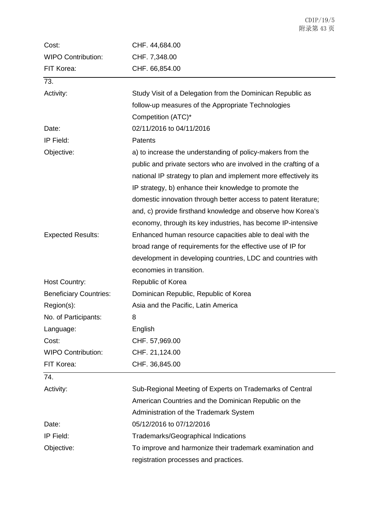| Cost:                         | CHF. 44,684.00                                                   |
|-------------------------------|------------------------------------------------------------------|
| <b>WIPO Contribution:</b>     | CHF. 7,348.00                                                    |
| FIT Korea:                    | CHF. 66,854.00                                                   |
| 73.                           |                                                                  |
| Activity:                     | Study Visit of a Delegation from the Dominican Republic as       |
|                               | follow-up measures of the Appropriate Technologies               |
|                               | Competition (ATC)*                                               |
| Date:                         | 02/11/2016 to 04/11/2016                                         |
| IP Field:                     | Patents                                                          |
| Objective:                    | a) to increase the understanding of policy-makers from the       |
|                               | public and private sectors who are involved in the crafting of a |
|                               | national IP strategy to plan and implement more effectively its  |
|                               | IP strategy, b) enhance their knowledge to promote the           |
|                               | domestic innovation through better access to patent literature;  |
|                               | and, c) provide firsthand knowledge and observe how Korea's      |
|                               | economy, through its key industries, has become IP-intensive     |
| <b>Expected Results:</b>      | Enhanced human resource capacities able to deal with the         |
|                               | broad range of requirements for the effective use of IP for      |
|                               | development in developing countries, LDC and countries with      |
|                               | economies in transition.                                         |
| <b>Host Country:</b>          | Republic of Korea                                                |
| <b>Beneficiary Countries:</b> | Dominican Republic, Republic of Korea                            |
| Region(s):                    | Asia and the Pacific, Latin America                              |
| No. of Participants:          | 8                                                                |
| Language:                     | English                                                          |
| Cost:                         | CHF. 57,969.00                                                   |
| <b>WIPO Contribution:</b>     | CHF. 21,124.00                                                   |
| FIT Korea:                    | CHF. 36,845.00                                                   |
| 74.                           |                                                                  |
| Activity:                     | Sub-Regional Meeting of Experts on Trademarks of Central         |
|                               | American Countries and the Dominican Republic on the             |
|                               | Administration of the Trademark System                           |
| Date:                         | 05/12/2016 to 07/12/2016                                         |
| IP Field:                     | Trademarks/Geographical Indications                              |
| Objective:                    | To improve and harmonize their trademark examination and         |
|                               | registration processes and practices.                            |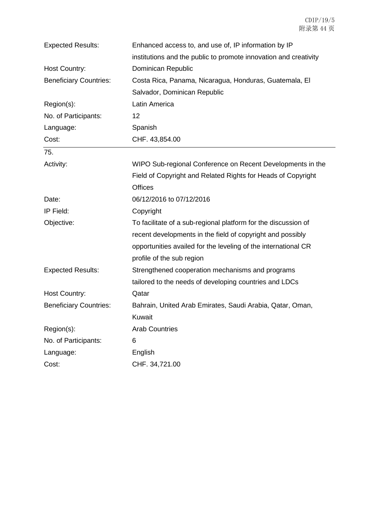| <b>Expected Results:</b>      | Enhanced access to, and use of, IP information by IP             |
|-------------------------------|------------------------------------------------------------------|
|                               | institutions and the public to promote innovation and creativity |
| Host Country:                 | Dominican Republic                                               |
| <b>Beneficiary Countries:</b> | Costa Rica, Panama, Nicaragua, Honduras, Guatemala, El           |
|                               | Salvador, Dominican Republic                                     |
| Region(s):                    | Latin America                                                    |
| No. of Participants:          | 12                                                               |
| Language:                     | Spanish                                                          |
| Cost:                         | CHF. 43,854.00                                                   |
| 75.                           |                                                                  |
| Activity:                     | WIPO Sub-regional Conference on Recent Developments in the       |
|                               | Field of Copyright and Related Rights for Heads of Copyright     |
|                               | <b>Offices</b>                                                   |
| Date:                         | 06/12/2016 to 07/12/2016                                         |
| IP Field:                     | Copyright                                                        |
| Objective:                    | To facilitate of a sub-regional platform for the discussion of   |
|                               | recent developments in the field of copyright and possibly       |
|                               | opportunities availed for the leveling of the international CR   |
|                               | profile of the sub region                                        |
| <b>Expected Results:</b>      | Strengthened cooperation mechanisms and programs                 |
|                               | tailored to the needs of developing countries and LDCs           |
| <b>Host Country:</b>          | Qatar                                                            |
| <b>Beneficiary Countries:</b> | Bahrain, United Arab Emirates, Saudi Arabia, Qatar, Oman,        |
|                               | Kuwait                                                           |
| Region(s):                    | <b>Arab Countries</b>                                            |
| No. of Participants:          | 6                                                                |
| Language:                     | English                                                          |
| Cost:                         | CHF. 34,721.00                                                   |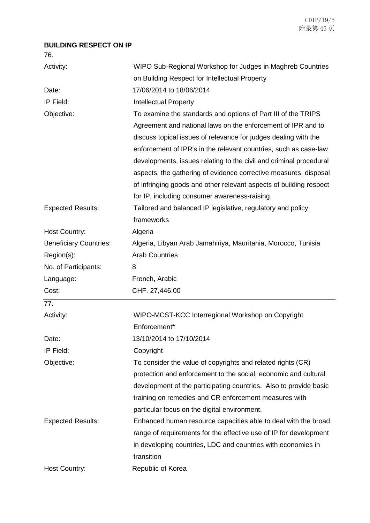## **BUILDING RESPECT ON IP**

76.

| Activity:                     | WIPO Sub-Regional Workshop for Judges in Maghreb Countries                                                                                                                                                                                                                                                                                                                                                                                                                                                                            |
|-------------------------------|---------------------------------------------------------------------------------------------------------------------------------------------------------------------------------------------------------------------------------------------------------------------------------------------------------------------------------------------------------------------------------------------------------------------------------------------------------------------------------------------------------------------------------------|
|                               | on Building Respect for Intellectual Property                                                                                                                                                                                                                                                                                                                                                                                                                                                                                         |
| Date:                         | 17/06/2014 to 18/06/2014                                                                                                                                                                                                                                                                                                                                                                                                                                                                                                              |
| IP Field:                     | <b>Intellectual Property</b>                                                                                                                                                                                                                                                                                                                                                                                                                                                                                                          |
| Objective:                    | To examine the standards and options of Part III of the TRIPS<br>Agreement and national laws on the enforcement of IPR and to<br>discuss topical issues of relevance for judges dealing with the<br>enforcement of IPR's in the relevant countries, such as case-law<br>developments, issues relating to the civil and criminal procedural<br>aspects, the gathering of evidence corrective measures, disposal<br>of infringing goods and other relevant aspects of building respect<br>for IP, including consumer awareness-raising. |
| <b>Expected Results:</b>      | Tailored and balanced IP legislative, regulatory and policy                                                                                                                                                                                                                                                                                                                                                                                                                                                                           |
|                               | frameworks                                                                                                                                                                                                                                                                                                                                                                                                                                                                                                                            |
| <b>Host Country:</b>          | Algeria                                                                                                                                                                                                                                                                                                                                                                                                                                                                                                                               |
| <b>Beneficiary Countries:</b> | Algeria, Libyan Arab Jamahiriya, Mauritania, Morocco, Tunisia                                                                                                                                                                                                                                                                                                                                                                                                                                                                         |
| Region(s):                    | <b>Arab Countries</b>                                                                                                                                                                                                                                                                                                                                                                                                                                                                                                                 |
| No. of Participants:          | 8                                                                                                                                                                                                                                                                                                                                                                                                                                                                                                                                     |
| Language:                     | French, Arabic                                                                                                                                                                                                                                                                                                                                                                                                                                                                                                                        |
| Cost:                         | CHF. 27,446.00                                                                                                                                                                                                                                                                                                                                                                                                                                                                                                                        |
| 77.                           |                                                                                                                                                                                                                                                                                                                                                                                                                                                                                                                                       |
| Activity:                     | WIPO-MCST-KCC Interregional Workshop on Copyright                                                                                                                                                                                                                                                                                                                                                                                                                                                                                     |
|                               | Enforcement*                                                                                                                                                                                                                                                                                                                                                                                                                                                                                                                          |
| Date:                         | 13/10/2014 to 17/10/2014                                                                                                                                                                                                                                                                                                                                                                                                                                                                                                              |
| IP Field:                     | Copyright                                                                                                                                                                                                                                                                                                                                                                                                                                                                                                                             |
| Objective:                    | To consider the value of copyrights and related rights (CR)                                                                                                                                                                                                                                                                                                                                                                                                                                                                           |
|                               | protection and enforcement to the social, economic and cultural                                                                                                                                                                                                                                                                                                                                                                                                                                                                       |
|                               | development of the participating countries. Also to provide basic                                                                                                                                                                                                                                                                                                                                                                                                                                                                     |
|                               | training on remedies and CR enforcement measures with                                                                                                                                                                                                                                                                                                                                                                                                                                                                                 |
|                               | particular focus on the digital environment.                                                                                                                                                                                                                                                                                                                                                                                                                                                                                          |
| <b>Expected Results:</b>      | Enhanced human resource capacities able to deal with the broad                                                                                                                                                                                                                                                                                                                                                                                                                                                                        |
|                               | range of requirements for the effective use of IP for development                                                                                                                                                                                                                                                                                                                                                                                                                                                                     |
|                               | in developing countries, LDC and countries with economies in                                                                                                                                                                                                                                                                                                                                                                                                                                                                          |
|                               | transition                                                                                                                                                                                                                                                                                                                                                                                                                                                                                                                            |
|                               |                                                                                                                                                                                                                                                                                                                                                                                                                                                                                                                                       |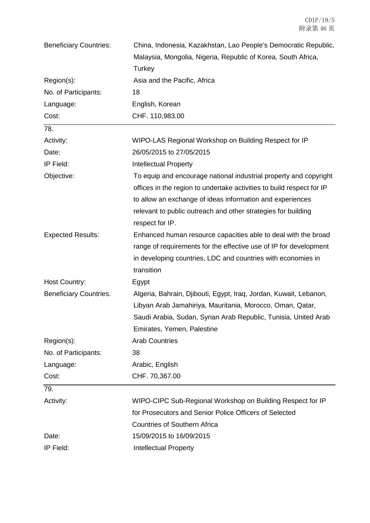| <b>Beneficiary Countries:</b> | China, Indonesia, Kazakhstan, Lao People's Democratic Republic,       |
|-------------------------------|-----------------------------------------------------------------------|
|                               | Malaysia, Mongolia, Nigeria, Republic of Korea, South Africa,         |
|                               | Turkey                                                                |
| Region(s):                    | Asia and the Pacific, Africa                                          |
| No. of Participants:          | 18                                                                    |
| Language:                     | English, Korean                                                       |
| Cost:                         | CHF. 110,983.00                                                       |
| 78.                           |                                                                       |
| Activity:                     | WIPO-LAS Regional Workshop on Building Respect for IP                 |
| Date:                         | 26/05/2015 to 27/05/2015                                              |
| IP Field:                     | <b>Intellectual Property</b>                                          |
| Objective:                    | To equip and encourage national industrial property and copyright     |
|                               | offices in the region to undertake activities to build respect for IP |
|                               | to allow an exchange of ideas information and experiences             |
|                               | relevant to public outreach and other strategies for building         |
|                               | respect for IP.                                                       |
| <b>Expected Results:</b>      | Enhanced human resource capacities able to deal with the broad        |
|                               | range of requirements for the effective use of IP for development     |
|                               | in developing countries, LDC and countries with economies in          |
|                               | transition                                                            |
| <b>Host Country:</b>          | Egypt                                                                 |
| <b>Beneficiary Countries:</b> | Algeria, Bahrain, Djibouti, Egypt, Iraq, Jordan, Kuwait, Lebanon,     |
|                               | Libyan Arab Jamahiriya, Mauritania, Morocco, Oman, Qatar,             |
|                               | Saudi Arabia, Sudan, Syrian Arab Republic, Tunisia, United Arab       |
|                               | Emirates, Yemen, Palestine                                            |
| Region(s):                    | <b>Arab Countries</b>                                                 |
| No. of Participants:          | 38                                                                    |
| Language:                     | Arabic, English                                                       |
| Cost:                         | CHF. 70,367.00                                                        |
| 79.                           |                                                                       |
| Activity:                     | WIPO-CIPC Sub-Regional Workshop on Building Respect for IP            |
|                               | for Prosecutors and Senior Police Officers of Selected                |
|                               | <b>Countries of Southern Africa</b>                                   |
| Date:                         | 15/09/2015 to 16/09/2015                                              |
| IP Field:                     | <b>Intellectual Property</b>                                          |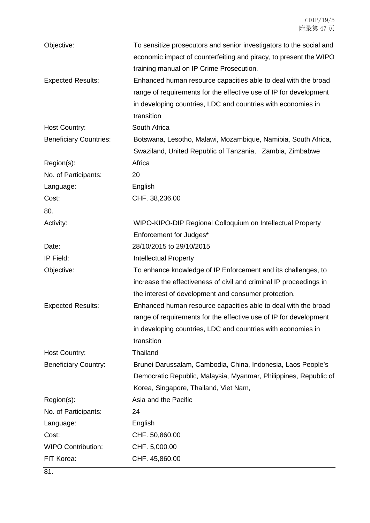| Objective:                    | To sensitize prosecutors and senior investigators to the social and<br>economic impact of counterfeiting and piracy, to present the WIPO<br>training manual on IP Crime Prosecution.                              |
|-------------------------------|-------------------------------------------------------------------------------------------------------------------------------------------------------------------------------------------------------------------|
| <b>Expected Results:</b>      | Enhanced human resource capacities able to deal with the broad<br>range of requirements for the effective use of IP for development<br>in developing countries, LDC and countries with economies in<br>transition |
| Host Country:                 | South Africa                                                                                                                                                                                                      |
| <b>Beneficiary Countries:</b> | Botswana, Lesotho, Malawi, Mozambique, Namibia, South Africa,                                                                                                                                                     |
|                               | Swaziland, United Republic of Tanzania, Zambia, Zimbabwe                                                                                                                                                          |
| Region(s):                    | Africa                                                                                                                                                                                                            |
| No. of Participants:          | 20                                                                                                                                                                                                                |
| Language:                     | English                                                                                                                                                                                                           |
| Cost:                         | CHF. 38,236.00                                                                                                                                                                                                    |
| 80.                           |                                                                                                                                                                                                                   |
| Activity:                     | WIPO-KIPO-DIP Regional Colloquium on Intellectual Property                                                                                                                                                        |
|                               | Enforcement for Judges*                                                                                                                                                                                           |
| Date:                         | 28/10/2015 to 29/10/2015                                                                                                                                                                                          |
| IP Field:                     | <b>Intellectual Property</b>                                                                                                                                                                                      |
| Objective:                    | To enhance knowledge of IP Enforcement and its challenges, to                                                                                                                                                     |
|                               | increase the effectiveness of civil and criminal IP proceedings in<br>the interest of development and consumer protection.                                                                                        |
| <b>Expected Results:</b>      | Enhanced human resource capacities able to deal with the broad                                                                                                                                                    |
|                               | range of requirements for the effective use of IP for development                                                                                                                                                 |
|                               | in developing countries, LDC and countries with economies in                                                                                                                                                      |
|                               | transition                                                                                                                                                                                                        |
| <b>Host Country:</b>          | Thailand                                                                                                                                                                                                          |
| <b>Beneficiary Country:</b>   | Brunei Darussalam, Cambodia, China, Indonesia, Laos People's                                                                                                                                                      |
|                               | Democratic Republic, Malaysia, Myanmar, Philippines, Republic of                                                                                                                                                  |
|                               | Korea, Singapore, Thailand, Viet Nam,                                                                                                                                                                             |
| Region(s):                    | Asia and the Pacific                                                                                                                                                                                              |
| No. of Participants:          | 24                                                                                                                                                                                                                |
| Language:                     | English                                                                                                                                                                                                           |
| Cost:                         | CHF. 50,860.00                                                                                                                                                                                                    |
| <b>WIPO Contribution:</b>     | CHF. 5,000.00                                                                                                                                                                                                     |
| FIT Korea:                    | CHF. 45,860.00                                                                                                                                                                                                    |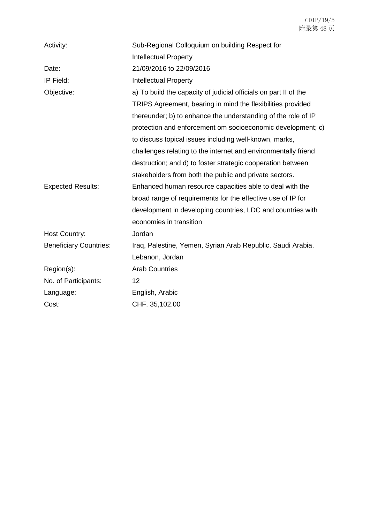| Activity:                     | Sub-Regional Colloquium on building Respect for                  |
|-------------------------------|------------------------------------------------------------------|
|                               | <b>Intellectual Property</b>                                     |
| Date:                         | 21/09/2016 to 22/09/2016                                         |
| IP Field:                     | <b>Intellectual Property</b>                                     |
| Objective:                    | a) To build the capacity of judicial officials on part II of the |
|                               | TRIPS Agreement, bearing in mind the flexibilities provided      |
|                               | thereunder; b) to enhance the understanding of the role of IP    |
|                               | protection and enforcement om socioeconomic development; c)      |
|                               | to discuss topical issues including well-known, marks,           |
|                               | challenges relating to the internet and environmentally friend   |
|                               | destruction; and d) to foster strategic cooperation between      |
|                               | stakeholders from both the public and private sectors.           |
| <b>Expected Results:</b>      | Enhanced human resource capacities able to deal with the         |
|                               | broad range of requirements for the effective use of IP for      |
|                               | development in developing countries, LDC and countries with      |
|                               | economies in transition                                          |
| <b>Host Country:</b>          | Jordan                                                           |
| <b>Beneficiary Countries:</b> | Iraq, Palestine, Yemen, Syrian Arab Republic, Saudi Arabia,      |
|                               | Lebanon, Jordan                                                  |
| Region(s):                    | <b>Arab Countries</b>                                            |
| No. of Participants:          | 12                                                               |
| Language:                     | English, Arabic                                                  |
| Cost:                         | CHF. 35,102.00                                                   |
|                               |                                                                  |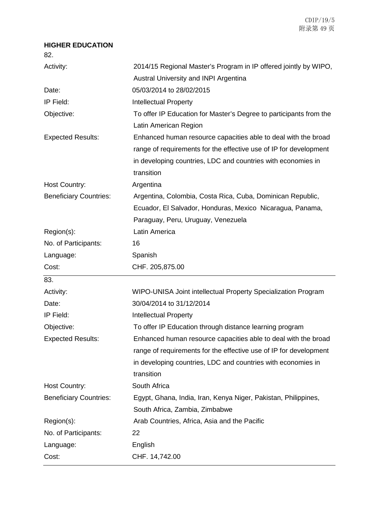## **HIGHER EDUCATION**

82.

| Activity:                     | 2014/15 Regional Master's Program in IP offered jointly by WIPO,   |
|-------------------------------|--------------------------------------------------------------------|
|                               | Austral University and INPI Argentina                              |
| Date:                         | 05/03/2014 to 28/02/2015                                           |
| IP Field:                     | <b>Intellectual Property</b>                                       |
| Objective:                    | To offer IP Education for Master's Degree to participants from the |
|                               | Latin American Region                                              |
| <b>Expected Results:</b>      | Enhanced human resource capacities able to deal with the broad     |
|                               | range of requirements for the effective use of IP for development  |
|                               | in developing countries, LDC and countries with economies in       |
|                               | transition                                                         |
| Host Country:                 | Argentina                                                          |
| <b>Beneficiary Countries:</b> | Argentina, Colombia, Costa Rica, Cuba, Dominican Republic,         |
|                               | Ecuador, El Salvador, Honduras, Mexico Nicaragua, Panama,          |
|                               | Paraguay, Peru, Uruguay, Venezuela                                 |
| Region(s):                    | Latin America                                                      |
| No. of Participants:          | 16                                                                 |
| Language:                     | Spanish                                                            |
|                               |                                                                    |
| Cost:                         | CHF. 205,875.00                                                    |
| 83.                           |                                                                    |
| Activity:                     | WIPO-UNISA Joint intellectual Property Specialization Program      |
| Date:                         | 30/04/2014 to 31/12/2014                                           |
| IP Field:                     | <b>Intellectual Property</b>                                       |
| Objective:                    | To offer IP Education through distance learning program            |
| <b>Expected Results:</b>      | Enhanced human resource capacities able to deal with the broad     |
|                               | range of requirements for the effective use of IP for development  |
|                               | in developing countries, LDC and countries with economies in       |
|                               | transition                                                         |
| <b>Host Country:</b>          | South Africa                                                       |
| <b>Beneficiary Countries:</b> | Egypt, Ghana, India, Iran, Kenya Niger, Pakistan, Philippines,     |
|                               | South Africa, Zambia, Zimbabwe                                     |
| Region(s):                    | Arab Countries, Africa, Asia and the Pacific                       |
| No. of Participants:          | 22                                                                 |
| Language:                     | English                                                            |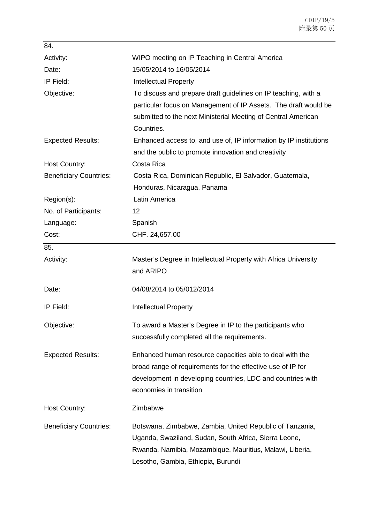| 84.                           |                                                                   |
|-------------------------------|-------------------------------------------------------------------|
| Activity:                     | WIPO meeting on IP Teaching in Central America                    |
| Date:                         | 15/05/2014 to 16/05/2014                                          |
| IP Field:                     | <b>Intellectual Property</b>                                      |
| Objective:                    | To discuss and prepare draft guidelines on IP teaching, with a    |
|                               | particular focus on Management of IP Assets. The draft would be   |
|                               | submitted to the next Ministerial Meeting of Central American     |
|                               | Countries.                                                        |
| <b>Expected Results:</b>      | Enhanced access to, and use of, IP information by IP institutions |
|                               | and the public to promote innovation and creativity               |
| Host Country:                 | Costa Rica                                                        |
| <b>Beneficiary Countries:</b> | Costa Rica, Dominican Republic, El Salvador, Guatemala,           |
|                               | Honduras, Nicaragua, Panama                                       |
| Region(s):                    | Latin America                                                     |
| No. of Participants:          | 12                                                                |
| Language:                     | Spanish                                                           |
| Cost:                         | CHF. 24,657.00                                                    |
| 85.                           |                                                                   |
| Activity:                     | Master's Degree in Intellectual Property with Africa University   |
|                               | and ARIPO                                                         |
| Date:                         | 04/08/2014 to 05/012/2014                                         |
| IP Field:                     | <b>Intellectual Property</b>                                      |
| Objective:                    | To award a Master's Degree in IP to the participants who          |
|                               | successfully completed all the requirements.                      |
| <b>Expected Results:</b>      | Enhanced human resource capacities able to deal with the          |
|                               | broad range of requirements for the effective use of IP for       |
|                               | development in developing countries, LDC and countries with       |
|                               | economies in transition                                           |
| Host Country:                 | Zimbabwe                                                          |
| <b>Beneficiary Countries:</b> | Botswana, Zimbabwe, Zambia, United Republic of Tanzania,          |
|                               | Uganda, Swaziland, Sudan, South Africa, Sierra Leone,             |
|                               | Rwanda, Namibia, Mozambique, Mauritius, Malawi, Liberia,          |
|                               | Lesotho, Gambia, Ethiopia, Burundi                                |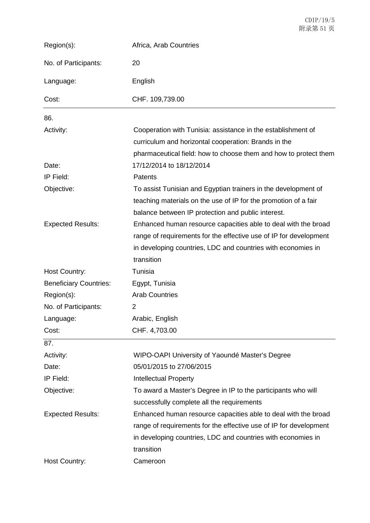| Region(s):                    | Africa, Arab Countries                                                                                                                                                                                            |
|-------------------------------|-------------------------------------------------------------------------------------------------------------------------------------------------------------------------------------------------------------------|
| No. of Participants:          | 20                                                                                                                                                                                                                |
| Language:                     | English                                                                                                                                                                                                           |
| Cost:                         | CHF. 109,739.00                                                                                                                                                                                                   |
| 86.                           |                                                                                                                                                                                                                   |
| Activity:                     | Cooperation with Tunisia: assistance in the establishment of<br>curriculum and horizontal cooperation: Brands in the<br>pharmaceutical field: how to choose them and how to protect them                          |
| Date:                         | 17/12/2014 to 18/12/2014                                                                                                                                                                                          |
| IP Field:                     | Patents                                                                                                                                                                                                           |
| Objective:                    | To assist Tunisian and Egyptian trainers in the development of<br>teaching materials on the use of IP for the promotion of a fair<br>balance between IP protection and public interest.                           |
| <b>Expected Results:</b>      | Enhanced human resource capacities able to deal with the broad<br>range of requirements for the effective use of IP for development<br>in developing countries, LDC and countries with economies in<br>transition |
| <b>Host Country:</b>          | Tunisia                                                                                                                                                                                                           |
| <b>Beneficiary Countries:</b> | Egypt, Tunisia                                                                                                                                                                                                    |
| Region(s):                    | <b>Arab Countries</b>                                                                                                                                                                                             |
| No. of Participants:          | 2                                                                                                                                                                                                                 |
| Language:                     | Arabic, English                                                                                                                                                                                                   |
| Cost:                         | CHF. 4,703.00                                                                                                                                                                                                     |
| 87.                           |                                                                                                                                                                                                                   |
| Activity:                     | WIPO-OAPI University of Yaoundé Master's Degree                                                                                                                                                                   |
| Date:                         | 05/01/2015 to 27/06/2015                                                                                                                                                                                          |
| IP Field:                     | <b>Intellectual Property</b>                                                                                                                                                                                      |
| Objective:                    | To award a Master's Degree in IP to the participants who will                                                                                                                                                     |
|                               | successfully complete all the requirements                                                                                                                                                                        |
| <b>Expected Results:</b>      | Enhanced human resource capacities able to deal with the broad                                                                                                                                                    |
|                               | range of requirements for the effective use of IP for development                                                                                                                                                 |
|                               | in developing countries, LDC and countries with economies in                                                                                                                                                      |
|                               | transition                                                                                                                                                                                                        |
| Host Country:                 | Cameroon                                                                                                                                                                                                          |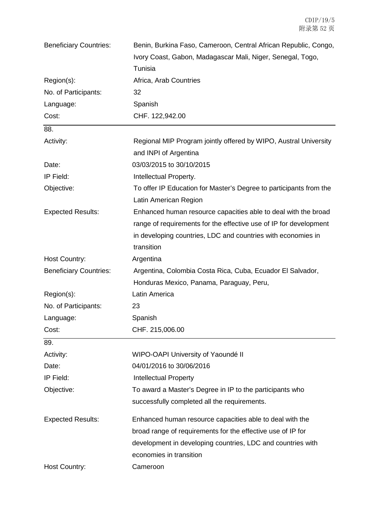| <b>Beneficiary Countries:</b> | Benin, Burkina Faso, Cameroon, Central African Republic, Congo,    |
|-------------------------------|--------------------------------------------------------------------|
|                               | Ivory Coast, Gabon, Madagascar Mali, Niger, Senegal, Togo,         |
|                               | Tunisia                                                            |
| Region(s):                    | Africa, Arab Countries                                             |
| No. of Participants:          | 32                                                                 |
| Language:                     | Spanish                                                            |
| Cost:                         | CHF. 122,942.00                                                    |
| 88.                           |                                                                    |
| Activity:                     | Regional MIP Program jointly offered by WIPO, Austral University   |
|                               | and INPI of Argentina                                              |
| Date:                         | 03/03/2015 to 30/10/2015                                           |
| IP Field:                     | Intellectual Property.                                             |
| Objective:                    | To offer IP Education for Master's Degree to participants from the |
|                               | Latin American Region                                              |
| <b>Expected Results:</b>      | Enhanced human resource capacities able to deal with the broad     |
|                               | range of requirements for the effective use of IP for development  |
|                               | in developing countries, LDC and countries with economies in       |
|                               | transition                                                         |
| Host Country:                 | Argentina                                                          |
| <b>Beneficiary Countries:</b> | Argentina, Colombia Costa Rica, Cuba, Ecuador El Salvador,         |
|                               | Honduras Mexico, Panama, Paraguay, Peru,                           |
| Region(s):                    | Latin America                                                      |
| No. of Participants:          | 23                                                                 |
| Language:                     | Spanish                                                            |
| Cost:                         | CHF. 215,006.00                                                    |
| 89.                           |                                                                    |
| Activity:                     | WIPO-OAPI University of Yaoundé II                                 |
| Date:                         | 04/01/2016 to 30/06/2016                                           |
| IP Field:                     | <b>Intellectual Property</b>                                       |
| Objective:                    | To award a Master's Degree in IP to the participants who           |
|                               | successfully completed all the requirements.                       |
| <b>Expected Results:</b>      | Enhanced human resource capacities able to deal with the           |
|                               | broad range of requirements for the effective use of IP for        |
|                               | development in developing countries, LDC and countries with        |
|                               | economies in transition                                            |
| <b>Host Country:</b>          | Cameroon                                                           |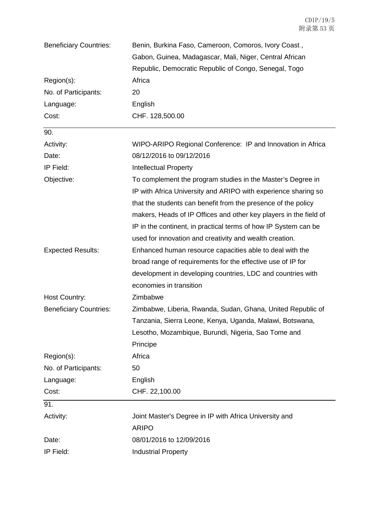| <b>Beneficiary Countries:</b> | Benin, Burkina Faso, Cameroon, Comoros, Ivory Coast,,             |
|-------------------------------|-------------------------------------------------------------------|
|                               | Gabon, Guinea, Madagascar, Mali, Niger, Central African           |
|                               | Republic, Democratic Republic of Congo, Senegal, Togo             |
| Region(s):                    | Africa                                                            |
| No. of Participants:          | 20                                                                |
| Language:                     | English                                                           |
| Cost:                         | CHF. 128,500.00                                                   |
| 90.                           |                                                                   |
| Activity:                     | WIPO-ARIPO Regional Conference: IP and Innovation in Africa       |
| Date:                         | 08/12/2016 to 09/12/2016                                          |
| IP Field:                     | <b>Intellectual Property</b>                                      |
| Objective:                    | To complement the program studies in the Master's Degree in       |
|                               | IP with Africa University and ARIPO with experience sharing so    |
|                               | that the students can benefit from the presence of the policy     |
|                               | makers, Heads of IP Offices and other key players in the field of |
|                               | IP in the continent, in practical terms of how IP System can be   |
|                               | used for innovation and creativity and wealth creation.           |
| <b>Expected Results:</b>      | Enhanced human resource capacities able to deal with the          |
|                               | broad range of requirements for the effective use of IP for       |
|                               | development in developing countries, LDC and countries with       |
|                               | economies in transition                                           |
| <b>Host Country:</b>          | Zimbabwe                                                          |
| <b>Beneficiary Countries:</b> | Zimbabwe, Liberia, Rwanda, Sudan, Ghana, United Republic of       |
|                               | Tanzania, Sierra Leone, Kenya, Uganda, Malawi, Botswana,          |
|                               | Lesotho, Mozambique, Burundi, Nigeria, Sao Tome and               |
|                               | Principe                                                          |
| Region(s):                    | Africa                                                            |
| No. of Participants:          | 50                                                                |
| Language:                     | English                                                           |
| Cost:                         | CHF. 22,100.00                                                    |
| 91.                           |                                                                   |
| Activity:                     | Joint Master's Degree in IP with Africa University and            |
|                               | <b>ARIPO</b>                                                      |
| Date:                         | 08/01/2016 to 12/09/2016                                          |
| IP Field:                     | <b>Industrial Property</b>                                        |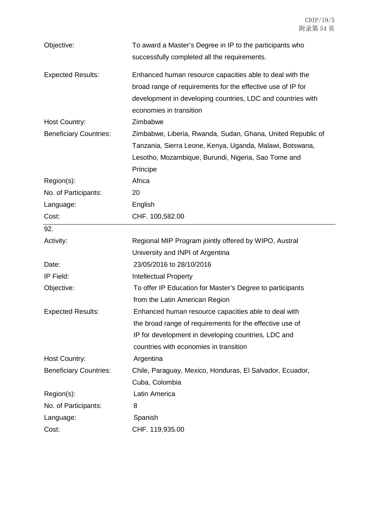| Objective:                    | To award a Master's Degree in IP to the participants who    |
|-------------------------------|-------------------------------------------------------------|
|                               | successfully completed all the requirements.                |
| <b>Expected Results:</b>      | Enhanced human resource capacities able to deal with the    |
|                               | broad range of requirements for the effective use of IP for |
|                               | development in developing countries, LDC and countries with |
|                               | economies in transition                                     |
| <b>Host Country:</b>          | Zimbabwe                                                    |
| <b>Beneficiary Countries:</b> | Zimbabwe, Liberia, Rwanda, Sudan, Ghana, United Republic of |
|                               | Tanzania, Sierra Leone, Kenya, Uganda, Malawi, Botswana,    |
|                               | Lesotho, Mozambique, Burundi, Nigeria, Sao Tome and         |
|                               | Principe                                                    |
| Region(s):                    | Africa                                                      |
| No. of Participants:          | 20                                                          |
| Language:                     | English                                                     |
| Cost:                         | CHF. 100,582.00                                             |
| 92.                           |                                                             |
| Activity:                     | Regional MIP Program jointly offered by WIPO, Austral       |
|                               |                                                             |
|                               | University and INPI of Argentina                            |
| Date:                         | 23/05/2016 to 28/10/2016                                    |
| IP Field:                     | <b>Intellectual Property</b>                                |
| Objective:                    | To offer IP Education for Master's Degree to participants   |
|                               | from the Latin American Region                              |
| <b>Expected Results:</b>      | Enhanced human resource capacities able to deal with        |
|                               | the broad range of requirements for the effective use of    |
|                               | IP for development in developing countries, LDC and         |
|                               | countries with economies in transition                      |
| Host Country:                 | Argentina                                                   |
| <b>Beneficiary Countries:</b> | Chile, Paraguay, Mexico, Honduras, El Salvador, Ecuador,    |
|                               | Cuba, Colombia                                              |
| Region(s):                    | Latin America                                               |
| No. of Participants:          | 8                                                           |
| Language:                     | Spanish                                                     |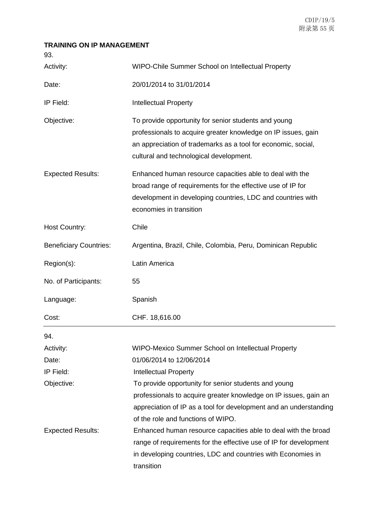## **TRAINING ON IP MANAGEMENT**

| Activity:                     | WIPO-Chile Summer School on Intellectual Property                                                                                                                                                                                 |
|-------------------------------|-----------------------------------------------------------------------------------------------------------------------------------------------------------------------------------------------------------------------------------|
| Date:                         | 20/01/2014 to 31/01/2014                                                                                                                                                                                                          |
| IP Field:                     | <b>Intellectual Property</b>                                                                                                                                                                                                      |
| Objective:                    | To provide opportunity for senior students and young<br>professionals to acquire greater knowledge on IP issues, gain<br>an appreciation of trademarks as a tool for economic, social,<br>cultural and technological development. |
| <b>Expected Results:</b>      | Enhanced human resource capacities able to deal with the<br>broad range of requirements for the effective use of IP for<br>development in developing countries, LDC and countries with<br>economies in transition                 |
| <b>Host Country:</b>          | Chile                                                                                                                                                                                                                             |
| <b>Beneficiary Countries:</b> | Argentina, Brazil, Chile, Colombia, Peru, Dominican Republic                                                                                                                                                                      |
| Region(s):                    | Latin America                                                                                                                                                                                                                     |
| No. of Participants:          | 55                                                                                                                                                                                                                                |
| Language:                     | Spanish                                                                                                                                                                                                                           |
| Cost:                         | CHF. 18,616.00                                                                                                                                                                                                                    |
| 94.                           |                                                                                                                                                                                                                                   |
| Activity:                     | WIPO-Mexico Summer School on Intellectual Property                                                                                                                                                                                |
| Date:                         | 01/06/2014 to 12/06/2014                                                                                                                                                                                                          |
| IP Field:                     | <b>Intellectual Property</b>                                                                                                                                                                                                      |
| Objective:                    | To provide opportunity for senior students and young                                                                                                                                                                              |
|                               | professionals to acquire greater knowledge on IP issues, gain an                                                                                                                                                                  |
|                               | appreciation of IP as a tool for development and an understanding                                                                                                                                                                 |
|                               | of the role and functions of WIPO.                                                                                                                                                                                                |
| <b>Expected Results:</b>      | Enhanced human resource capacities able to deal with the broad                                                                                                                                                                    |
|                               | range of requirements for the effective use of IP for development                                                                                                                                                                 |
|                               | in developing countries, LDC and countries with Economies in<br>transition                                                                                                                                                        |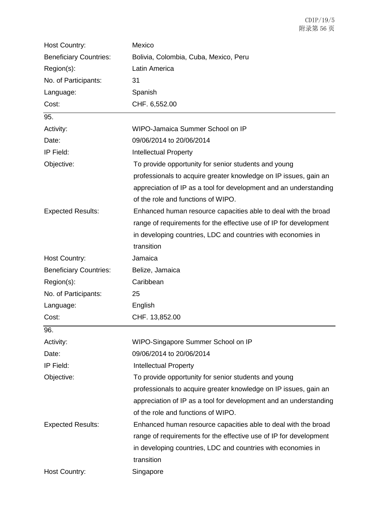| Host Country:                 | Mexico                                                            |
|-------------------------------|-------------------------------------------------------------------|
| <b>Beneficiary Countries:</b> | Bolivia, Colombia, Cuba, Mexico, Peru                             |
| Region(s):                    | Latin America                                                     |
| No. of Participants:          | 31                                                                |
| Language:                     | Spanish                                                           |
| Cost:                         | CHF. 6,552.00                                                     |
| 95.                           |                                                                   |
| Activity:                     | WIPO-Jamaica Summer School on IP                                  |
| Date:                         | 09/06/2014 to 20/06/2014                                          |
| IP Field:                     | <b>Intellectual Property</b>                                      |
| Objective:                    | To provide opportunity for senior students and young              |
|                               | professionals to acquire greater knowledge on IP issues, gain an  |
|                               | appreciation of IP as a tool for development and an understanding |
|                               | of the role and functions of WIPO.                                |
| <b>Expected Results:</b>      | Enhanced human resource capacities able to deal with the broad    |
|                               | range of requirements for the effective use of IP for development |
|                               | in developing countries, LDC and countries with economies in      |
|                               | transition                                                        |
| Host Country:                 | Jamaica                                                           |
| <b>Beneficiary Countries:</b> | Belize, Jamaica                                                   |
| Region(s):                    | Caribbean                                                         |
| No. of Participants:          | 25                                                                |
| Language:                     | English                                                           |
| Cost:                         | CHF. 13,852.00                                                    |
| 96.                           |                                                                   |
| Activity:                     | WIPO-Singapore Summer School on IP                                |
| Date:                         | 09/06/2014 to 20/06/2014                                          |
| IP Field:                     | <b>Intellectual Property</b>                                      |
| Objective:                    | To provide opportunity for senior students and young              |
|                               | professionals to acquire greater knowledge on IP issues, gain an  |
|                               | appreciation of IP as a tool for development and an understanding |
|                               | of the role and functions of WIPO.                                |
| <b>Expected Results:</b>      | Enhanced human resource capacities able to deal with the broad    |
|                               | range of requirements for the effective use of IP for development |
|                               | in developing countries, LDC and countries with economies in      |
|                               | transition                                                        |
| Host Country:                 | Singapore                                                         |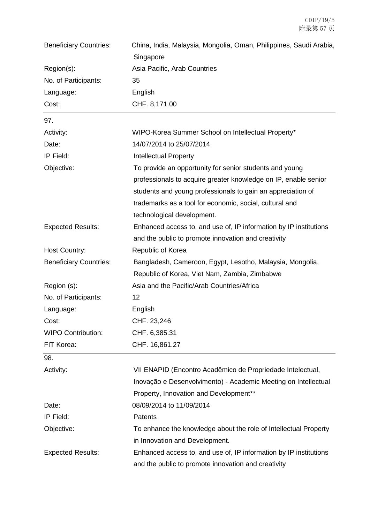| <b>Beneficiary Countries:</b> | China, India, Malaysia, Mongolia, Oman, Philippines, Saudi Arabia, |
|-------------------------------|--------------------------------------------------------------------|
|                               | Singapore                                                          |
| Region(s):                    | Asia Pacific, Arab Countries                                       |
| No. of Participants:          | 35                                                                 |
| Language:                     | English                                                            |
| Cost:                         | CHF. 8,171.00                                                      |
| 97.                           |                                                                    |
| Activity:                     | WIPO-Korea Summer School on Intellectual Property*                 |
| Date:                         | 14/07/2014 to 25/07/2014                                           |
| IP Field:                     | <b>Intellectual Property</b>                                       |
| Objective:                    | To provide an opportunity for senior students and young            |
|                               | professionals to acquire greater knowledge on IP, enable senior    |
|                               | students and young professionals to gain an appreciation of        |
|                               | trademarks as a tool for economic, social, cultural and            |
|                               | technological development.                                         |
| <b>Expected Results:</b>      | Enhanced access to, and use of, IP information by IP institutions  |
|                               | and the public to promote innovation and creativity                |
| Host Country:                 | Republic of Korea                                                  |
| <b>Beneficiary Countries:</b> | Bangladesh, Cameroon, Egypt, Lesotho, Malaysia, Mongolia,          |
|                               | Republic of Korea, Viet Nam, Zambia, Zimbabwe                      |
| Region (s):                   | Asia and the Pacific/Arab Countries/Africa                         |
| No. of Participants:          | 12                                                                 |
| Language:                     | English                                                            |
| Cost:                         | CHF. 23,246                                                        |
| <b>WIPO Contribution:</b>     | CHF. 6,385.31                                                      |
| FIT Korea:                    | CHF. 16,861.27                                                     |
| 98.                           |                                                                    |
| Activity:                     | VII ENAPID (Encontro Acadêmico de Propriedade Intelectual,         |
|                               | Inovação e Desenvolvimento) - Academic Meeting on Intellectual     |
|                               | Property, Innovation and Development**                             |
| Date:                         | 08/09/2014 to 11/09/2014                                           |
| IP Field:                     | Patents                                                            |
| Objective:                    | To enhance the knowledge about the role of Intellectual Property   |
|                               | in Innovation and Development.                                     |
| <b>Expected Results:</b>      | Enhanced access to, and use of, IP information by IP institutions  |
|                               | and the public to promote innovation and creativity                |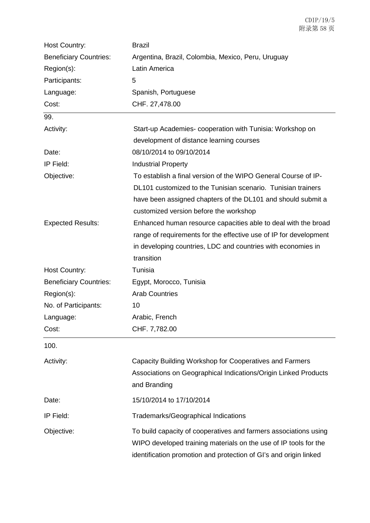| Host Country:                 | <b>Brazil</b>                                                     |
|-------------------------------|-------------------------------------------------------------------|
| <b>Beneficiary Countries:</b> | Argentina, Brazil, Colombia, Mexico, Peru, Uruguay                |
| Region(s):                    | Latin America                                                     |
| Participants:                 | 5                                                                 |
| Language:                     | Spanish, Portuguese                                               |
| Cost:                         | CHF. 27,478.00                                                    |
| 99.                           |                                                                   |
| Activity:                     | Start-up Academies-cooperation with Tunisia: Workshop on          |
|                               | development of distance learning courses                          |
| Date:                         | 08/10/2014 to 09/10/2014                                          |
| IP Field:                     | <b>Industrial Property</b>                                        |
| Objective:                    | To establish a final version of the WIPO General Course of IP-    |
|                               | DL101 customized to the Tunisian scenario. Tunisian trainers      |
|                               | have been assigned chapters of the DL101 and should submit a      |
|                               | customized version before the workshop                            |
| <b>Expected Results:</b>      | Enhanced human resource capacities able to deal with the broad    |
|                               | range of requirements for the effective use of IP for development |
|                               | in developing countries, LDC and countries with economies in      |
|                               | transition                                                        |
| Host Country:                 | Tunisia                                                           |
| <b>Beneficiary Countries:</b> | Egypt, Morocco, Tunisia                                           |
| Region(s):                    | <b>Arab Countries</b>                                             |
| No. of Participants:          | 10                                                                |
| Language:                     | Arabic, French                                                    |
| Cost:                         | CHF. 7,782.00                                                     |
| 100.                          |                                                                   |
| Activity:                     | Capacity Building Workshop for Cooperatives and Farmers           |
|                               | Associations on Geographical Indications/Origin Linked Products   |
|                               | and Branding                                                      |
| Date:                         | 15/10/2014 to 17/10/2014                                          |
| IP Field:                     | Trademarks/Geographical Indications                               |
|                               |                                                                   |
| Objective:                    | To build capacity of cooperatives and farmers associations using  |
|                               | WIPO developed training materials on the use of IP tools for the  |
|                               | identification promotion and protection of GI's and origin linked |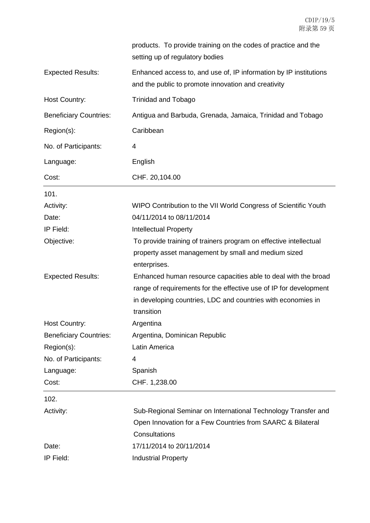|                               | products. To provide training on the codes of practice and the<br>setting up of regulatory bodies                        |
|-------------------------------|--------------------------------------------------------------------------------------------------------------------------|
| <b>Expected Results:</b>      | Enhanced access to, and use of, IP information by IP institutions<br>and the public to promote innovation and creativity |
| Host Country:                 | <b>Trinidad and Tobago</b>                                                                                               |
| <b>Beneficiary Countries:</b> | Antigua and Barbuda, Grenada, Jamaica, Trinidad and Tobago                                                               |
| Region(s):                    | Caribbean                                                                                                                |
| No. of Participants:          | 4                                                                                                                        |
| Language:                     | English                                                                                                                  |
| Cost:                         | CHF. 20,104.00                                                                                                           |
| 101.                          |                                                                                                                          |
| Activity:                     | WIPO Contribution to the VII World Congress of Scientific Youth                                                          |
| Date:                         | 04/11/2014 to 08/11/2014                                                                                                 |
| IP Field:                     | <b>Intellectual Property</b>                                                                                             |
| Objective:                    | To provide training of trainers program on effective intellectual                                                        |
|                               | property asset management by small and medium sized<br>enterprises.                                                      |
| <b>Expected Results:</b>      | Enhanced human resource capacities able to deal with the broad                                                           |
|                               | range of requirements for the effective use of IP for development                                                        |
|                               | in developing countries, LDC and countries with economies in                                                             |
|                               | transition                                                                                                               |
| Host Country:                 | Argentina                                                                                                                |
| <b>Beneficiary Countries:</b> | Argentina, Dominican Republic                                                                                            |
| Region(s):                    | Latin America                                                                                                            |
| No. of Participants:          | 4                                                                                                                        |
| Language:                     | Spanish                                                                                                                  |
| Cost:                         | CHF. 1,238.00                                                                                                            |
| 102.                          |                                                                                                                          |
| Activity:                     | Sub-Regional Seminar on International Technology Transfer and                                                            |
|                               | Open Innovation for a Few Countries from SAARC & Bilateral                                                               |
|                               | Consultations                                                                                                            |
| Date:                         | 17/11/2014 to 20/11/2014                                                                                                 |
| IP Field:                     | <b>Industrial Property</b>                                                                                               |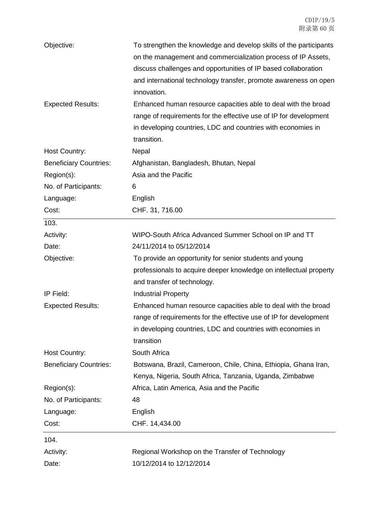| Objective:                    | To strengthen the knowledge and develop skills of the participants |
|-------------------------------|--------------------------------------------------------------------|
|                               | on the management and commercialization process of IP Assets,      |
|                               | discuss challenges and opportunities of IP based collaboration     |
|                               | and international technology transfer, promote awareness on open   |
|                               | innovation.                                                        |
| <b>Expected Results:</b>      | Enhanced human resource capacities able to deal with the broad     |
|                               | range of requirements for the effective use of IP for development  |
|                               | in developing countries, LDC and countries with economies in       |
|                               | transition.                                                        |
| Host Country:                 | Nepal                                                              |
| <b>Beneficiary Countries:</b> | Afghanistan, Bangladesh, Bhutan, Nepal                             |
| Region(s):                    | Asia and the Pacific                                               |
| No. of Participants:          | 6                                                                  |
| Language:                     | English                                                            |
| Cost:                         | CHF. 31, 716.00                                                    |
| 103.                          |                                                                    |
| Activity:                     | WIPO-South Africa Advanced Summer School on IP and TT              |
| Date:                         | 24/11/2014 to 05/12/2014                                           |
| Objective:                    | To provide an opportunity for senior students and young            |
|                               | professionals to acquire deeper knowledge on intellectual property |
|                               | and transfer of technology.                                        |
| IP Field:                     | <b>Industrial Property</b>                                         |
| <b>Expected Results:</b>      | Enhanced human resource capacities able to deal with the broad     |
|                               | range of requirements for the effective use of IP for development  |
|                               | in developing countries, LDC and countries with economies in       |
|                               | transition                                                         |
| <b>Host Country:</b>          | South Africa                                                       |
| <b>Beneficiary Countries:</b> | Botswana, Brazil, Cameroon, Chile, China, Ethiopia, Ghana Iran,    |
|                               | Kenya, Nigeria, South Africa, Tanzania, Uganda, Zimbabwe           |
| Region(s):                    | Africa, Latin America, Asia and the Pacific                        |
| No. of Participants:          | 48                                                                 |
| Language:                     | English                                                            |
| Cost:                         | CHF. 14,434.00                                                     |
| 104.                          |                                                                    |
| Activity:                     | Regional Workshop on the Transfer of Technology                    |
| Date:                         | 10/12/2014 to 12/12/2014                                           |
|                               |                                                                    |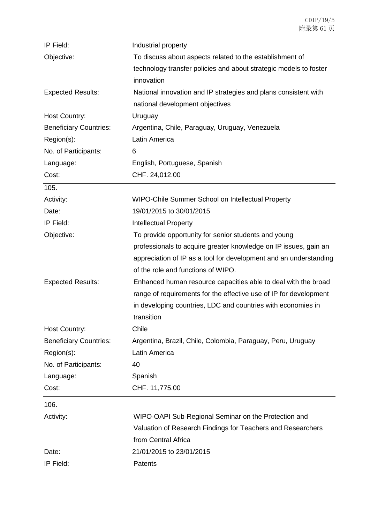| IP Field:                     | Industrial property                                               |
|-------------------------------|-------------------------------------------------------------------|
| Objective:                    | To discuss about aspects related to the establishment of          |
|                               | technology transfer policies and about strategic models to foster |
|                               | innovation                                                        |
| <b>Expected Results:</b>      | National innovation and IP strategies and plans consistent with   |
|                               | national development objectives                                   |
| <b>Host Country:</b>          | Uruguay                                                           |
| <b>Beneficiary Countries:</b> | Argentina, Chile, Paraguay, Uruguay, Venezuela                    |
| Region(s):                    | Latin America                                                     |
| No. of Participants:          | 6                                                                 |
| Language:                     | English, Portuguese, Spanish                                      |
| Cost:                         | CHF. 24,012.00                                                    |
| 105.                          |                                                                   |
| Activity:                     | WIPO-Chile Summer School on Intellectual Property                 |
| Date:                         | 19/01/2015 to 30/01/2015                                          |
| IP Field:                     | <b>Intellectual Property</b>                                      |
| Objective:                    | To provide opportunity for senior students and young              |
|                               | professionals to acquire greater knowledge on IP issues, gain an  |
|                               | appreciation of IP as a tool for development and an understanding |
|                               | of the role and functions of WIPO.                                |
| <b>Expected Results:</b>      | Enhanced human resource capacities able to deal with the broad    |
|                               | range of requirements for the effective use of IP for development |
|                               | in developing countries, LDC and countries with economies in      |
|                               | transition                                                        |
| Host Country:                 | Chile                                                             |
| <b>Beneficiary Countries:</b> | Argentina, Brazil, Chile, Colombia, Paraguay, Peru, Uruguay       |
| Region(s):                    | Latin America                                                     |
| No. of Participants:          | 40                                                                |
| Language:                     | Spanish                                                           |
| Cost:                         | CHF. 11,775.00                                                    |
| 106.                          |                                                                   |
| Activity:                     | WIPO-OAPI Sub-Regional Seminar on the Protection and              |
|                               | Valuation of Research Findings for Teachers and Researchers       |
|                               | from Central Africa                                               |
| Date:                         | 21/01/2015 to 23/01/2015                                          |
| IP Field:                     | Patents                                                           |
|                               |                                                                   |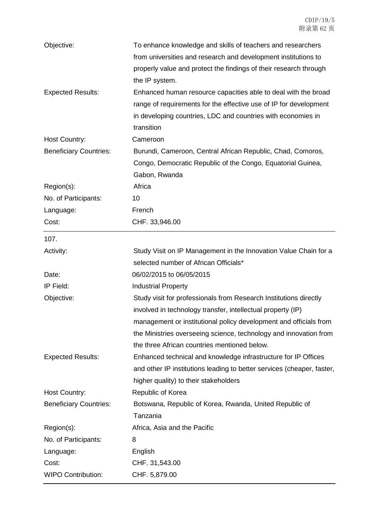| Objective:<br><b>Expected Results:</b> | To enhance knowledge and skills of teachers and researchers<br>from universities and research and development institutions to<br>properly value and protect the findings of their research through<br>the IP system.<br>Enhanced human resource capacities able to deal with the broad                                     |
|----------------------------------------|----------------------------------------------------------------------------------------------------------------------------------------------------------------------------------------------------------------------------------------------------------------------------------------------------------------------------|
|                                        | range of requirements for the effective use of IP for development<br>in developing countries, LDC and countries with economies in<br>transition                                                                                                                                                                            |
| Host Country:                          | Cameroon                                                                                                                                                                                                                                                                                                                   |
| <b>Beneficiary Countries:</b>          | Burundi, Cameroon, Central African Republic, Chad, Comoros,<br>Congo, Democratic Republic of the Congo, Equatorial Guinea,<br>Gabon, Rwanda                                                                                                                                                                                |
| Region(s):                             | Africa                                                                                                                                                                                                                                                                                                                     |
| No. of Participants:                   | 10                                                                                                                                                                                                                                                                                                                         |
| Language:                              | French                                                                                                                                                                                                                                                                                                                     |
| Cost:                                  | CHF. 33,946.00                                                                                                                                                                                                                                                                                                             |
| 107.                                   |                                                                                                                                                                                                                                                                                                                            |
| Activity:                              | Study Visit on IP Management in the Innovation Value Chain for a<br>selected number of African Officials*                                                                                                                                                                                                                  |
| Date:                                  | 06/02/2015 to 06/05/2015                                                                                                                                                                                                                                                                                                   |
| IP Field:                              | <b>Industrial Property</b>                                                                                                                                                                                                                                                                                                 |
| Objective:                             | Study visit for professionals from Research Institutions directly<br>involved in technology transfer, intellectual property (IP)<br>management or institutional policy development and officials from<br>the Ministries overseeing science, technology and innovation from<br>the three African countries mentioned below. |
| <b>Expected Results:</b>               | Enhanced technical and knowledge infrastructure for IP Offices<br>and other IP institutions leading to better services (cheaper, faster,<br>higher quality) to their stakeholders                                                                                                                                          |
| Host Country:                          | Republic of Korea                                                                                                                                                                                                                                                                                                          |
| <b>Beneficiary Countries:</b>          | Botswana, Republic of Korea, Rwanda, United Republic of<br>Tanzania                                                                                                                                                                                                                                                        |
| Region(s):                             | Africa, Asia and the Pacific                                                                                                                                                                                                                                                                                               |
| No. of Participants:                   | 8                                                                                                                                                                                                                                                                                                                          |
| Language:                              | English                                                                                                                                                                                                                                                                                                                    |
| Cost:                                  | CHF. 31,543.00                                                                                                                                                                                                                                                                                                             |
| <b>WIPO Contribution:</b>              | CHF. 5,879.00                                                                                                                                                                                                                                                                                                              |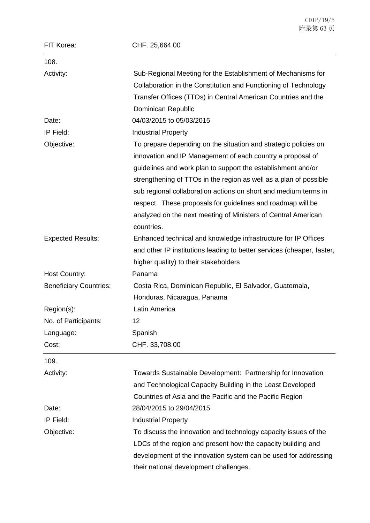|                               | 附录第 63页                                                                                                                                                                                       |
|-------------------------------|-----------------------------------------------------------------------------------------------------------------------------------------------------------------------------------------------|
| FIT Korea:                    | CHF. 25,664.00                                                                                                                                                                                |
| 108.                          |                                                                                                                                                                                               |
| Activity:                     | Sub-Regional Meeting for the Establishment of Mechanisms for                                                                                                                                  |
|                               | Collaboration in the Constitution and Functioning of Technology                                                                                                                               |
|                               | Transfer Offices (TTOs) in Central American Countries and the                                                                                                                                 |
|                               | Dominican Republic                                                                                                                                                                            |
| Date:                         | 04/03/2015 to 05/03/2015                                                                                                                                                                      |
| IP Field:                     | <b>Industrial Property</b>                                                                                                                                                                    |
| Objective:                    | To prepare depending on the situation and strategic policies on<br>innovation and IP Management of each country a proposal of<br>guidelines and work plan to support the establishment and/or |
|                               | strengthening of TTOs in the region as well as a plan of possible                                                                                                                             |
|                               | sub regional collaboration actions on short and medium terms in                                                                                                                               |
|                               | respect. These proposals for guidelines and roadmap will be                                                                                                                                   |
|                               | analyzed on the next meeting of Ministers of Central American                                                                                                                                 |
|                               | countries.                                                                                                                                                                                    |
| <b>Expected Results:</b>      | Enhanced technical and knowledge infrastructure for IP Offices                                                                                                                                |
|                               | and other IP institutions leading to better services (cheaper, faster,                                                                                                                        |
|                               | higher quality) to their stakeholders                                                                                                                                                         |
| Host Country:                 | Panama                                                                                                                                                                                        |
| <b>Beneficiary Countries:</b> | Costa Rica, Dominican Republic, El Salvador, Guatemala,                                                                                                                                       |
|                               | Honduras, Nicaragua, Panama                                                                                                                                                                   |
| Region(s):                    | Latin America                                                                                                                                                                                 |
| No. of Participants:          | 12                                                                                                                                                                                            |
| Language:                     | Spanish                                                                                                                                                                                       |
| Cost:                         | CHF. 33,708.00                                                                                                                                                                                |
| 109.                          |                                                                                                                                                                                               |
| Activity:                     | Towards Sustainable Development: Partnership for Innovation                                                                                                                                   |
|                               | and Technological Capacity Building in the Least Developed                                                                                                                                    |
|                               | Countries of Asia and the Pacific and the Pacific Region                                                                                                                                      |
| Date:                         | 28/04/2015 to 29/04/2015                                                                                                                                                                      |
| IP Field:                     | <b>Industrial Property</b>                                                                                                                                                                    |

Objective: To discuss the innovation and technology capacity issues of the LDCs of the region and present how the capacity building and development of the innovation system can be used for addressing their national development challenges.

÷.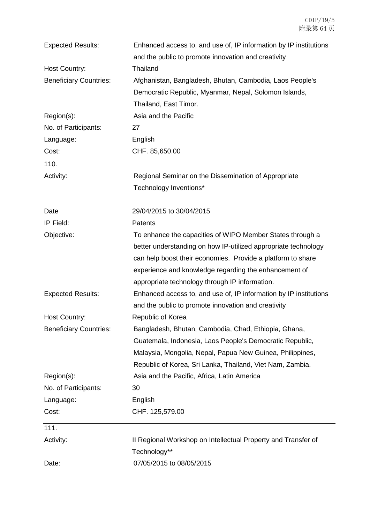| <b>Expected Results:</b>      | Enhanced access to, and use of, IP information by IP institutions |
|-------------------------------|-------------------------------------------------------------------|
| Host Country:                 | and the public to promote innovation and creativity<br>Thailand   |
| <b>Beneficiary Countries:</b> | Afghanistan, Bangladesh, Bhutan, Cambodia, Laos People's          |
|                               | Democratic Republic, Myanmar, Nepal, Solomon Islands,             |
|                               | Thailand, East Timor.                                             |
| Region(s):                    | Asia and the Pacific                                              |
| No. of Participants:          | 27                                                                |
| Language:                     | English                                                           |
| Cost:                         | CHF. 85,650.00                                                    |
| 110.                          |                                                                   |
| Activity:                     | Regional Seminar on the Dissemination of Appropriate              |
|                               | Technology Inventions*                                            |
| Date                          | 29/04/2015 to 30/04/2015                                          |
| IP Field:                     | <b>Patents</b>                                                    |
| Objective:                    | To enhance the capacities of WIPO Member States through a         |
|                               | better understanding on how IP-utilized appropriate technology    |
|                               | can help boost their economies. Provide a platform to share       |
|                               | experience and knowledge regarding the enhancement of             |
|                               | appropriate technology through IP information.                    |
| <b>Expected Results:</b>      | Enhanced access to, and use of, IP information by IP institutions |
|                               | and the public to promote innovation and creativity               |
| <b>Host Country:</b>          | Republic of Korea                                                 |
| <b>Beneficiary Countries:</b> | Bangladesh, Bhutan, Cambodia, Chad, Ethiopia, Ghana,              |
|                               | Guatemala, Indonesia, Laos People's Democratic Republic,          |
|                               | Malaysia, Mongolia, Nepal, Papua New Guinea, Philippines,         |
|                               | Republic of Korea, Sri Lanka, Thailand, Viet Nam, Zambia.         |
| Region(s):                    | Asia and the Pacific, Africa, Latin America                       |
| No. of Participants:          | 30                                                                |
| Language:                     | English                                                           |
| Cost:                         | CHF. 125,579.00                                                   |
| 111.                          |                                                                   |
| Activity:                     | II Regional Workshop on Intellectual Property and Transfer of     |
|                               | Technology**                                                      |
| Date:                         | 07/05/2015 to 08/05/2015                                          |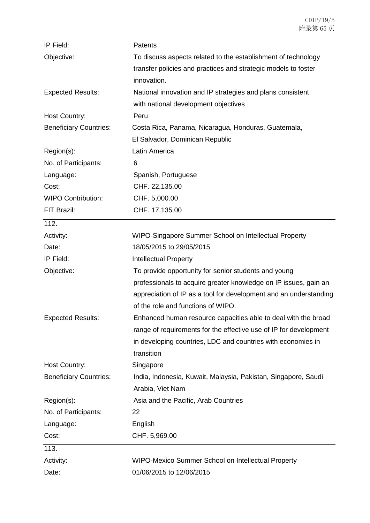| IP Field:                     | Patents                                                           |
|-------------------------------|-------------------------------------------------------------------|
| Objective:                    | To discuss aspects related to the establishment of technology     |
|                               | transfer policies and practices and strategic models to foster    |
|                               | innovation.                                                       |
| <b>Expected Results:</b>      | National innovation and IP strategies and plans consistent        |
|                               | with national development objectives                              |
| <b>Host Country:</b>          | Peru                                                              |
| <b>Beneficiary Countries:</b> | Costa Rica, Panama, Nicaragua, Honduras, Guatemala,               |
|                               | El Salvador, Dominican Republic                                   |
| Region(s):                    | Latin America                                                     |
| No. of Participants:          | 6                                                                 |
| Language:                     | Spanish, Portuguese                                               |
| Cost:                         | CHF. 22,135.00                                                    |
| <b>WIPO Contribution:</b>     | CHF. 5,000.00                                                     |
| FIT Brazil:                   | CHF. 17,135.00                                                    |
| 112.                          |                                                                   |
| Activity:                     | WIPO-Singapore Summer School on Intellectual Property             |
| Date:                         | 18/05/2015 to 29/05/2015                                          |
| IP Field:                     | <b>Intellectual Property</b>                                      |
| Objective:                    | To provide opportunity for senior students and young              |
|                               | professionals to acquire greater knowledge on IP issues, gain an  |
|                               | appreciation of IP as a tool for development and an understanding |
|                               | of the role and functions of WIPO.                                |
| <b>Expected Results:</b>      | Enhanced human resource capacities able to deal with the broad    |
|                               | range of requirements for the effective use of IP for development |
|                               | in developing countries, LDC and countries with economies in      |
|                               | transition                                                        |
| Host Country:                 | Singapore                                                         |
| <b>Beneficiary Countries:</b> | India, Indonesia, Kuwait, Malaysia, Pakistan, Singapore, Saudi    |
|                               | Arabia, Viet Nam                                                  |
| Region(s):                    | Asia and the Pacific, Arab Countries                              |
| No. of Participants:          | 22                                                                |
| Language:                     | English                                                           |
| Cost:                         | CHF. 5,969.00                                                     |
| 113.                          |                                                                   |
| Activity:                     | WIPO-Mexico Summer School on Intellectual Property                |
| Date:                         | 01/06/2015 to 12/06/2015                                          |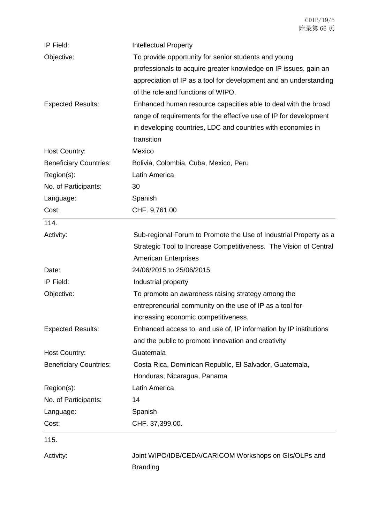| Objective:<br>To provide opportunity for senior students and young<br>professionals to acquire greater knowledge on IP issues, gain an<br>appreciation of IP as a tool for development and an understanding<br>of the role and functions of WIPO.<br><b>Expected Results:</b><br>Enhanced human resource capacities able to deal with the broad<br>range of requirements for the effective use of IP for development<br>in developing countries, LDC and countries with economies in<br>transition<br>Mexico<br>Host Country:<br><b>Beneficiary Countries:</b><br>Bolivia, Colombia, Cuba, Mexico, Peru<br>Latin America<br>No. of Participants:<br>30<br>Spanish<br>Language:<br>Cost:<br>CHF. 9,761.00<br>114.<br>Sub-regional Forum to Promote the Use of Industrial Property as a<br>Activity:<br>Strategic Tool to Increase Competitiveness. The Vision of Central<br><b>American Enterprises</b><br>24/06/2015 to 25/06/2015<br>Date:<br>IP Field:<br>Industrial property<br>Objective:<br>To promote an awareness raising strategy among the<br>entrepreneurial community on the use of IP as a tool for<br>increasing economic competitiveness.<br>Enhanced access to, and use of, IP information by IP institutions<br><b>Expected Results:</b><br>and the public to promote innovation and creativity<br>Guatemala<br><b>Host Country:</b><br><b>Beneficiary Countries:</b><br>Costa Rica, Dominican Republic, El Salvador, Guatemala,<br>Honduras, Nicaragua, Panama<br>Latin America<br>Region(s):<br>No. of Participants:<br>14<br>Spanish<br>Language:<br>CHF. 37,399.00.<br>Cost:<br>115.<br>Joint WIPO/IDB/CEDA/CARICOM Workshops on GIs/OLPs and<br>Activity: | IP Field:  | <b>Intellectual Property</b> |
|--------------------------------------------------------------------------------------------------------------------------------------------------------------------------------------------------------------------------------------------------------------------------------------------------------------------------------------------------------------------------------------------------------------------------------------------------------------------------------------------------------------------------------------------------------------------------------------------------------------------------------------------------------------------------------------------------------------------------------------------------------------------------------------------------------------------------------------------------------------------------------------------------------------------------------------------------------------------------------------------------------------------------------------------------------------------------------------------------------------------------------------------------------------------------------------------------------------------------------------------------------------------------------------------------------------------------------------------------------------------------------------------------------------------------------------------------------------------------------------------------------------------------------------------------------------------------------------------------------------------------------------------------------------------------------|------------|------------------------------|
|                                                                                                                                                                                                                                                                                                                                                                                                                                                                                                                                                                                                                                                                                                                                                                                                                                                                                                                                                                                                                                                                                                                                                                                                                                                                                                                                                                                                                                                                                                                                                                                                                                                                                |            |                              |
|                                                                                                                                                                                                                                                                                                                                                                                                                                                                                                                                                                                                                                                                                                                                                                                                                                                                                                                                                                                                                                                                                                                                                                                                                                                                                                                                                                                                                                                                                                                                                                                                                                                                                |            |                              |
|                                                                                                                                                                                                                                                                                                                                                                                                                                                                                                                                                                                                                                                                                                                                                                                                                                                                                                                                                                                                                                                                                                                                                                                                                                                                                                                                                                                                                                                                                                                                                                                                                                                                                |            |                              |
|                                                                                                                                                                                                                                                                                                                                                                                                                                                                                                                                                                                                                                                                                                                                                                                                                                                                                                                                                                                                                                                                                                                                                                                                                                                                                                                                                                                                                                                                                                                                                                                                                                                                                |            |                              |
|                                                                                                                                                                                                                                                                                                                                                                                                                                                                                                                                                                                                                                                                                                                                                                                                                                                                                                                                                                                                                                                                                                                                                                                                                                                                                                                                                                                                                                                                                                                                                                                                                                                                                |            |                              |
|                                                                                                                                                                                                                                                                                                                                                                                                                                                                                                                                                                                                                                                                                                                                                                                                                                                                                                                                                                                                                                                                                                                                                                                                                                                                                                                                                                                                                                                                                                                                                                                                                                                                                |            |                              |
|                                                                                                                                                                                                                                                                                                                                                                                                                                                                                                                                                                                                                                                                                                                                                                                                                                                                                                                                                                                                                                                                                                                                                                                                                                                                                                                                                                                                                                                                                                                                                                                                                                                                                |            |                              |
|                                                                                                                                                                                                                                                                                                                                                                                                                                                                                                                                                                                                                                                                                                                                                                                                                                                                                                                                                                                                                                                                                                                                                                                                                                                                                                                                                                                                                                                                                                                                                                                                                                                                                |            |                              |
|                                                                                                                                                                                                                                                                                                                                                                                                                                                                                                                                                                                                                                                                                                                                                                                                                                                                                                                                                                                                                                                                                                                                                                                                                                                                                                                                                                                                                                                                                                                                                                                                                                                                                |            |                              |
|                                                                                                                                                                                                                                                                                                                                                                                                                                                                                                                                                                                                                                                                                                                                                                                                                                                                                                                                                                                                                                                                                                                                                                                                                                                                                                                                                                                                                                                                                                                                                                                                                                                                                |            |                              |
|                                                                                                                                                                                                                                                                                                                                                                                                                                                                                                                                                                                                                                                                                                                                                                                                                                                                                                                                                                                                                                                                                                                                                                                                                                                                                                                                                                                                                                                                                                                                                                                                                                                                                | Region(s): |                              |
|                                                                                                                                                                                                                                                                                                                                                                                                                                                                                                                                                                                                                                                                                                                                                                                                                                                                                                                                                                                                                                                                                                                                                                                                                                                                                                                                                                                                                                                                                                                                                                                                                                                                                |            |                              |
|                                                                                                                                                                                                                                                                                                                                                                                                                                                                                                                                                                                                                                                                                                                                                                                                                                                                                                                                                                                                                                                                                                                                                                                                                                                                                                                                                                                                                                                                                                                                                                                                                                                                                |            |                              |
|                                                                                                                                                                                                                                                                                                                                                                                                                                                                                                                                                                                                                                                                                                                                                                                                                                                                                                                                                                                                                                                                                                                                                                                                                                                                                                                                                                                                                                                                                                                                                                                                                                                                                |            |                              |
|                                                                                                                                                                                                                                                                                                                                                                                                                                                                                                                                                                                                                                                                                                                                                                                                                                                                                                                                                                                                                                                                                                                                                                                                                                                                                                                                                                                                                                                                                                                                                                                                                                                                                |            |                              |
|                                                                                                                                                                                                                                                                                                                                                                                                                                                                                                                                                                                                                                                                                                                                                                                                                                                                                                                                                                                                                                                                                                                                                                                                                                                                                                                                                                                                                                                                                                                                                                                                                                                                                |            |                              |
|                                                                                                                                                                                                                                                                                                                                                                                                                                                                                                                                                                                                                                                                                                                                                                                                                                                                                                                                                                                                                                                                                                                                                                                                                                                                                                                                                                                                                                                                                                                                                                                                                                                                                |            |                              |
|                                                                                                                                                                                                                                                                                                                                                                                                                                                                                                                                                                                                                                                                                                                                                                                                                                                                                                                                                                                                                                                                                                                                                                                                                                                                                                                                                                                                                                                                                                                                                                                                                                                                                |            |                              |
|                                                                                                                                                                                                                                                                                                                                                                                                                                                                                                                                                                                                                                                                                                                                                                                                                                                                                                                                                                                                                                                                                                                                                                                                                                                                                                                                                                                                                                                                                                                                                                                                                                                                                |            |                              |
|                                                                                                                                                                                                                                                                                                                                                                                                                                                                                                                                                                                                                                                                                                                                                                                                                                                                                                                                                                                                                                                                                                                                                                                                                                                                                                                                                                                                                                                                                                                                                                                                                                                                                |            |                              |
|                                                                                                                                                                                                                                                                                                                                                                                                                                                                                                                                                                                                                                                                                                                                                                                                                                                                                                                                                                                                                                                                                                                                                                                                                                                                                                                                                                                                                                                                                                                                                                                                                                                                                |            |                              |
|                                                                                                                                                                                                                                                                                                                                                                                                                                                                                                                                                                                                                                                                                                                                                                                                                                                                                                                                                                                                                                                                                                                                                                                                                                                                                                                                                                                                                                                                                                                                                                                                                                                                                |            |                              |
|                                                                                                                                                                                                                                                                                                                                                                                                                                                                                                                                                                                                                                                                                                                                                                                                                                                                                                                                                                                                                                                                                                                                                                                                                                                                                                                                                                                                                                                                                                                                                                                                                                                                                |            |                              |
|                                                                                                                                                                                                                                                                                                                                                                                                                                                                                                                                                                                                                                                                                                                                                                                                                                                                                                                                                                                                                                                                                                                                                                                                                                                                                                                                                                                                                                                                                                                                                                                                                                                                                |            |                              |
|                                                                                                                                                                                                                                                                                                                                                                                                                                                                                                                                                                                                                                                                                                                                                                                                                                                                                                                                                                                                                                                                                                                                                                                                                                                                                                                                                                                                                                                                                                                                                                                                                                                                                |            |                              |
|                                                                                                                                                                                                                                                                                                                                                                                                                                                                                                                                                                                                                                                                                                                                                                                                                                                                                                                                                                                                                                                                                                                                                                                                                                                                                                                                                                                                                                                                                                                                                                                                                                                                                |            |                              |
|                                                                                                                                                                                                                                                                                                                                                                                                                                                                                                                                                                                                                                                                                                                                                                                                                                                                                                                                                                                                                                                                                                                                                                                                                                                                                                                                                                                                                                                                                                                                                                                                                                                                                |            |                              |
|                                                                                                                                                                                                                                                                                                                                                                                                                                                                                                                                                                                                                                                                                                                                                                                                                                                                                                                                                                                                                                                                                                                                                                                                                                                                                                                                                                                                                                                                                                                                                                                                                                                                                |            |                              |
|                                                                                                                                                                                                                                                                                                                                                                                                                                                                                                                                                                                                                                                                                                                                                                                                                                                                                                                                                                                                                                                                                                                                                                                                                                                                                                                                                                                                                                                                                                                                                                                                                                                                                |            |                              |
|                                                                                                                                                                                                                                                                                                                                                                                                                                                                                                                                                                                                                                                                                                                                                                                                                                                                                                                                                                                                                                                                                                                                                                                                                                                                                                                                                                                                                                                                                                                                                                                                                                                                                |            |                              |
|                                                                                                                                                                                                                                                                                                                                                                                                                                                                                                                                                                                                                                                                                                                                                                                                                                                                                                                                                                                                                                                                                                                                                                                                                                                                                                                                                                                                                                                                                                                                                                                                                                                                                |            |                              |
|                                                                                                                                                                                                                                                                                                                                                                                                                                                                                                                                                                                                                                                                                                                                                                                                                                                                                                                                                                                                                                                                                                                                                                                                                                                                                                                                                                                                                                                                                                                                                                                                                                                                                |            |                              |
|                                                                                                                                                                                                                                                                                                                                                                                                                                                                                                                                                                                                                                                                                                                                                                                                                                                                                                                                                                                                                                                                                                                                                                                                                                                                                                                                                                                                                                                                                                                                                                                                                                                                                |            |                              |
|                                                                                                                                                                                                                                                                                                                                                                                                                                                                                                                                                                                                                                                                                                                                                                                                                                                                                                                                                                                                                                                                                                                                                                                                                                                                                                                                                                                                                                                                                                                                                                                                                                                                                |            |                              |

Branding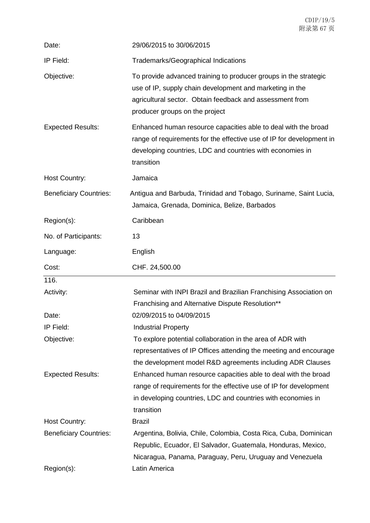| Date:                                       | 29/06/2015 to 30/06/2015                                                                                                                                                                                                   |
|---------------------------------------------|----------------------------------------------------------------------------------------------------------------------------------------------------------------------------------------------------------------------------|
| IP Field:                                   | <b>Trademarks/Geographical Indications</b>                                                                                                                                                                                 |
| Objective:                                  | To provide advanced training to producer groups in the strategic<br>use of IP, supply chain development and marketing in the<br>agricultural sector. Obtain feedback and assessment from<br>producer groups on the project |
| <b>Expected Results:</b>                    | Enhanced human resource capacities able to deal with the broad<br>range of requirements for the effective use of IP for development in<br>developing countries, LDC and countries with economies in<br>transition          |
| <b>Host Country:</b>                        | Jamaica                                                                                                                                                                                                                    |
| <b>Beneficiary Countries:</b>               | Antigua and Barbuda, Trinidad and Tobago, Suriname, Saint Lucia,<br>Jamaica, Grenada, Dominica, Belize, Barbados                                                                                                           |
| Region(s):                                  | Caribbean                                                                                                                                                                                                                  |
| No. of Participants:                        | 13                                                                                                                                                                                                                         |
| Language:                                   | English                                                                                                                                                                                                                    |
|                                             |                                                                                                                                                                                                                            |
| Cost:                                       | CHF. 24,500.00                                                                                                                                                                                                             |
| 116.                                        |                                                                                                                                                                                                                            |
| Activity:                                   | Seminar with INPI Brazil and Brazilian Franchising Association on<br>Franchising and Alternative Dispute Resolution**                                                                                                      |
| Date:                                       | 02/09/2015 to 04/09/2015                                                                                                                                                                                                   |
| IP Field:                                   | <b>Industrial Property</b>                                                                                                                                                                                                 |
| Objective:                                  | To explore potential collaboration in the area of ADR with<br>representatives of IP Offices attending the meeting and encourage<br>the development model R&D agreements including ADR Clauses                              |
| <b>Expected Results:</b>                    | Enhanced human resource capacities able to deal with the broad<br>range of requirements for the effective use of IP for development<br>in developing countries, LDC and countries with economies in<br>transition          |
| Host Country:                               | <b>Brazil</b>                                                                                                                                                                                                              |
| <b>Beneficiary Countries:</b><br>Region(s): | Argentina, Bolivia, Chile, Colombia, Costa Rica, Cuba, Dominican<br>Republic, Ecuador, El Salvador, Guatemala, Honduras, Mexico,<br>Nicaragua, Panama, Paraguay, Peru, Uruguay and Venezuela<br>Latin America              |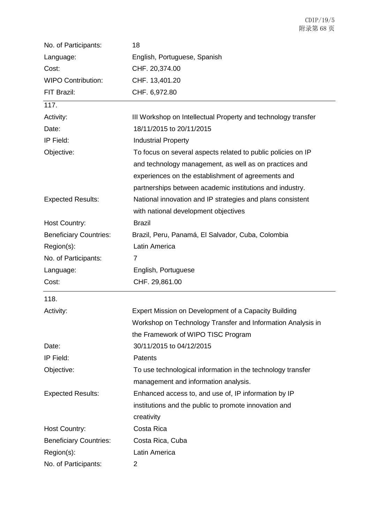| No. of Participants:          | 18                                                            |
|-------------------------------|---------------------------------------------------------------|
| Language:                     | English, Portuguese, Spanish                                  |
| Cost:                         | CHF. 20,374.00                                                |
| <b>WIPO Contribution:</b>     | CHF. 13,401.20                                                |
| FIT Brazil:                   | CHF. 6,972.80                                                 |
| 117.                          |                                                               |
| Activity:                     | III Workshop on Intellectual Property and technology transfer |
| Date:                         | 18/11/2015 to 20/11/2015                                      |
| IP Field:                     | <b>Industrial Property</b>                                    |
| Objective:                    | To focus on several aspects related to public policies on IP  |
|                               | and technology management, as well as on practices and        |
|                               | experiences on the establishment of agreements and            |
|                               | partnerships between academic institutions and industry.      |
| <b>Expected Results:</b>      | National innovation and IP strategies and plans consistent    |
|                               | with national development objectives                          |
| Host Country:                 | <b>Brazil</b>                                                 |
| <b>Beneficiary Countries:</b> | Brazil, Peru, Panamá, El Salvador, Cuba, Colombia             |
| Region(s):                    | Latin America                                                 |
| No. of Participants:          | $\overline{7}$                                                |
| Language:                     | English, Portuguese                                           |
| Cost:                         | CHF. 29,861.00                                                |
| 118.                          |                                                               |
| Activity:                     | Expert Mission on Development of a Capacity Building          |
|                               | Workshop on Technology Transfer and Information Analysis in   |
|                               | the Framework of WIPO TISC Program                            |
| Date:                         | 30/11/2015 to 04/12/2015                                      |
| IP Field:                     | Patents                                                       |
| Objective:                    | To use technological information in the technology transfer   |
|                               | management and information analysis.                          |
| <b>Expected Results:</b>      | Enhanced access to, and use of, IP information by IP          |
|                               | institutions and the public to promote innovation and         |
|                               | creativity                                                    |
| Host Country:                 | Costa Rica                                                    |
| <b>Beneficiary Countries:</b> | Costa Rica, Cuba                                              |
| Region(s):                    | Latin America                                                 |
| No. of Participants:          | 2                                                             |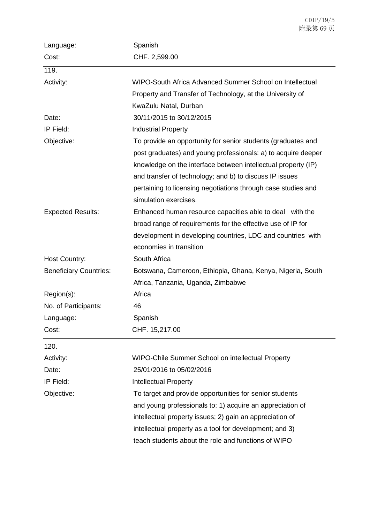| Language:                     | Spanish                                                       |
|-------------------------------|---------------------------------------------------------------|
| Cost:                         | CHF. 2,599.00                                                 |
| 119.                          |                                                               |
| Activity:                     | WIPO-South Africa Advanced Summer School on Intellectual      |
|                               | Property and Transfer of Technology, at the University of     |
|                               | KwaZulu Natal, Durban                                         |
| Date:                         | 30/11/2015 to 30/12/2015                                      |
| IP Field:                     | <b>Industrial Property</b>                                    |
| Objective:                    | To provide an opportunity for senior students (graduates and  |
|                               | post graduates) and young professionals: a) to acquire deeper |
|                               | knowledge on the interface between intellectual property (IP) |
|                               | and transfer of technology; and b) to discuss IP issues       |
|                               | pertaining to licensing negotiations through case studies and |
|                               | simulation exercises.                                         |
| <b>Expected Results:</b>      | Enhanced human resource capacities able to deal with the      |
|                               | broad range of requirements for the effective use of IP for   |
|                               | development in developing countries, LDC and countries with   |
|                               | economies in transition                                       |
| <b>Host Country:</b>          | South Africa                                                  |
| <b>Beneficiary Countries:</b> | Botswana, Cameroon, Ethiopia, Ghana, Kenya, Nigeria, South    |
|                               | Africa, Tanzania, Uganda, Zimbabwe                            |
| Region(s):                    | Africa                                                        |
| No. of Participants:          | 46                                                            |
| Language:                     | Spanish                                                       |
| Cost:                         | CHF. 15,217.00                                                |
| 120.                          |                                                               |
| Activity:                     | WIPO-Chile Summer School on intellectual Property             |
| Date:                         | 25/01/2016 to 05/02/2016                                      |
| IP Field:                     | <b>Intellectual Property</b>                                  |
| Objective:                    | To target and provide opportunities for senior students       |
|                               | and young professionals to: 1) acquire an appreciation of     |
|                               | intellectual property issues; 2) gain an appreciation of      |
|                               | intellectual property as a tool for development; and 3)       |
|                               | teach students about the role and functions of WIPO           |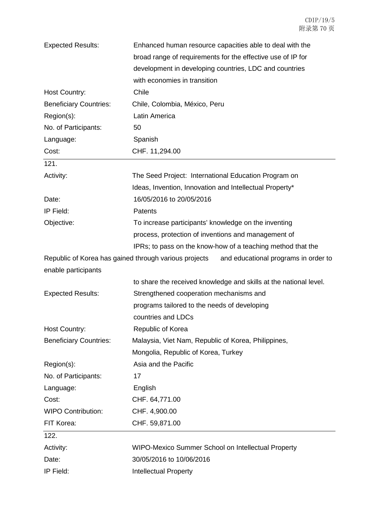| <b>Expected Results:</b>                              | Enhanced human resource capacities able to deal with the          |
|-------------------------------------------------------|-------------------------------------------------------------------|
|                                                       | broad range of requirements for the effective use of IP for       |
|                                                       | development in developing countries, LDC and countries            |
|                                                       | with economies in transition                                      |
| Host Country:                                         | Chile                                                             |
| <b>Beneficiary Countries:</b>                         | Chile, Colombia, México, Peru                                     |
| Region(s):                                            | Latin America                                                     |
| No. of Participants:                                  | 50                                                                |
| Language:                                             | Spanish                                                           |
| Cost:                                                 | CHF. 11,294.00                                                    |
| 121.                                                  |                                                                   |
| Activity:                                             | The Seed Project: International Education Program on              |
|                                                       | Ideas, Invention, Innovation and Intellectual Property*           |
| Date:                                                 | 16/05/2016 to 20/05/2016                                          |
| IP Field:                                             | Patents                                                           |
| Objective:                                            | To increase participants' knowledge on the inventing              |
|                                                       | process, protection of inventions and management of               |
|                                                       | IPRs; to pass on the know-how of a teaching method that the       |
| Republic of Korea has gained through various projects | and educational programs in order to                              |
| enable participants                                   |                                                                   |
|                                                       | to share the received knowledge and skills at the national level. |
| <b>Expected Results:</b>                              | Strengthened cooperation mechanisms and                           |
|                                                       | programs tailored to the needs of developing                      |
|                                                       | countries and LDCs                                                |
| Host Country:                                         | Republic of Korea                                                 |
| <b>Beneficiary Countries:</b>                         | Malaysia, Viet Nam, Republic of Korea, Philippines,               |
|                                                       | Mongolia, Republic of Korea, Turkey                               |
| Region(s):                                            | Asia and the Pacific                                              |
| No. of Participants:                                  | 17                                                                |
| Language:                                             | English                                                           |
| Cost:                                                 | CHF. 64,771.00                                                    |
| <b>WIPO Contribution:</b>                             | CHF. 4,900.00                                                     |
| FIT Korea:                                            | CHF. 59,871.00                                                    |
| 122.                                                  |                                                                   |
| Activity:                                             | WIPO-Mexico Summer School on Intellectual Property                |
| Date:                                                 | 30/05/2016 to 10/06/2016                                          |
| IP Field:                                             | <b>Intellectual Property</b>                                      |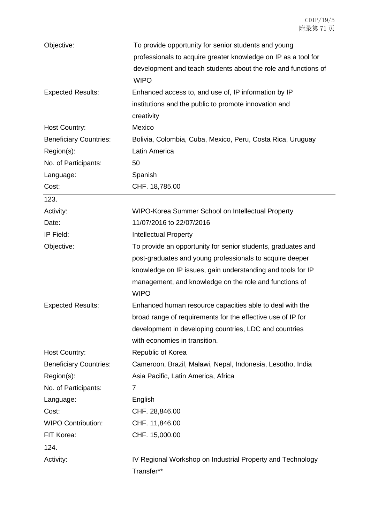| Objective:                    | To provide opportunity for senior students and young           |
|-------------------------------|----------------------------------------------------------------|
|                               | professionals to acquire greater knowledge on IP as a tool for |
|                               | development and teach students about the role and functions of |
|                               | <b>WIPO</b>                                                    |
| <b>Expected Results:</b>      | Enhanced access to, and use of, IP information by IP           |
|                               | institutions and the public to promote innovation and          |
|                               | creativity                                                     |
| Host Country:                 | Mexico                                                         |
| <b>Beneficiary Countries:</b> | Bolivia, Colombia, Cuba, Mexico, Peru, Costa Rica, Uruguay     |
| Region(s):                    | Latin America                                                  |
| No. of Participants:          | 50                                                             |
| Language:                     | Spanish                                                        |
| Cost:                         | CHF. 18,785.00                                                 |
| 123.                          |                                                                |
| Activity:                     | WIPO-Korea Summer School on Intellectual Property              |
| Date:                         | 11/07/2016 to 22/07/2016                                       |
| IP Field:                     | <b>Intellectual Property</b>                                   |
| Objective:                    | To provide an opportunity for senior students, graduates and   |
|                               | post-graduates and young professionals to acquire deeper       |
|                               | knowledge on IP issues, gain understanding and tools for IP    |
|                               | management, and knowledge on the role and functions of         |
|                               | <b>WIPO</b>                                                    |
| <b>Expected Results:</b>      | Enhanced human resource capacities able to deal with the       |
|                               | broad range of requirements for the effective use of IP for    |
|                               | development in developing countries, LDC and countries         |
|                               | with economies in transition.                                  |
| <b>Host Country:</b>          | Republic of Korea                                              |
| <b>Beneficiary Countries:</b> | Cameroon, Brazil, Malawi, Nepal, Indonesia, Lesotho, India     |
| Region(s):                    | Asia Pacific, Latin America, Africa                            |
| No. of Participants:          | 7                                                              |
| Language:                     | English                                                        |
| Cost:                         | CHF. 28,846.00                                                 |
| <b>WIPO Contribution:</b>     | CHF. 11,846.00                                                 |
| FIT Korea:                    | CHF. 15,000.00                                                 |
| 124.                          |                                                                |
| Activity:                     | IV Regional Workshop on Industrial Property and Technology     |
|                               | Transfer**                                                     |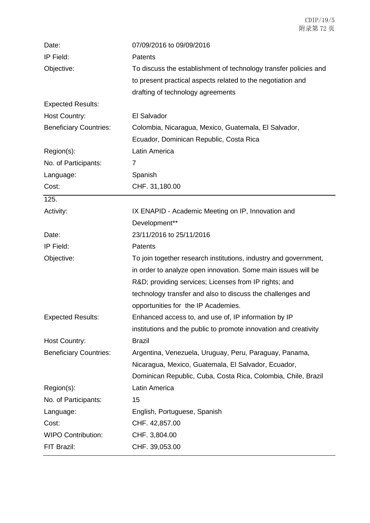| Date:                         | 07/09/2016 to 09/09/2016                                         |
|-------------------------------|------------------------------------------------------------------|
| IP Field:                     | Patents                                                          |
| Objective:                    | To discuss the establishment of technology transfer policies and |
|                               | to present practical aspects related to the negotiation and      |
|                               | drafting of technology agreements                                |
| <b>Expected Results:</b>      |                                                                  |
| <b>Host Country:</b>          | El Salvador                                                      |
| <b>Beneficiary Countries:</b> | Colombia, Nicaragua, Mexico, Guatemala, El Salvador,             |
|                               | Ecuador, Dominican Republic, Costa Rica                          |
| Region(s):                    | Latin America                                                    |
| No. of Participants:          | $\overline{7}$                                                   |
| Language:                     | Spanish                                                          |
| Cost:                         | CHF. 31,180.00                                                   |
| 125.                          |                                                                  |
| Activity:                     | IX ENAPID - Academic Meeting on IP, Innovation and               |
|                               | Development**                                                    |
| Date:                         | 23/11/2016 to 25/11/2016                                         |
| IP Field:                     | <b>Patents</b>                                                   |
| Objective:                    | To join together research institutions, industry and government, |
|                               | in order to analyze open innovation. Some main issues will be    |
|                               | R&D providing services; Licenses from IP rights; and             |
|                               | technology transfer and also to discuss the challenges and       |
|                               | opportunities for the IP Academies.                              |
| <b>Expected Results:</b>      | Enhanced access to, and use of, IP information by IP             |
|                               | institutions and the public to promote innovation and creativity |
| <b>Host Country:</b>          | <b>Brazil</b>                                                    |
| <b>Beneficiary Countries:</b> | Argentina, Venezuela, Uruguay, Peru, Paraguay, Panama,           |
|                               | Nicaragua, Mexico, Guatemala, El Salvador, Ecuador,              |
|                               | Dominican Republic, Cuba, Costa Rica, Colombia, Chile, Brazil    |
| Region(s):                    | Latin America                                                    |
| No. of Participants:          | 15                                                               |
| Language:                     | English, Portuguese, Spanish                                     |
| Cost:                         | CHF. 42,857.00                                                   |
| <b>WIPO Contribution:</b>     | CHF. 3,804.00                                                    |
| FIT Brazil:                   | CHF. 39,053.00                                                   |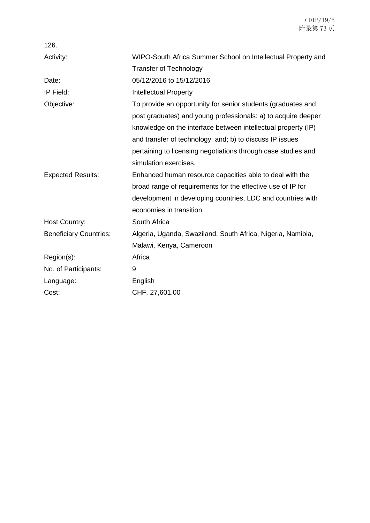| 126.                          |                                                               |
|-------------------------------|---------------------------------------------------------------|
| Activity:                     | WIPO-South Africa Summer School on Intellectual Property and  |
|                               | <b>Transfer of Technology</b>                                 |
| Date:                         | 05/12/2016 to 15/12/2016                                      |
| IP Field:                     | <b>Intellectual Property</b>                                  |
| Objective:                    | To provide an opportunity for senior students (graduates and  |
|                               | post graduates) and young professionals: a) to acquire deeper |
|                               | knowledge on the interface between intellectual property (IP) |
|                               | and transfer of technology; and; b) to discuss IP issues      |
|                               | pertaining to licensing negotiations through case studies and |
|                               | simulation exercises.                                         |
| <b>Expected Results:</b>      | Enhanced human resource capacities able to deal with the      |
|                               | broad range of requirements for the effective use of IP for   |
|                               | development in developing countries, LDC and countries with   |
|                               | economies in transition.                                      |
| <b>Host Country:</b>          | South Africa                                                  |
| <b>Beneficiary Countries:</b> | Algeria, Uganda, Swaziland, South Africa, Nigeria, Namibia,   |
|                               | Malawi, Kenya, Cameroon                                       |
| Region(s):                    | Africa                                                        |
| No. of Participants:          | 9                                                             |
| Language:                     | English                                                       |
| Cost:                         | CHF. 27,601.00                                                |
|                               |                                                               |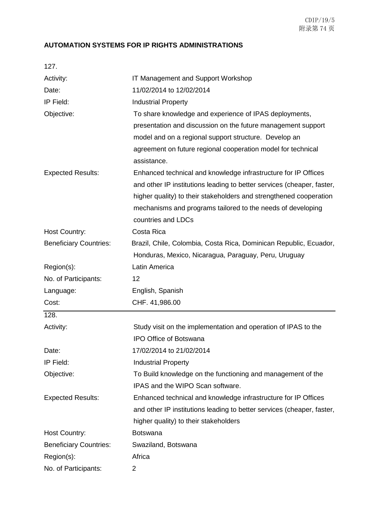## **AUTOMATION SYSTEMS FOR IP RIGHTS ADMINISTRATIONS**

| 127.                          |                                                                             |
|-------------------------------|-----------------------------------------------------------------------------|
| Activity:                     | IT Management and Support Workshop                                          |
| Date:                         | 11/02/2014 to 12/02/2014                                                    |
| IP Field:                     | <b>Industrial Property</b>                                                  |
| Objective:                    | To share knowledge and experience of IPAS deployments,                      |
|                               | presentation and discussion on the future management support                |
|                               | model and on a regional support structure. Develop an                       |
|                               | agreement on future regional cooperation model for technical<br>assistance. |
| <b>Expected Results:</b>      | Enhanced technical and knowledge infrastructure for IP Offices              |
|                               | and other IP institutions leading to better services (cheaper, faster,      |
|                               | higher quality) to their stakeholders and strengthened cooperation          |
|                               | mechanisms and programs tailored to the needs of developing                 |
|                               | countries and LDCs                                                          |
| <b>Host Country:</b>          | Costa Rica                                                                  |
| <b>Beneficiary Countries:</b> | Brazil, Chile, Colombia, Costa Rica, Dominican Republic, Ecuador,           |
|                               | Honduras, Mexico, Nicaragua, Paraguay, Peru, Uruguay                        |
| Region(s):                    | Latin America                                                               |
| No. of Participants:          | 12                                                                          |
| Language:                     | English, Spanish                                                            |
| Cost:                         | CHF. 41,986.00                                                              |
| 128.                          |                                                                             |
| Activity:                     | Study visit on the implementation and operation of IPAS to the              |
|                               | IPO Office of Botswana                                                      |
| Date:                         | 17/02/2014 to 21/02/2014                                                    |
| IP Field:                     | <b>Industrial Property</b>                                                  |
| Objective:                    | To Build knowledge on the functioning and management of the                 |
|                               | IPAS and the WIPO Scan software.                                            |
| <b>Expected Results:</b>      | Enhanced technical and knowledge infrastructure for IP Offices              |
|                               | and other IP institutions leading to better services (cheaper, faster,      |
|                               | higher quality) to their stakeholders                                       |
| Host Country:                 | <b>Botswana</b>                                                             |
| <b>Beneficiary Countries:</b> | Swaziland, Botswana                                                         |
| Region(s):                    | Africa                                                                      |
| No. of Participants:          | 2                                                                           |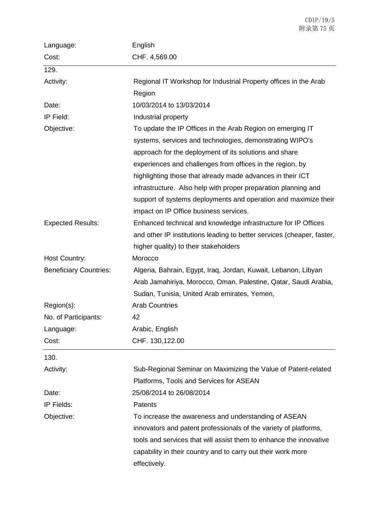| Language:                     | English                                                                |
|-------------------------------|------------------------------------------------------------------------|
| Cost:                         | CHF. 4,569.00                                                          |
| 129.                          |                                                                        |
| Activity:                     | Regional IT Workshop for Industrial Property offices in the Arab       |
|                               | Region                                                                 |
| Date:                         | 10/03/2014 to 13/03/2014                                               |
| IP Field:                     | Industrial property                                                    |
| Objective:                    | To update the IP Offices in the Arab Region on emerging IT             |
|                               | systems, services and technologies, demonstrating WIPO's               |
|                               | approach for the deployment of its solutions and share                 |
|                               | experiences and challenges from offices in the region, by              |
|                               | highlighting those that already made advances in their ICT             |
|                               | infrastructure. Also help with proper preparation planning and         |
|                               | support of systems deployments and operation and maximize their        |
|                               | impact on IP Office business services.                                 |
| <b>Expected Results:</b>      | Enhanced technical and knowledge infrastructure for IP Offices         |
|                               | and other IP institutions leading to better services (cheaper, faster, |
|                               | higher quality) to their stakeholders                                  |
| Host Country:                 | Morocco                                                                |
| <b>Beneficiary Countries:</b> | Algeria, Bahrain, Egypt, Iraq, Jordan, Kuwait, Lebanon, Libyan         |
|                               | Arab Jamahiriya, Morocco, Oman, Palestine, Qatar, Saudi Arabia,        |
|                               | Sudan, Tunisia, United Arab emirates, Yemen,                           |
| Region(s):                    | <b>Arab Countries</b>                                                  |
| No. of Participants:          | 42                                                                     |
| Language:                     | Arabic, English                                                        |
| Cost:                         | CHF. 130,122.00                                                        |
| 130.                          |                                                                        |
| Activity:                     | Sub-Regional Seminar on Maximizing the Value of Patent-related         |
|                               | Platforms, Tools and Services for ASEAN                                |
| Date:                         | 25/08/2014 to 26/08/2014                                               |
| IP Fields:                    | Patents                                                                |
| Objective:                    | To increase the awareness and understanding of ASEAN                   |
|                               | innovators and patent professionals of the variety of platforms,       |
|                               | tools and services that will assist them to enhance the innovative     |
|                               | capability in their country and to carry out their work more           |
|                               | effectively.                                                           |
|                               |                                                                        |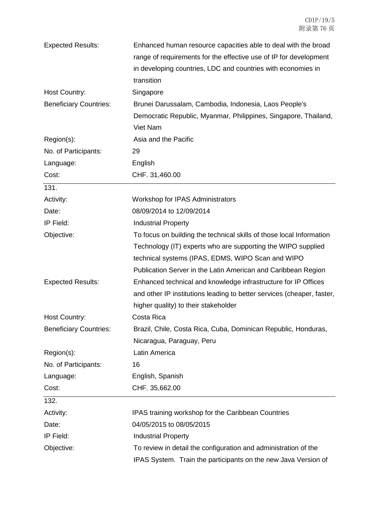| <b>Expected Results:</b>      | Enhanced human resource capacities able to deal with the broad         |
|-------------------------------|------------------------------------------------------------------------|
|                               | range of requirements for the effective use of IP for development      |
|                               | in developing countries, LDC and countries with economies in           |
|                               | transition                                                             |
| Host Country:                 | Singapore                                                              |
| <b>Beneficiary Countries:</b> | Brunei Darussalam, Cambodia, Indonesia, Laos People's                  |
|                               | Democratic Republic, Myanmar, Philippines, Singapore, Thailand,        |
|                               | Viet Nam                                                               |
| Region(s):                    | Asia and the Pacific                                                   |
| No. of Participants:          | 29                                                                     |
| Language:                     | English                                                                |
| Cost:                         | CHF. 31,460.00                                                         |
| 131.                          |                                                                        |
| Activity:                     | Workshop for IPAS Administrators                                       |
| Date:                         | 08/09/2014 to 12/09/2014                                               |
| IP Field:                     | <b>Industrial Property</b>                                             |
| Objective:                    | To focus on building the technical skills of those local Information   |
|                               | Technology (IT) experts who are supporting the WIPO supplied           |
|                               | technical systems (IPAS, EDMS, WIPO Scan and WIPO                      |
|                               | Publication Server in the Latin American and Caribbean Region          |
| <b>Expected Results:</b>      | Enhanced technical and knowledge infrastructure for IP Offices         |
|                               | and other IP institutions leading to better services (cheaper, faster, |
|                               | higher quality) to their stakeholder                                   |
| <b>Host Country:</b>          | Costa Rica                                                             |
| <b>Beneficiary Countries:</b> | Brazil, Chile, Costa Rica, Cuba, Dominican Republic, Honduras,         |
|                               | Nicaragua, Paraguay, Peru                                              |
| Region(s):                    | Latin America                                                          |
| No. of Participants:          | 16                                                                     |
| Language:                     | English, Spanish                                                       |
| Cost:                         | CHF. 35,662.00                                                         |
| 132.                          |                                                                        |
| Activity:                     | IPAS training workshop for the Caribbean Countries                     |
| Date:                         | 04/05/2015 to 08/05/2015                                               |
| IP Field:                     | <b>Industrial Property</b>                                             |
| Objective:                    | To review in detail the configuration and administration of the        |
|                               | IPAS System. Train the participants on the new Java Version of         |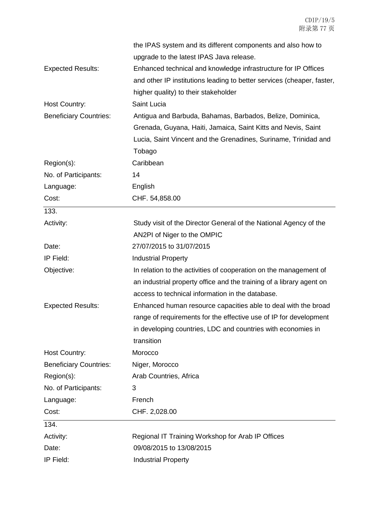|                               | the IPAS system and its different components and also how to           |
|-------------------------------|------------------------------------------------------------------------|
|                               | upgrade to the latest IPAS Java release.                               |
| <b>Expected Results:</b>      | Enhanced technical and knowledge infrastructure for IP Offices         |
|                               | and other IP institutions leading to better services (cheaper, faster, |
|                               | higher quality) to their stakeholder                                   |
| Host Country:                 | Saint Lucia                                                            |
| <b>Beneficiary Countries:</b> | Antigua and Barbuda, Bahamas, Barbados, Belize, Dominica,              |
|                               | Grenada, Guyana, Haiti, Jamaica, Saint Kitts and Nevis, Saint          |
|                               | Lucia, Saint Vincent and the Grenadines, Suriname, Trinidad and        |
|                               | Tobago                                                                 |
| Region(s):                    | Caribbean                                                              |
| No. of Participants:          | 14                                                                     |
| Language:                     | English                                                                |
| Cost:                         | CHF. 54,858.00                                                         |
| 133.                          |                                                                        |
| Activity:                     | Study visit of the Director General of the National Agency of the      |
|                               | AN2PI of Niger to the OMPIC                                            |
| Date:                         | 27/07/2015 to 31/07/2015                                               |
| IP Field:                     | <b>Industrial Property</b>                                             |
| Objective:                    | In relation to the activities of cooperation on the management of      |
|                               | an industrial property office and the training of a library agent on   |
|                               | access to technical information in the database.                       |
| <b>Expected Results:</b>      | Enhanced human resource capacities able to deal with the broad         |
|                               | range of requirements for the effective use of IP for development      |
|                               | in developing countries, LDC and countries with economies in           |
|                               | transition                                                             |
| Host Country:                 | Morocco                                                                |
| <b>Beneficiary Countries:</b> | Niger, Morocco                                                         |
| Region(s):                    | Arab Countries, Africa                                                 |
| No. of Participants:          | 3                                                                      |
| Language:                     | French                                                                 |
| Cost:                         | CHF. 2,028.00                                                          |
| 134.                          |                                                                        |
| Activity:                     | Regional IT Training Workshop for Arab IP Offices                      |
| Date:                         | 09/08/2015 to 13/08/2015                                               |
| IP Field:                     | <b>Industrial Property</b>                                             |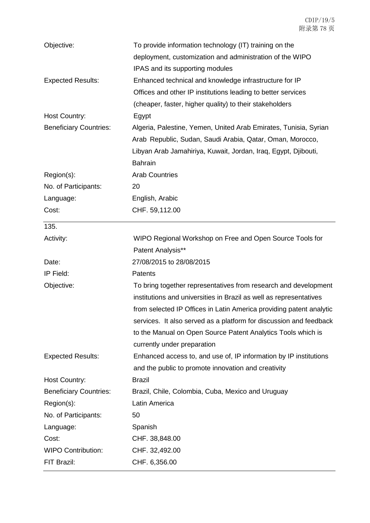| Objective:                    | To provide information technology (IT) training on the              |
|-------------------------------|---------------------------------------------------------------------|
|                               | deployment, customization and administration of the WIPO            |
|                               | IPAS and its supporting modules                                     |
| <b>Expected Results:</b>      | Enhanced technical and knowledge infrastructure for IP              |
|                               | Offices and other IP institutions leading to better services        |
|                               | (cheaper, faster, higher quality) to their stakeholders             |
| Host Country:                 | Egypt                                                               |
| <b>Beneficiary Countries:</b> | Algeria, Palestine, Yemen, United Arab Emirates, Tunisia, Syrian    |
|                               | Arab Republic, Sudan, Saudi Arabia, Qatar, Oman, Morocco,           |
|                               | Libyan Arab Jamahiriya, Kuwait, Jordan, Iraq, Egypt, Djibouti,      |
|                               | <b>Bahrain</b>                                                      |
| Region(s):                    | <b>Arab Countries</b>                                               |
| No. of Participants:          | 20                                                                  |
| Language:                     | English, Arabic                                                     |
| Cost:                         | CHF. 59,112.00                                                      |
| 135.                          |                                                                     |
| Activity:                     | WIPO Regional Workshop on Free and Open Source Tools for            |
|                               | Patent Analysis**                                                   |
| Date:                         | 27/08/2015 to 28/08/2015                                            |
| IP Field:                     | Patents                                                             |
| Objective:                    | To bring together representatives from research and development     |
|                               | institutions and universities in Brazil as well as representatives  |
|                               | from selected IP Offices in Latin America providing patent analytic |
|                               | services. It also served as a platform for discussion and feedback  |
|                               | to the Manual on Open Source Patent Analytics Tools which is        |
|                               | currently under preparation                                         |
| <b>Expected Results:</b>      | Enhanced access to, and use of, IP information by IP institutions   |
|                               | and the public to promote innovation and creativity                 |
| Host Country:                 | <b>Brazil</b>                                                       |
| <b>Beneficiary Countries:</b> | Brazil, Chile, Colombia, Cuba, Mexico and Uruguay                   |
| Region(s):                    | Latin America                                                       |
| No. of Participants:          | 50                                                                  |
| Language:                     | Spanish                                                             |
| Cost:                         | CHF. 38,848.00                                                      |
| <b>WIPO Contribution:</b>     | CHF. 32,492.00                                                      |
| FIT Brazil:                   | CHF. 6,356.00                                                       |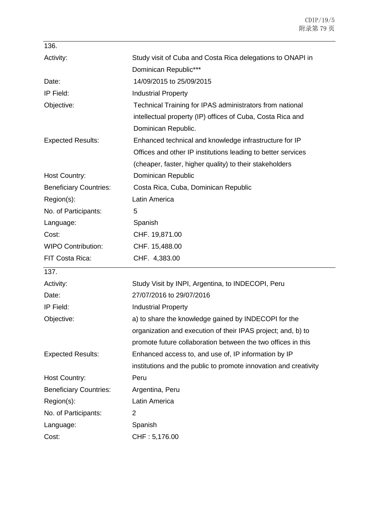| Study visit of Cuba and Costa Rica delegations to ONAPI in       |
|------------------------------------------------------------------|
| Dominican Republic***                                            |
| 14/09/2015 to 25/09/2015                                         |
| <b>Industrial Property</b>                                       |
| Technical Training for IPAS administrators from national         |
| intellectual property (IP) offices of Cuba, Costa Rica and       |
| Dominican Republic.                                              |
| Enhanced technical and knowledge infrastructure for IP           |
| Offices and other IP institutions leading to better services     |
| (cheaper, faster, higher quality) to their stakeholders          |
| Dominican Republic                                               |
| Costa Rica, Cuba, Dominican Republic                             |
| Latin America                                                    |
| 5                                                                |
| Spanish                                                          |
| CHF. 19,871.00                                                   |
| CHF. 15,488.00                                                   |
| CHF. 4,383.00                                                    |
|                                                                  |
| Study Visit by INPI, Argentina, to INDECOPI, Peru                |
| 27/07/2016 to 29/07/2016                                         |
| <b>Industrial Property</b>                                       |
| a) to share the knowledge gained by INDECOPI for the             |
| organization and execution of their IPAS project; and, b) to     |
| promote future collaboration between the two offices in this     |
|                                                                  |
| Enhanced access to, and use of, IP information by IP             |
| institutions and the public to promote innovation and creativity |
| Peru                                                             |
| Argentina, Peru                                                  |
| Latin America                                                    |
| 2                                                                |
| Spanish                                                          |
|                                                                  |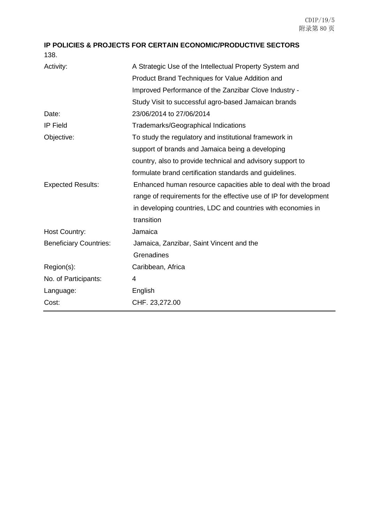**IP POLICIES & PROJECTS FOR CERTAIN ECONOMIC/PRODUCTIVE SECTORS** 138.

| Activity:                     | A Strategic Use of the Intellectual Property System and           |
|-------------------------------|-------------------------------------------------------------------|
|                               | Product Brand Techniques for Value Addition and                   |
|                               | Improved Performance of the Zanzibar Clove Industry -             |
|                               | Study Visit to successful agro-based Jamaican brands              |
| Date:                         | 23/06/2014 to 27/06/2014                                          |
| <b>IP Field</b>               | <b>Trademarks/Geographical Indications</b>                        |
| Objective:                    | To study the regulatory and institutional framework in            |
|                               | support of brands and Jamaica being a developing                  |
|                               | country, also to provide technical and advisory support to        |
|                               | formulate brand certification standards and guidelines.           |
| <b>Expected Results:</b>      | Enhanced human resource capacities able to deal with the broad    |
|                               | range of requirements for the effective use of IP for development |
|                               | in developing countries, LDC and countries with economies in      |
|                               | transition                                                        |
| <b>Host Country:</b>          | Jamaica                                                           |
| <b>Beneficiary Countries:</b> | Jamaica, Zanzibar, Saint Vincent and the                          |
|                               | Grenadines                                                        |
| Region(s):                    | Caribbean, Africa                                                 |
| No. of Participants:          | 4                                                                 |
| Language:                     | English                                                           |
| Cost:                         | CHF. 23,272.00                                                    |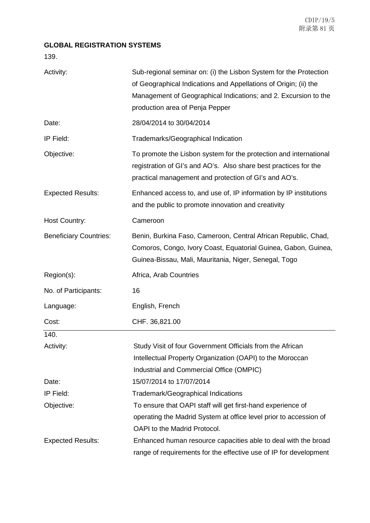## **GLOBAL REGISTRATION SYSTEMS**

139.

| Activity:                     | Sub-regional seminar on: (i) the Lisbon System for the Protection<br>of Geographical Indications and Appellations of Origin; (ii) the<br>Management of Geographical Indications; and 2. Excursion to the<br>production area of Penja Pepper |
|-------------------------------|---------------------------------------------------------------------------------------------------------------------------------------------------------------------------------------------------------------------------------------------|
| Date:                         | 28/04/2014 to 30/04/2014                                                                                                                                                                                                                    |
| IP Field:                     | Trademarks/Geographical Indication                                                                                                                                                                                                          |
| Objective:                    | To promote the Lisbon system for the protection and international<br>registration of GI's and AO's. Also share best practices for the<br>practical management and protection of GI's and AO's.                                              |
| <b>Expected Results:</b>      | Enhanced access to, and use of, IP information by IP institutions<br>and the public to promote innovation and creativity                                                                                                                    |
| Host Country:                 | Cameroon                                                                                                                                                                                                                                    |
| <b>Beneficiary Countries:</b> | Benin, Burkina Faso, Cameroon, Central African Republic, Chad,<br>Comoros, Congo, Ivory Coast, Equatorial Guinea, Gabon, Guinea,<br>Guinea-Bissau, Mali, Mauritania, Niger, Senegal, Togo                                                   |
| Region(s):                    | Africa, Arab Countries                                                                                                                                                                                                                      |
| No. of Participants:          | 16                                                                                                                                                                                                                                          |
| Language:                     | English, French                                                                                                                                                                                                                             |
| Cost:                         | CHF. 36,821.00                                                                                                                                                                                                                              |
| 140.                          |                                                                                                                                                                                                                                             |
| Activity:                     | Study Visit of four Government Officials from the African                                                                                                                                                                                   |
|                               | Intellectual Property Organization (OAPI) to the Moroccan                                                                                                                                                                                   |
|                               | Industrial and Commercial Office (OMPIC)                                                                                                                                                                                                    |
| Date:                         | 15/07/2014 to 17/07/2014                                                                                                                                                                                                                    |
| IP Field:                     | <b>Trademark/Geographical Indications</b>                                                                                                                                                                                                   |
| Objective:                    | To ensure that OAPI staff will get first-hand experience of                                                                                                                                                                                 |
|                               | operating the Madrid System at office level prior to accession of                                                                                                                                                                           |
|                               | OAPI to the Madrid Protocol.                                                                                                                                                                                                                |
| <b>Expected Results:</b>      | Enhanced human resource capacities able to deal with the broad                                                                                                                                                                              |
|                               | range of requirements for the effective use of IP for development                                                                                                                                                                           |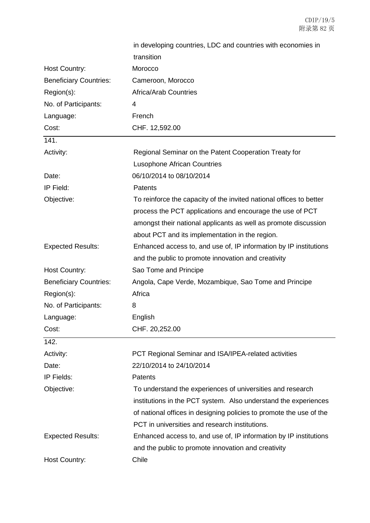|                               | in developing countries, LDC and countries with economies in        |
|-------------------------------|---------------------------------------------------------------------|
|                               | transition                                                          |
| Host Country:                 | Morocco                                                             |
| <b>Beneficiary Countries:</b> | Cameroon, Morocco                                                   |
| Region(s):                    | <b>Africa/Arab Countries</b>                                        |
| No. of Participants:          | 4                                                                   |
| Language:                     | French                                                              |
| Cost:                         | CHF. 12,592.00                                                      |
| 141.                          |                                                                     |
| Activity:                     | Regional Seminar on the Patent Cooperation Treaty for               |
|                               | <b>Lusophone African Countries</b>                                  |
| Date:                         | 06/10/2014 to 08/10/2014                                            |
| IP Field:                     | <b>Patents</b>                                                      |
| Objective:                    | To reinforce the capacity of the invited national offices to better |
|                               | process the PCT applications and encourage the use of PCT           |
|                               | amongst their national applicants as well as promote discussion     |
|                               | about PCT and its implementation in the region.                     |
| <b>Expected Results:</b>      | Enhanced access to, and use of, IP information by IP institutions   |
|                               | and the public to promote innovation and creativity                 |
| Host Country:                 | Sao Tome and Principe                                               |
| <b>Beneficiary Countries:</b> | Angola, Cape Verde, Mozambique, Sao Tome and Principe               |
| Region(s):                    | Africa                                                              |
| No. of Participants:          | 8                                                                   |
| Language:                     | English                                                             |
| Cost:                         | CHF. 20,252.00                                                      |
| 142.                          |                                                                     |
| Activity:                     | PCT Regional Seminar and ISA/IPEA-related activities                |
| Date:                         | 22/10/2014 to 24/10/2014                                            |
| IP Fields:                    | <b>Patents</b>                                                      |
| Objective:                    | To understand the experiences of universities and research          |
|                               | institutions in the PCT system. Also understand the experiences     |
|                               | of national offices in designing policies to promote the use of the |
|                               | PCT in universities and research institutions.                      |
| <b>Expected Results:</b>      | Enhanced access to, and use of, IP information by IP institutions   |
|                               | and the public to promote innovation and creativity                 |
| <b>Host Country:</b>          | Chile                                                               |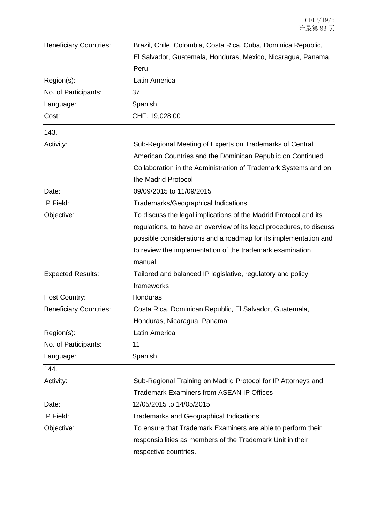| <b>Beneficiary Countries:</b> | Brazil, Chile, Colombia, Costa Rica, Cuba, Dominica Republic,        |
|-------------------------------|----------------------------------------------------------------------|
|                               | El Salvador, Guatemala, Honduras, Mexico, Nicaragua, Panama,         |
|                               | Peru,                                                                |
| Region(s):                    | Latin America                                                        |
| No. of Participants:          | 37                                                                   |
| Language:                     | Spanish                                                              |
| Cost:                         | CHF. 19,028.00                                                       |
| 143.                          |                                                                      |
| Activity:                     | Sub-Regional Meeting of Experts on Trademarks of Central             |
|                               | American Countries and the Dominican Republic on Continued           |
|                               | Collaboration in the Administration of Trademark Systems and on      |
|                               | the Madrid Protocol                                                  |
| Date:                         | 09/09/2015 to 11/09/2015                                             |
| IP Field:                     | Trademarks/Geographical Indications                                  |
| Objective:                    | To discuss the legal implications of the Madrid Protocol and its     |
|                               | regulations, to have an overview of its legal procedures, to discuss |
|                               | possible considerations and a roadmap for its implementation and     |
|                               | to review the implementation of the trademark examination            |
|                               | manual.                                                              |
| <b>Expected Results:</b>      | Tailored and balanced IP legislative, regulatory and policy          |
|                               | frameworks                                                           |
| <b>Host Country:</b>          | Honduras                                                             |
| <b>Beneficiary Countries:</b> | Costa Rica, Dominican Republic, El Salvador, Guatemala,              |
|                               | Honduras, Nicaragua, Panama                                          |
| Region(s):                    | Latin America                                                        |
| No. of Participants:          | 11                                                                   |
| Language:                     | Spanish                                                              |
| 144.                          |                                                                      |
| Activity:                     | Sub-Regional Training on Madrid Protocol for IP Attorneys and        |
|                               | <b>Trademark Examiners from ASEAN IP Offices</b>                     |
| Date:                         | 12/05/2015 to 14/05/2015                                             |
| IP Field:                     | <b>Trademarks and Geographical Indications</b>                       |
| Objective:                    | To ensure that Trademark Examiners are able to perform their         |
|                               | responsibilities as members of the Trademark Unit in their           |
|                               | respective countries.                                                |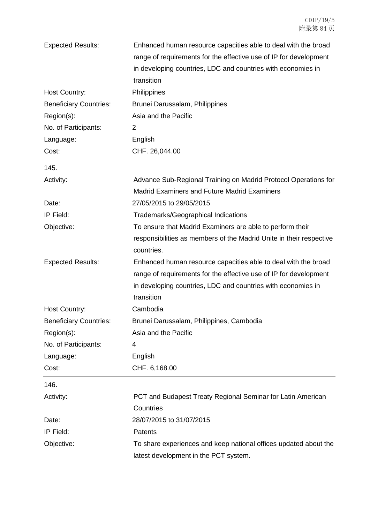| <b>Expected Results:</b>      | Enhanced human resource capacities able to deal with the broad      |
|-------------------------------|---------------------------------------------------------------------|
|                               | range of requirements for the effective use of IP for development   |
|                               | in developing countries, LDC and countries with economies in        |
|                               | transition                                                          |
| Host Country:                 | Philippines                                                         |
| <b>Beneficiary Countries:</b> | Brunei Darussalam, Philippines                                      |
| Region(s):                    | Asia and the Pacific                                                |
| No. of Participants:          | 2                                                                   |
| Language:                     | English                                                             |
| Cost:                         | CHF. 26,044.00                                                      |
| 145.                          |                                                                     |
| Activity:                     | Advance Sub-Regional Training on Madrid Protocol Operations for     |
|                               | <b>Madrid Examiners and Future Madrid Examiners</b>                 |
| Date:                         | 27/05/2015 to 29/05/2015                                            |
| IP Field:                     | <b>Trademarks/Geographical Indications</b>                          |
| Objective:                    | To ensure that Madrid Examiners are able to perform their           |
|                               | responsibilities as members of the Madrid Unite in their respective |
|                               | countries.                                                          |
| <b>Expected Results:</b>      | Enhanced human resource capacities able to deal with the broad      |
|                               | range of requirements for the effective use of IP for development   |
|                               | in developing countries, LDC and countries with economies in        |
|                               | transition                                                          |
| <b>Host Country:</b>          | Cambodia                                                            |
| <b>Beneficiary Countries:</b> | Brunei Darussalam, Philippines, Cambodia                            |
| Region(s):                    | Asia and the Pacific                                                |
| No. of Participants:          | 4                                                                   |
| Language:                     | English                                                             |
| Cost:                         | CHF. 6,168.00                                                       |
| 146.                          |                                                                     |
| Activity:                     | PCT and Budapest Treaty Regional Seminar for Latin American         |
|                               | Countries                                                           |
| Date:                         | 28/07/2015 to 31/07/2015                                            |
| IP Field:                     | Patents                                                             |
| Objective:                    | To share experiences and keep national offices updated about the    |
|                               | latest development in the PCT system.                               |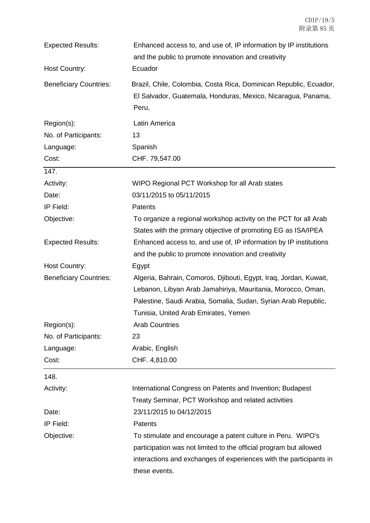| <b>Expected Results:</b>      | Enhanced access to, and use of, IP information by IP institutions<br>and the public to promote innovation and creativity                   |
|-------------------------------|--------------------------------------------------------------------------------------------------------------------------------------------|
| Host Country:                 | Ecuador                                                                                                                                    |
| <b>Beneficiary Countries:</b> | Brazil, Chile, Colombia, Costa Rica, Dominican Republic, Ecuador,<br>El Salvador, Guatemala, Honduras, Mexico, Nicaragua, Panama,<br>Peru, |
| Region(s):                    | Latin America                                                                                                                              |
| No. of Participants:          | 13                                                                                                                                         |
| Language:                     | Spanish                                                                                                                                    |
| Cost:                         | CHF. 79,547.00                                                                                                                             |
| 147.                          |                                                                                                                                            |
| Activity:                     | WIPO Regional PCT Workshop for all Arab states                                                                                             |
| Date:                         | 03/11/2015 to 05/11/2015                                                                                                                   |
| IP Field:                     | <b>Patents</b>                                                                                                                             |
| Objective:                    | To organize a regional workshop activity on the PCT for all Arab                                                                           |
|                               | States with the primary objective of promoting EG as ISA/IPEA                                                                              |
| <b>Expected Results:</b>      | Enhanced access to, and use of, IP information by IP institutions                                                                          |
|                               | and the public to promote innovation and creativity                                                                                        |
| Host Country:                 | Egypt                                                                                                                                      |
| <b>Beneficiary Countries:</b> | Algeria, Bahrain, Comoros, Djibouti, Egypt, Iraq, Jordan, Kuwait,                                                                          |
|                               | Lebanon, Libyan Arab Jamahiriya, Mauritania, Morocco, Oman,                                                                                |
|                               | Palestine, Saudi Arabia, Somalia, Sudan, Syrian Arab Republic,                                                                             |
|                               | Tunisia, United Arab Emirates, Yemen                                                                                                       |
| Region(s):                    | <b>Arab Countries</b>                                                                                                                      |
| No. of Participants:          | 23                                                                                                                                         |
| Language:                     | Arabic, English                                                                                                                            |
| Cost:                         | CHF. 4,810.00                                                                                                                              |
| 148.                          |                                                                                                                                            |
| Activity:                     | International Congress on Patents and Invention; Budapest                                                                                  |
|                               | Treaty Seminar, PCT Workshop and related activities                                                                                        |
| Date:                         | 23/11/2015 to 04/12/2015                                                                                                                   |
| IP Field:                     | Patents                                                                                                                                    |
| Objective:                    | To stimulate and encourage a patent culture in Peru. WIPO's                                                                                |
|                               | participation was not limited to the official program but allowed                                                                          |
|                               | interactions and exchanges of experiences with the participants in                                                                         |
|                               | these events.                                                                                                                              |